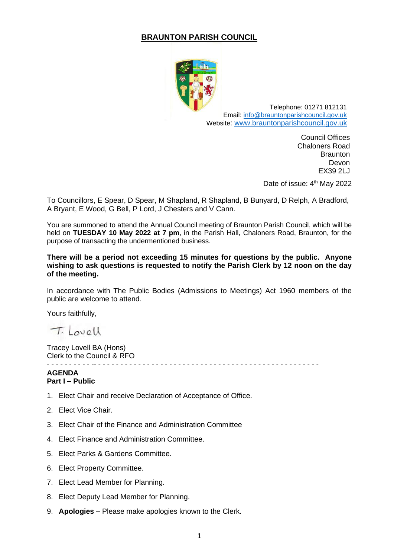### **BRAUNTON PARISH COUNCIL**



Telephone: 01271 812131 Email: [info@brauntonparishcouncil.gov.uk](mailto:info@brauntonparishcouncil.gov.uk) Website: [www.brauntonparishcouncil.gov.uk](http://www.brauntonparishcouncil.gov.uk/)

> Council Offices Chaloners Road **Braunton** Devon EX39 2LJ

Date of issue: 4<sup>th</sup> May 2022

To Councillors, E Spear, D Spear, M Shapland, R Shapland, B Bunyard, D Relph, A Bradford, A Bryant, E Wood, G Bell, P Lord, J Chesters and V Cann.

You are summoned to attend the Annual Council meeting of Braunton Parish Council, which will be held on **TUESDAY 10 May 2022 at 7 pm**, in the Parish Hall, Chaloners Road, Braunton, for the purpose of transacting the undermentioned business.

**There will be a period not exceeding 15 minutes for questions by the public. Anyone wishing to ask questions is requested to notify the Parish Clerk by 12 noon on the day of the meeting.**

In accordance with The Public Bodies (Admissions to Meetings) Act 1960 members of the public are welcome to attend.

Yours faithfully,

T. Lovell

Tracey Lovell BA (Hons) Clerk to the Council & RFO

- - - - - - - - - - -- - - - - - - - - - - - - - - - - - - - - - - - - - - - - - - - - - - - - - - - - - - - - - - - - - -

#### **AGENDA Part I – Public**

- 1. Elect Chair and receive Declaration of Acceptance of Office.
- 2. Elect Vice Chair.
- 3. Elect Chair of the Finance and Administration Committee
- 4. Elect Finance and Administration Committee.
- 5. Elect Parks & Gardens Committee.
- 6. Elect Property Committee.
- 7. Elect Lead Member for Planning.
- 8. Elect Deputy Lead Member for Planning.
- 9. **Apologies –** Please make apologies known to the Clerk.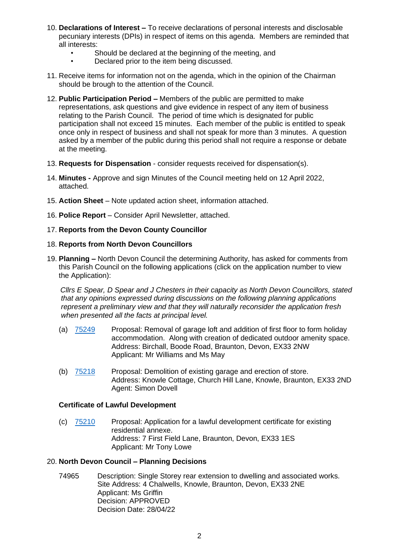- 10. **Declarations of Interest –** To receive declarations of personal interests and disclosable pecuniary interests (DPIs) in respect of items on this agenda. Members are reminded that all interests:
	- Should be declared at the beginning of the meeting, and
	- Declared prior to the item being discussed.
- 11. Receive items for information not on the agenda, which in the opinion of the Chairman should be brough to the attention of the Council.
- 12. **Public Participation Period –** Members of the public are permitted to make representations, ask questions and give evidence in respect of any item of business relating to the Parish Council. The period of time which is designated for public participation shall not exceed 15 minutes. Each member of the public is entitled to speak once only in respect of business and shall not speak for more than 3 minutes. A question asked by a member of the public during this period shall not require a response or debate at the meeting.
- 13. **Requests for Dispensation** consider requests received for dispensation(s).
- 14. **Minutes -** Approve and sign Minutes of the Council meeting held on 12 April 2022, attached.
- 15. **Action Sheet** Note updated action sheet, information attached.
- 16. **Police Report** Consider April Newsletter, attached.

#### 17. **Reports from the Devon County Councillor**

#### 18. **Reports from North Devon Councillors**

19. **Planning –** North Devon Council the determining Authority, has asked for comments from this Parish Council on the following applications (click on the application number to view the Application):

 *Cllrs E Spear, D Spear and J Chesters in their capacity as North Devon Councillors, stated that any opinions expressed during discussions on the following planning applications represent a preliminary view and that they will naturally reconsider the application fresh when presented all the facts at principal level.*

- (a) [75249](https://planning.northdevon.gov.uk/Planning/Display/75249) Proposal: Removal of garage loft and addition of first floor to form holiday accommodation. Along with creation of dedicated outdoor amenity space. Address: Birchall, Boode Road, Braunton, Devon, EX33 2NW Applicant: Mr Williams and Ms May
- (b) [75218](https://planning.northdevon.gov.uk/Planning/Display/75218) Proposal: Demolition of existing garage and erection of store. Address: Knowle Cottage, Church Hill Lane, Knowle, Braunton, EX33 2ND Agent: Simon Dovell

#### **Certificate of Lawful Development**

(c) [75210](https://planning.northdevon.gov.uk/Planning/Display/75210) Proposal: Application for a lawful development certificate for existing residential annexe. Address: 7 First Field Lane, Braunton, Devon, EX33 1ES Applicant: Mr Tony Lowe

#### 20. **North Devon Council – Planning Decisions**

74965 Description: Single Storey rear extension to dwelling and associated works. Site Address: 4 Chalwells, Knowle, Braunton, Devon, EX33 2NE Applicant: Ms Griffin Decision: APPROVED Decision Date: 28/04/22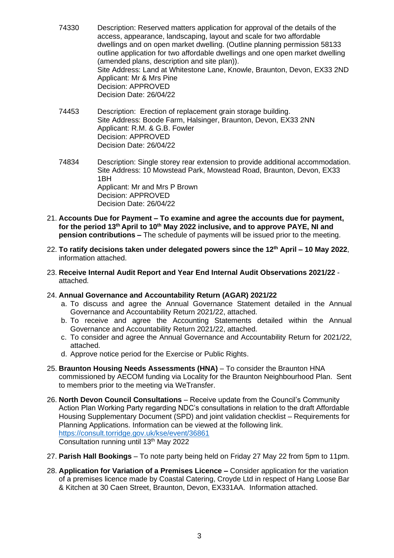- 74330 Description: Reserved matters application for approval of the details of the access, appearance, landscaping, layout and scale for two affordable dwellings and on open market dwelling. (Outline planning permission 58133 outline application for two affordable dwellings and one open market dwelling (amended plans, description and site plan)). Site Address: Land at Whitestone Lane, Knowle, Braunton, Devon, EX33 2ND Applicant: Mr & Mrs Pine Decision: APPROVED Decision Date: 26/04/22
- 74453 Description: Erection of replacement grain storage building. Site Address: Boode Farm, Halsinger, Braunton, Devon, EX33 2NN Applicant: R.M. & G.B. Fowler Decision: APPROVED Decision Date: 26/04/22
- 74834 Description: Single storey rear extension to provide additional accommodation. Site Address: 10 Mowstead Park, Mowstead Road, Braunton, Devon, EX33 1BH Applicant: Mr and Mrs P Brown Decision: APPROVED Decision Date: 26/04/22
- 21. **Accounts Due for Payment – To examine and agree the accounts due for payment, for the period 13th April to 10th May 2022 inclusive, and to approve PAYE, NI and pension contributions –** The schedule of payments will be issued prior to the meeting.
- 22. **To ratify decisions taken under delegated powers since the 12th April – 10 May 2022**, information attached.
- 23. **Receive Internal Audit Report and Year End Internal Audit Observations 2021/22** attached.
- 24. **Annual Governance and Accountability Return (AGAR) 2021/22**
	- a. To discuss and agree the Annual Governance Statement detailed in the Annual Governance and Accountability Return 2021/22, attached.
	- b. To receive and agree the Accounting Statements detailed within the Annual Governance and Accountability Return 2021/22, attached.
	- c. To consider and agree the Annual Governance and Accountability Return for 2021/22, attached.
	- d. Approve notice period for the Exercise or Public Rights.
- 25. **Braunton Housing Needs Assessments (HNA)** To consider the Braunton HNA commissioned by AECOM funding via Locality for the Braunton Neighbourhood Plan. Sent to members prior to the meeting via WeTransfer.
- 26. **North Devon Council Consultations** Receive update from the Council's Community Action Plan Working Party regarding NDC's consultations in relation to the draft Affordable Housing Supplementary Document (SPD) and joint validation checklist – Requirements for Planning Applications. Information can be viewed at the following link. <https://consult.torridge.gov.uk/kse/event/36861> Consultation running until 13th May 2022
- 27. **Parish Hall Bookings** To note party being held on Friday 27 May 22 from 5pm to 11pm.
- 28. **Application for Variation of a Premises Licence –** Consider application for the variation of a premises licence made by Coastal Catering, Croyde Ltd in respect of Hang Loose Bar & Kitchen at 30 Caen Street, Braunton, Devon, EX331AA. Information attached.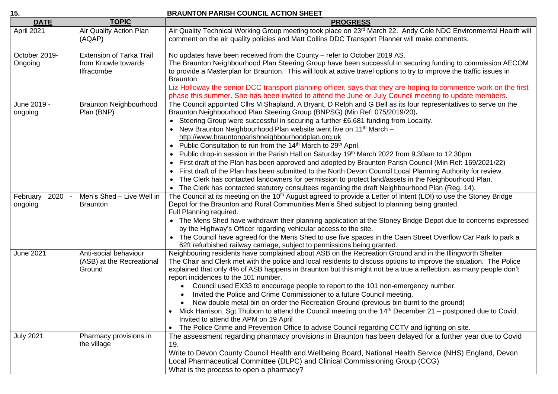#### **15. BRAUNTON PARISH COUNCIL ACTION SHEET**

| <b>DATE</b>                 | <b>TOPIC</b>                                                                | <b>PROGRESS</b>                                                                                                                                                                                                                                                                                                                                                                                                                                                                                                                                                                                                                                                                                                                                                                                                                                                                                                                                                                                                                                               |
|-----------------------------|-----------------------------------------------------------------------------|---------------------------------------------------------------------------------------------------------------------------------------------------------------------------------------------------------------------------------------------------------------------------------------------------------------------------------------------------------------------------------------------------------------------------------------------------------------------------------------------------------------------------------------------------------------------------------------------------------------------------------------------------------------------------------------------------------------------------------------------------------------------------------------------------------------------------------------------------------------------------------------------------------------------------------------------------------------------------------------------------------------------------------------------------------------|
| April 2021                  | Air Quality Action Plan<br>(AQAP)                                           | Air Quality Technical Working Group meeting took place on 23rd March 22. Andy Cole NDC Environmental Health will<br>comment on the air quality policies and Matt Collins DDC Transport Planner will make comments.                                                                                                                                                                                                                                                                                                                                                                                                                                                                                                                                                                                                                                                                                                                                                                                                                                            |
| October 2019-<br>Ongoing    | <b>Extension of Tarka Trail</b><br>from Knowle towards<br><b>Ilfracombe</b> | No updates have been received from the County - refer to October 2019 AS.<br>The Braunton Neighbourhood Plan Steering Group have been successful in securing funding to commission AECOM<br>to provide a Masterplan for Braunton. This will look at active travel options to try to improve the traffic issues in<br>Braunton.<br>Liz Holloway the senior DCC transport planning officer, says that they are hoping to commence work on the first<br>phase this summer. She has been invited to attend the June or July Council meeting to update members.                                                                                                                                                                                                                                                                                                                                                                                                                                                                                                    |
| June 2019 -<br>ongoing      | <b>Braunton Neighbourhood</b><br>Plan (BNP)                                 | The Council appointed Cllrs M Shapland, A Bryant, D Relph and G Bell as its four representatives to serve on the<br>Braunton Neighbourhood Plan Steering Group (BNPSG) (Min Ref: 075/2019/20).<br>• Steering Group were successful in securing a further £6,681 funding from Locality.<br>• New Braunton Neighbourhood Plan website went live on 11 <sup>th</sup> March -<br>http://www.brauntonparishneighbourhoodplan.org.uk<br>Public Consultation to run from the 14 <sup>th</sup> March to 29 <sup>th</sup> April.<br>Public drop-in session in the Parish Hall on Saturday 19th March 2022 from 9.30am to 12.30pm<br>First draft of the Plan has been approved and adopted by Braunton Parish Council (Min Ref: 169/2021/22)<br>First draft of the Plan has been submitted to the North Devon Council Local Planning Authority for review.<br>• The Clerk has contacted landowners for permission to protect land/assets in the Neighbourhood Plan.<br>• The Clerk has contacted statutory consultees regarding the draft Neighbourhood Plan (Reg. 14). |
| 2020<br>February<br>ongoing | Men's Shed - Live Well in<br><b>Braunton</b>                                | The Council at its meeting on the 10 <sup>th</sup> August agreed to provide a Letter of Intent (LOI) to use the Stoney Bridge<br>Depot for the Braunton and Rural Communities Men's Shed subject to planning being granted.<br>Full Planning required.<br>• The Mens Shed have withdrawn their planning application at the Stoney Bridge Depot due to concerns expressed<br>by the Highway's Officer regarding vehicular access to the site.<br>• The Council have agreed for the Mens Shed to use five spaces in the Caen Street Overflow Car Park to park a<br>62ft refurbished railway carriage, subject to permissions being granted.                                                                                                                                                                                                                                                                                                                                                                                                                     |
| <b>June 2021</b>            | Anti-social behaviour<br>(ASB) at the Recreational<br>Ground                | Neighbouring residents have complained about ASB on the Recreation Ground and in the Illingworth Shelter.<br>The Chair and Clerk met with the police and local residents to discuss options to improve the situation. The Police<br>explained that only 4% of ASB happens in Braunton but this might not be a true a reflection, as many people don't<br>report incidences to the 101 number.<br>Council used EX33 to encourage people to report to the 101 non-emergency number.<br>$\bullet$<br>Invited the Police and Crime Commissioner to a future Council meeting.<br>New double metal bin on order the Recreation Ground (previous bin burnt to the ground)<br>Mick Harrison, Sgt Thuborn to attend the Council meeting on the 14 <sup>th</sup> December 21 – postponed due to Covid.<br>Invited to attend the APM on 19 April<br>The Police Crime and Prevention Office to advise Council regarding CCTV and lighting on site.<br>$\bullet$                                                                                                           |
| <b>July 2021</b>            | Pharmacy provisions in<br>the village                                       | The assessment regarding pharmacy provisions in Braunton has been delayed for a further year due to Covid<br>19.<br>Write to Devon County Council Health and Wellbeing Board, National Health Service (NHS) England, Devon<br>Local Pharmaceutical Committee (DLPC) and Clinical Commissioning Group (CCG)<br>What is the process to open a pharmacy?                                                                                                                                                                                                                                                                                                                                                                                                                                                                                                                                                                                                                                                                                                         |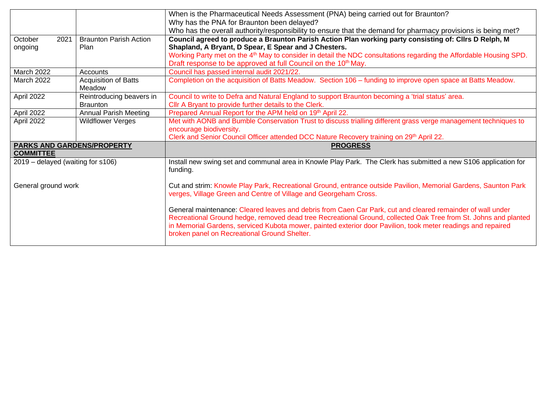|                                   |                               | When is the Pharmaceutical Needs Assessment (PNA) being carried out for Braunton?                                              |  |  |  |  |
|-----------------------------------|-------------------------------|--------------------------------------------------------------------------------------------------------------------------------|--|--|--|--|
|                                   |                               | Why has the PNA for Braunton been delayed?                                                                                     |  |  |  |  |
|                                   |                               | Who has the overall authority/responsibility to ensure that the demand for pharmacy provisions is being met?                   |  |  |  |  |
| October<br>2021                   | <b>Braunton Parish Action</b> | Council agreed to produce a Braunton Parish Action Plan working party consisting of: Cllrs D Relph, M                          |  |  |  |  |
| ongoing                           | Plan                          | Shapland, A Bryant, D Spear, E Spear and J Chesters.                                                                           |  |  |  |  |
|                                   |                               | Working Party met on the 4 <sup>th</sup> May to consider in detail the NDC consultations regarding the Affordable Housing SPD. |  |  |  |  |
|                                   |                               | Draft response to be approved at full Council on the 10 <sup>th</sup> May.                                                     |  |  |  |  |
| March 2022                        | Accounts                      | Council has passed internal audit 2021/22.                                                                                     |  |  |  |  |
| March 2022                        | <b>Acquisition of Batts</b>   | Completion on the acquisition of Batts Meadow. Section 106 - funding to improve open space at Batts Meadow.                    |  |  |  |  |
|                                   | Meadow                        |                                                                                                                                |  |  |  |  |
| April 2022                        | Reintroducing beavers in      | Council to write to Defra and Natural England to support Braunton becoming a 'trial status' area.                              |  |  |  |  |
|                                   | <b>Braunton</b>               | Cllr A Bryant to provide further details to the Clerk.                                                                         |  |  |  |  |
| April 2022                        | <b>Annual Parish Meeting</b>  | Prepared Annual Report for the APM held on 19th April 22.                                                                      |  |  |  |  |
| April 2022                        | <b>Wildflower Verges</b>      | Met with AONB and Bumble Conservation Trust to discuss trialling different grass verge management techniques to                |  |  |  |  |
|                                   |                               | encourage biodiversity.                                                                                                        |  |  |  |  |
|                                   |                               | Clerk and Senior Council Officer attended DCC Nature Recovery training on 29th April 22.                                       |  |  |  |  |
| <b>PARKS AND GARDENS/PROPERTY</b> |                               | <b>PROGRESS</b>                                                                                                                |  |  |  |  |
| <b>COMMITTEE</b>                  |                               |                                                                                                                                |  |  |  |  |
| 2019 – delayed (waiting for s106) |                               | Install new swing set and communal area in Knowle Play Park. The Clerk has submitted a new S106 application for                |  |  |  |  |
|                                   |                               | funding.                                                                                                                       |  |  |  |  |
| General ground work               |                               | Cut and strim: Knowle Play Park, Recreational Ground, entrance outside Pavilion, Memorial Gardens, Saunton Park                |  |  |  |  |
|                                   |                               | verges, Village Green and Centre of Village and Georgeham Cross.                                                               |  |  |  |  |
|                                   |                               |                                                                                                                                |  |  |  |  |
|                                   |                               | General maintenance: Cleared leaves and debris from Caen Car Park, cut and cleared remainder of wall under                     |  |  |  |  |
|                                   |                               | Recreational Ground hedge, removed dead tree Recreational Ground, collected Oak Tree from St. Johns and planted                |  |  |  |  |
|                                   |                               | in Memorial Gardens, serviced Kubota mower, painted exterior door Pavilion, took meter readings and repaired                   |  |  |  |  |
|                                   |                               | broken panel on Recreational Ground Shelter.                                                                                   |  |  |  |  |
|                                   |                               |                                                                                                                                |  |  |  |  |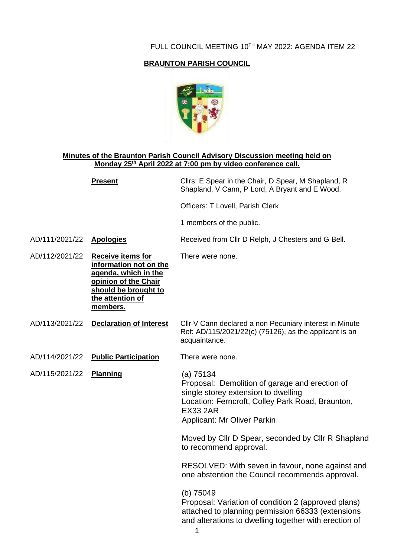#### FULL COUNCIL MEETING 10TH MAY 2022: AGENDA ITEM 22

### **BRAUNTON PARISH COUNCIL**



#### **Minutes of the Braunton Parish Council Advisory Discussion meeting held on Monday 25th April 2022 at 7:00 pm by video conference call.**

|                | <b>Present</b>                                                                                                                                                     | Cllrs: E Spear in the Chair, D Spear, M Shapland, R<br>Shapland, V Cann, P Lord, A Bryant and E Wood.                                                                                                           |
|----------------|--------------------------------------------------------------------------------------------------------------------------------------------------------------------|-----------------------------------------------------------------------------------------------------------------------------------------------------------------------------------------------------------------|
|                |                                                                                                                                                                    | Officers: T Lovell, Parish Clerk                                                                                                                                                                                |
|                |                                                                                                                                                                    | 1 members of the public.                                                                                                                                                                                        |
| AD/111/2021/22 | <b>Apologies</b>                                                                                                                                                   | Received from Cllr D Relph, J Chesters and G Bell.                                                                                                                                                              |
| AD/112/2021/22 | <b>Receive items for</b><br>information not on the<br><u>agenda, which in the </u><br>opinion of the Chair<br>should be brought to<br>the attention of<br>members. | There were none.                                                                                                                                                                                                |
| AD/113/2021/22 | <b>Declaration of Interest</b>                                                                                                                                     | Cllr V Cann declared a non Pecuniary interest in Minute<br>Ref: AD/115/2021/22(c) (75126), as the applicant is an<br>acquaintance.                                                                              |
| AD/114/2021/22 | <b>Public Participation</b>                                                                                                                                        | There were none.                                                                                                                                                                                                |
| AD/115/2021/22 | <b>Planning</b>                                                                                                                                                    | (a) 75134<br>Proposal: Demolition of garage and erection of<br>single storey extension to dwelling<br>Location: Ferncroft, Colley Park Road, Braunton,<br><b>EX33 2AR</b><br><b>Applicant: Mr Oliver Parkin</b> |
|                |                                                                                                                                                                    | Moved by Cllr D Spear, seconded by Cllr R Shapland<br>to recommend approval.                                                                                                                                    |
|                |                                                                                                                                                                    | RESOLVED: With seven in favour, none against and<br>one abstention the Council recommends approval.                                                                                                             |
|                |                                                                                                                                                                    | (b) 75049<br>Proposal: Variation of condition 2 (approved plans)<br>attached to planning permission 66333 (extensions<br>and alterations to dwelling together with erection of                                  |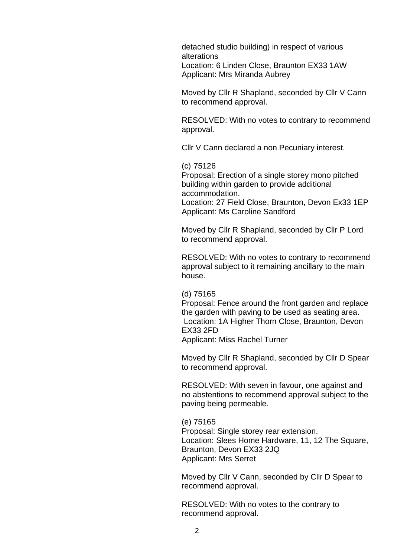detached studio building) in respect of various alterations Location: 6 Linden Close, Braunton EX33 1AW Applicant: Mrs Miranda Aubrey

Moved by Cllr R Shapland, seconded by Cllr V Cann to recommend approval.

RESOLVED: With no votes to contrary to recommend approval.

Cllr V Cann declared a non Pecuniary interest.

(c) 75126

Proposal: Erection of a single storey mono pitched building within garden to provide additional accommodation. Location: 27 Field Close, Braunton, Devon Ex33 1EP

Applicant: Ms Caroline Sandford

Moved by Cllr R Shapland, seconded by Cllr P Lord to recommend approval.

RESOLVED: With no votes to contrary to recommend approval subject to it remaining ancillary to the main house.

(d) 75165

Proposal: Fence around the front garden and replace the garden with paving to be used as seating area. Location: 1A Higher Thorn Close, Braunton, Devon EX33 2FD Applicant: Miss Rachel Turner

Moved by Cllr R Shapland, seconded by Cllr D Spear to recommend approval.

RESOLVED: With seven in favour, one against and no abstentions to recommend approval subject to the paving being permeable.

(e) 75165 Proposal: Single storey rear extension. Location: Slees Home Hardware, 11, 12 The Square, Braunton, Devon EX33 2JQ Applicant: Mrs Serret

Moved by Cllr V Cann, seconded by Cllr D Spear to recommend approval.

RESOLVED: With no votes to the contrary to recommend approval.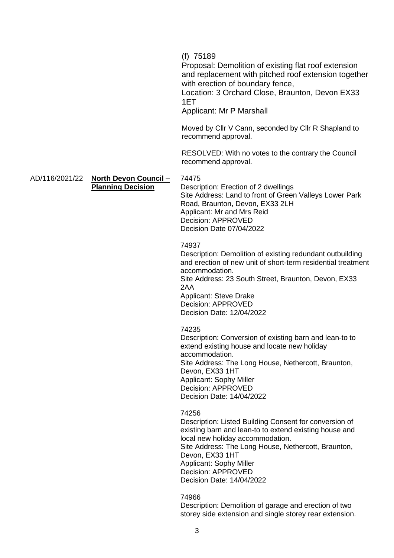(f) 75189

Proposal: Demolition of existing flat roof extension and replacement with pitched roof extension together with erection of boundary fence,

Location: 3 Orchard Close, Braunton, Devon EX33 1ET

Applicant: Mr P Marshall

Moved by Cllr V Cann, seconded by Cllr R Shapland to recommend approval.

RESOLVED: With no votes to the contrary the Council recommend approval.

AD/116/2021/22 **North Devon Council – Planning Decision**

74475

Description: Erection of 2 dwellings Site Address: Land to front of Green Valleys Lower Park Road, Braunton, Devon, EX33 2LH Applicant: Mr and Mrs Reid Decision: APPROVED Decision Date 07/04/2022

#### 74937

Description: Demolition of existing redundant outbuilding and erection of new unit of short-term residential treatment accommodation.

Site Address: 23 South Street, Braunton, Devon, EX33 2AA

Applicant: Steve Drake Decision: APPROVED Decision Date: 12/04/2022

#### 74235

Description: Conversion of existing barn and lean-to to extend existing house and locate new holiday accommodation. Site Address: The Long House, Nethercott, Braunton, Devon, EX33 1HT Applicant: Sophy Miller Decision: APPROVED Decision Date: 14/04/2022

74256

Description: Listed Building Consent for conversion of existing barn and lean-to to extend existing house and local new holiday accommodation. Site Address: The Long House, Nethercott, Braunton, Devon, EX33 1HT Applicant: Sophy Miller Decision: APPROVED Decision Date: 14/04/2022

74966

Description: Demolition of garage and erection of two storey side extension and single storey rear extension.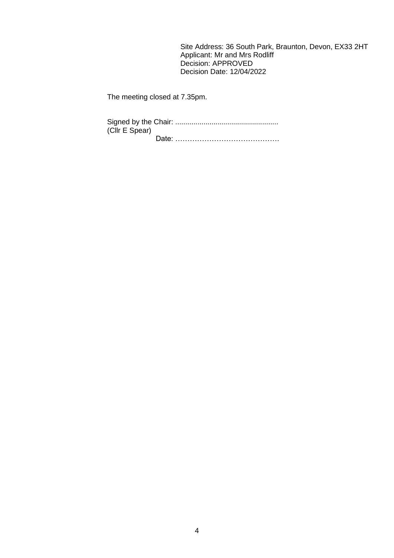Site Address: 36 South Park, Braunton, Devon, EX33 2HT Applicant: Mr and Mrs Rodliff Decision: APPROVED Decision Date: 12/04/2022

The meeting closed at 7.35pm.

Signed by the Chair: ................................................... (Cllr E Spear) Date: …………………………………….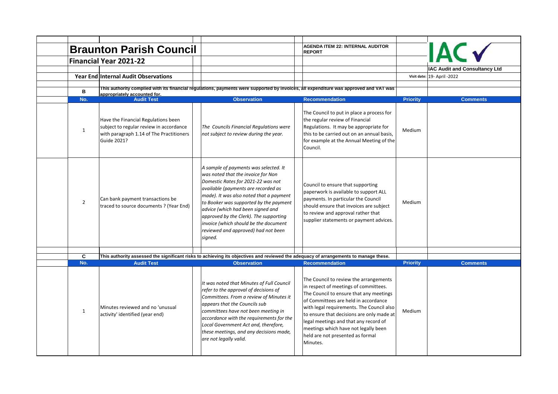|                     |                                                                                                                                           |                                                                                                                                                                                                                                                                                                                                                                                                                         |  | <b>AGENDA ITEM 22: INTERNAL AUDITOR</b>                                                                                                                                                                                                                                                                                                                                                       |                 |                                                              |
|---------------------|-------------------------------------------------------------------------------------------------------------------------------------------|-------------------------------------------------------------------------------------------------------------------------------------------------------------------------------------------------------------------------------------------------------------------------------------------------------------------------------------------------------------------------------------------------------------------------|--|-----------------------------------------------------------------------------------------------------------------------------------------------------------------------------------------------------------------------------------------------------------------------------------------------------------------------------------------------------------------------------------------------|-----------------|--------------------------------------------------------------|
|                     | <b>Braunton Parish Council</b>                                                                                                            |                                                                                                                                                                                                                                                                                                                                                                                                                         |  | <b>REPORT</b>                                                                                                                                                                                                                                                                                                                                                                                 |                 | <b>IAC</b>                                                   |
|                     | <b>Financial Year 2021-22</b>                                                                                                             |                                                                                                                                                                                                                                                                                                                                                                                                                         |  |                                                                                                                                                                                                                                                                                                                                                                                               |                 |                                                              |
|                     | Year End Internal Audit Observations                                                                                                      |                                                                                                                                                                                                                                                                                                                                                                                                                         |  |                                                                                                                                                                                                                                                                                                                                                                                               |                 | IAC Audit and Consultancy Ltd<br>Visit date: 19- April -2022 |
|                     |                                                                                                                                           |                                                                                                                                                                                                                                                                                                                                                                                                                         |  |                                                                                                                                                                                                                                                                                                                                                                                               |                 |                                                              |
| B                   | appropriately accounted for.                                                                                                              | This authority complied with its financial regulations, payments were supported by invoices, all expenditure was approved and VAT was                                                                                                                                                                                                                                                                                   |  |                                                                                                                                                                                                                                                                                                                                                                                               |                 |                                                              |
| No.                 | <b>Audit Test</b>                                                                                                                         | <b>Observation</b>                                                                                                                                                                                                                                                                                                                                                                                                      |  | <b>Recommendation</b>                                                                                                                                                                                                                                                                                                                                                                         | <b>Priority</b> | <b>Comments</b>                                              |
| $\mathbf{1}$        | Have the Financial Regulations been<br>subject to regular review in accordance<br>with paragraph 1.14 of The Practitioners<br>Guide 2021? | The Councils Financial Regulations were<br>not subject to review during the year.                                                                                                                                                                                                                                                                                                                                       |  | The Council to put in place a process for<br>the regular review of Financial<br>Regulations. It may be appropriate for<br>this to be carried out on an annual basis,<br>for example at the Annual Meeting of the<br>Council.                                                                                                                                                                  | Medium          |                                                              |
| $\overline{2}$      | Can bank payment transactions be<br>traced to source documents ? (Year End)                                                               | A sample of payments was selected. It<br>was noted that the invoice for Non<br>Domestic Rates for 2021-22 was not<br>available (payments are recorded as<br>made). It was also noted that a payment<br>to Booker was supported by the payment<br>advice (which had been signed and<br>approved by the Clerk). The supporting<br>invoice (which should be the document<br>reviewed and approved) had not been<br>signed. |  | Council to ensure that supporting<br>paperwork is available to support ALL<br>payments. In particular the Council<br>should ensure that invoices are subject<br>to review and approval rather that<br>supplier statements or payment advices.                                                                                                                                                 | Medium          |                                                              |
|                     |                                                                                                                                           |                                                                                                                                                                                                                                                                                                                                                                                                                         |  |                                                                                                                                                                                                                                                                                                                                                                                               |                 |                                                              |
| $\mathbf{C}$<br>No. | <b>Audit Test</b>                                                                                                                         | This authority assessed the significant risks to achieving its objectives and reviewed the adequacy of arrangements to manage these.<br><b>Observation</b><br><b>Recommendation</b>                                                                                                                                                                                                                                     |  | <b>Priority</b>                                                                                                                                                                                                                                                                                                                                                                               | <b>Comments</b> |                                                              |
| $\mathbf{1}$        | Minutes reviewed and no 'unusual<br>activity' identified (year end)                                                                       | It was noted that Minutes of Full Council<br>refer to the approval of decisions of<br>Committees. From a review of Minutes it<br>appears that the Councils sub<br>committees have not been meeting in<br>accordance with the requirements for the<br>Local Government Act and, therefore,<br>these meetings, and any decisions made,<br>are not legally valid.                                                          |  | The Council to review the arrangements<br>in respect of meetings of committees.<br>The Council to ensure that any meetings<br>of Committees are held in accordance<br>with legal requirements. The Council also<br>to ensure that decisions are only made at<br>legal meetings and that any record of<br>meetings which have not legally been<br>held are not presented as formal<br>Minutes. | Medium          |                                                              |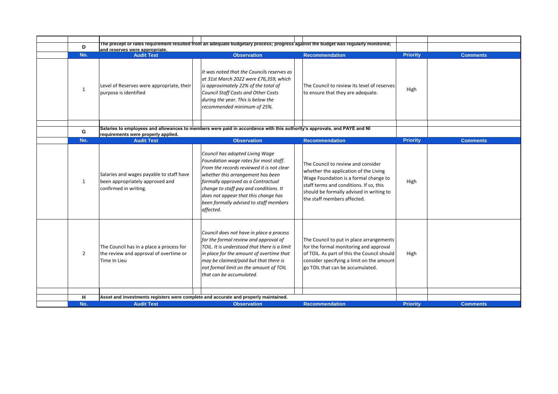| D              |                                                                                                      | The precept or rates requirement resulted from an adequate budgetary process; progress against the budget was regularly monitored;                                                                                                                                                                                                        |                                                                                                                                                                                                                                            |                 |                 |
|----------------|------------------------------------------------------------------------------------------------------|-------------------------------------------------------------------------------------------------------------------------------------------------------------------------------------------------------------------------------------------------------------------------------------------------------------------------------------------|--------------------------------------------------------------------------------------------------------------------------------------------------------------------------------------------------------------------------------------------|-----------------|-----------------|
|                | and reserves were appropriate.                                                                       |                                                                                                                                                                                                                                                                                                                                           |                                                                                                                                                                                                                                            |                 |                 |
| No.            | <b>Audit Test</b>                                                                                    | <b>Observation</b>                                                                                                                                                                                                                                                                                                                        | <b>Recommendation</b>                                                                                                                                                                                                                      | <b>Priority</b> | <b>Comments</b> |
| $\mathbf{1}$   | Level of Reserves were appropriate, their<br>purpose is identified                                   | It was noted that the Councils reserves as<br>at 31st March 2022 were £76,359, which<br>is approximately 22% of the total of<br>Council Staff Costs and Other Costs<br>during the year. This is below the<br>recommended minimum of 25%.                                                                                                  | The Council to review its level of reserves<br>to ensure that they are adequate.                                                                                                                                                           | High            |                 |
| G              | requirements were properly applied.                                                                  | Salaries to employees and allowances to members were paid in accordance with this authority's approvals, and PAYE and NI                                                                                                                                                                                                                  |                                                                                                                                                                                                                                            |                 |                 |
| No.            | <b>Audit Test</b>                                                                                    | <b>Observation</b>                                                                                                                                                                                                                                                                                                                        | <b>Recommendation</b>                                                                                                                                                                                                                      | <b>Priority</b> | <b>Comments</b> |
| $\mathbf{1}$   | Salaries and wages payable to staff have<br>been appropriately approved and<br>confirmed in writing. | Council has adopted Living Wage<br>Foundation wage rates for most staff.<br>From the records reviewed it is not clear<br>whether this arrangement has been<br>formally approved as a Contractual<br>change to staff pay and conditions. It<br>does not appear that this change has<br>been formally advised to staff members<br>affected. | The Council to review and consider<br>whether the application of the Living<br>Wage Foundation is a formal change to<br>staff terms and conditions. If so, this<br>should be formally advised in writing to<br>the staff members affected. | High            |                 |
| $\overline{2}$ | The Council has in a place a process for<br>the review and approval of overtime or<br>Time In Lieu   | Council does not have in place a process<br>for the formal review and approval of<br>TOIL. It is understood that there is a limit<br>in place for the amount of overtime that<br>may be claimed/paid but that there is<br>not formal limit on the amount of TOIL<br>that can be accumulated.                                              | The Council to put in place arrangements<br>for the formal monitoring and approval<br>of TOIL. As part of this the Council should<br>consider specifying a limit on the amount<br>go TOIL that can be accumulated.                         | High            |                 |
| н              | Asset and investments registers were complete and accurate and properly maintained.                  |                                                                                                                                                                                                                                                                                                                                           |                                                                                                                                                                                                                                            |                 |                 |
| No.            | <b>Audit Test</b>                                                                                    | <b>Observation</b>                                                                                                                                                                                                                                                                                                                        | <b>Recommendation</b>                                                                                                                                                                                                                      | <b>Priority</b> | <b>Comments</b> |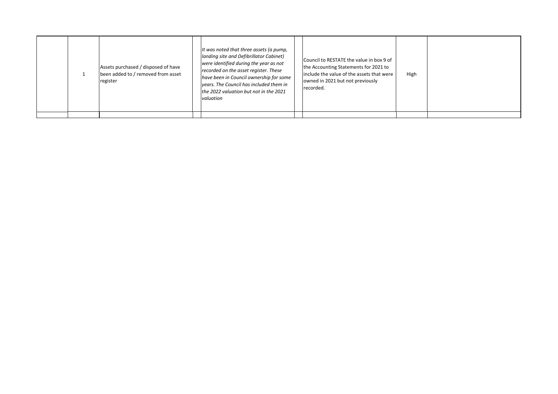|  | Assets purchased / disposed of have<br>been added to / removed from asset<br>register | It was noted that three assets (a pump,<br>landing site and Defibrillator Cabinet)<br>were identified during the year as not<br>recorded on the asset register. These<br>have been in Council ownership for some<br>vears. The Council has included them in<br>the 2022 valuation but not in the 2021<br><i>valuation</i> | Council to RESTATE the value in box 9 of<br>the Accounting Statements for 2021 to<br>include the value of the assets that were<br>owned in 2021 but not previously<br>recorded. | High |  |
|--|---------------------------------------------------------------------------------------|---------------------------------------------------------------------------------------------------------------------------------------------------------------------------------------------------------------------------------------------------------------------------------------------------------------------------|---------------------------------------------------------------------------------------------------------------------------------------------------------------------------------|------|--|
|  |                                                                                       |                                                                                                                                                                                                                                                                                                                           |                                                                                                                                                                                 |      |  |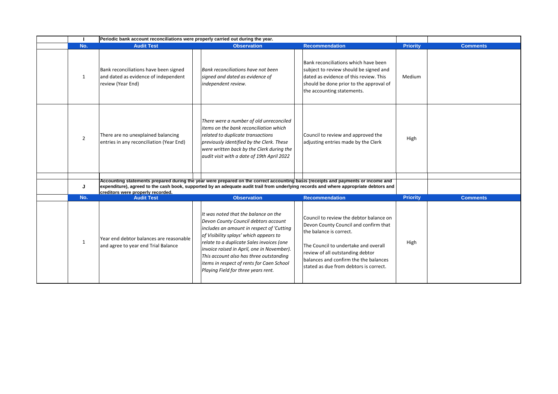|                | Periodic bank account reconciliations were properly carried out during the year.                   |                                                                                                                                                                                                                                                                                                                                                                                               |                                                                                                                                                                                                                                                                            |                 |                 |
|----------------|----------------------------------------------------------------------------------------------------|-----------------------------------------------------------------------------------------------------------------------------------------------------------------------------------------------------------------------------------------------------------------------------------------------------------------------------------------------------------------------------------------------|----------------------------------------------------------------------------------------------------------------------------------------------------------------------------------------------------------------------------------------------------------------------------|-----------------|-----------------|
| No.            | <b>Audit Test</b>                                                                                  | <b>Observation</b>                                                                                                                                                                                                                                                                                                                                                                            | <b>Recommendation</b>                                                                                                                                                                                                                                                      | <b>Priority</b> | <b>Comments</b> |
| 1              | Bank reconciliations have been signed<br>and dated as evidence of independent<br>review (Year End) | Bank reconciliations have not been<br>signed and dated as evidence of<br>independent review.                                                                                                                                                                                                                                                                                                  | Bank reconciliations which have been<br>subject to review should be signed and<br>dated as evidence of this review. This<br>should be done prior to the approval of<br>the accounting statements.                                                                          | Medium          |                 |
| $\overline{2}$ | There are no unexplained balancing<br>entries in any reconciliation (Year End)                     | There were a number of old unreconciled<br>items on the bank reconciliation which<br>related to duplicate transactions<br>previously identified by the Clerk. These<br>were written back by the Clerk during the<br>audit visit with a date of 19th April 2022                                                                                                                                | Council to review and approved the<br>adjusting entries made by the Clerk                                                                                                                                                                                                  | High            |                 |
|                |                                                                                                    |                                                                                                                                                                                                                                                                                                                                                                                               |                                                                                                                                                                                                                                                                            |                 |                 |
| J              | creditors were properly recorded.                                                                  | Accounting statements prepared during the year were prepared on the correct accounting basis (receipts and payments or income and                                                                                                                                                                                                                                                             | expenditure), agreed to the cash book, supported by an adequate audit trail from underlying records and where appropriate debtors and                                                                                                                                      |                 |                 |
| No.            | <b>Audit Test</b>                                                                                  | <b>Observation</b>                                                                                                                                                                                                                                                                                                                                                                            | <b>Recommendation</b>                                                                                                                                                                                                                                                      | <b>Priority</b> | <b>Comments</b> |
| $\mathbf{1}$   | Year end debtor balances are reasonable<br>and agree to year end Trial Balance                     | It was noted that the balance on the<br>Devon County Council debtors account<br>includes an amount in respect of 'Cutting<br>of Visibility splays' which appears to<br>relate to a duplicate Sales invoices (one<br>invoice raised in April, one in November).<br>This account also has three outstanding<br>items in respect of rents for Caen School<br>Playing Field for three years rent. | Council to review the debtor balance on<br>Devon County Council and confirm that<br>the balance is correct.<br>The Council to undertake and overall<br>review of all outstanding debtor<br>balances and confirm the the balances<br>stated as due from debtors is correct. | High            |                 |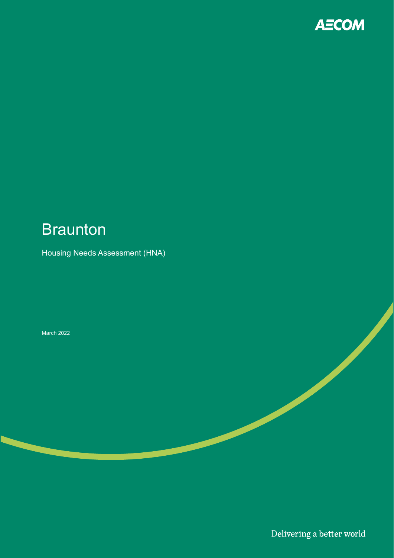

# **Braunton**

### Housing Needs Assessment (HNA)

#### March 2022

Delivering a better world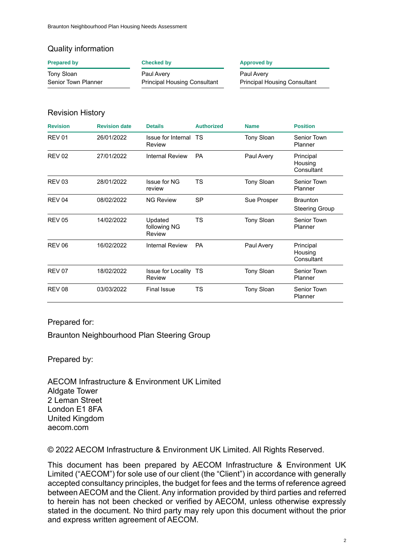### Quality information

| <b>Prepared by</b>  | Checked by                          | <b>Approved by</b>                  |  |  |
|---------------------|-------------------------------------|-------------------------------------|--|--|
| Tony Sloan          | Paul Avery                          | Paul Avery                          |  |  |
| Senior Town Planner | <b>Principal Housing Consultant</b> | <b>Principal Housing Consultant</b> |  |  |

### Revision History

| <b>Revision</b> | <b>Revision date</b> | <b>Details</b>                    | <b>Authorized</b> | <b>Name</b>       | <b>Position</b>                          |
|-----------------|----------------------|-----------------------------------|-------------------|-------------------|------------------------------------------|
| <b>REV 01</b>   | 26/01/2022           | Issue for Internal TS<br>Review   |                   | <b>Tony Sloan</b> | Senior Town<br>Planner                   |
| <b>REV 02</b>   | 27/01/2022           | Internal Review                   | <b>PA</b>         | Paul Avery        | Principal<br>Housing<br>Consultant       |
| <b>REV 03</b>   | 28/01/2022           | Issue for NG<br>review            | TS                | <b>Tony Sloan</b> | Senior Town<br>Planner                   |
| <b>REV 04</b>   | 08/02/2022           | <b>NG Review</b>                  | <b>SP</b>         | Sue Prosper       | <b>Braunton</b><br><b>Steering Group</b> |
| <b>REV 05</b>   | 14/02/2022           | Updated<br>following NG<br>Review | <b>TS</b>         | <b>Tony Sloan</b> | Senior Town<br>Planner                   |
| <b>REV 06</b>   | 16/02/2022           | Internal Review                   | <b>PA</b>         | Paul Avery        | Principal<br>Housing<br>Consultant       |
| <b>REV 07</b>   | 18/02/2022           | Issue for Locality TS<br>Review   |                   | <b>Tony Sloan</b> | Senior Town<br>Planner                   |
| <b>REV 08</b>   | 03/03/2022           | <b>Final Issue</b>                | TS                | Tony Sloan        | Senior Town<br>Planner                   |

Prepared for:

Braunton Neighbourhood Plan Steering Group

Prepared by:

AECOM Infrastructure & Environment UK Limited Aldgate Tower 2 Leman Street London E1 8FA United Kingdom aecom.com

© 2022 AECOM Infrastructure & Environment UK Limited. All Rights Reserved.

This document has been prepared by AECOM Infrastructure & Environment UK Limited ("AECOM") for sole use of our client (the "Client") in accordance with generally accepted consultancy principles, the budget for fees and the terms of reference agreed between AECOM and the Client. Any information provided by third parties and referred to herein has not been checked or verified by AECOM, unless otherwise expressly stated in the document. No third party may rely upon this document without the prior and express written agreement of AECOM.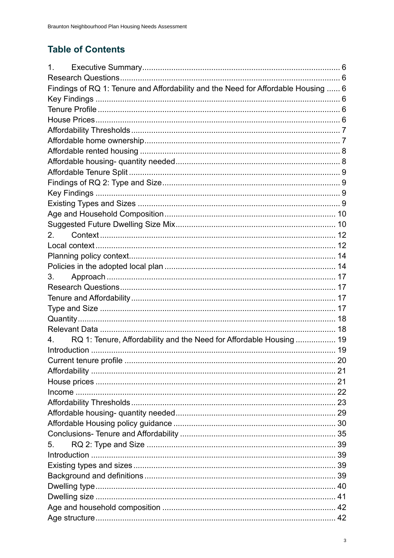## **Table of Contents**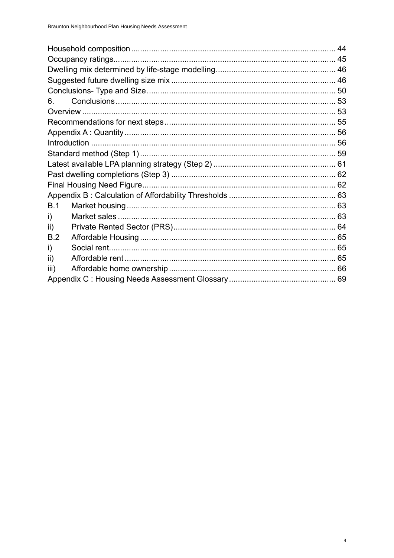| 6.   |  |  |
|------|--|--|
|      |  |  |
|      |  |  |
|      |  |  |
|      |  |  |
|      |  |  |
|      |  |  |
|      |  |  |
|      |  |  |
|      |  |  |
| B.1  |  |  |
| i)   |  |  |
| ii)  |  |  |
| B.2  |  |  |
| i)   |  |  |
| ii)  |  |  |
| iii) |  |  |
|      |  |  |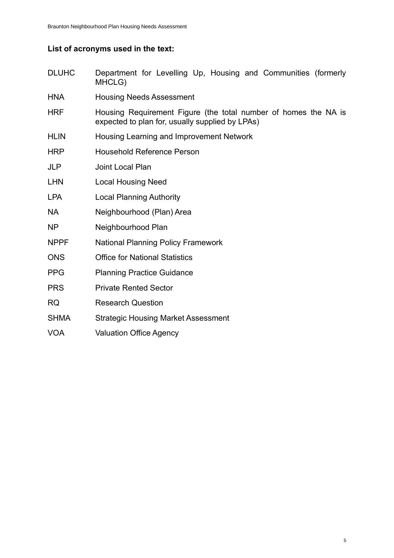### **List of acronyms used in the text:**

- DLUHC Department for Levelling Up, Housing and Communities (formerly MHCLG)
- HNA Housing Needs Assessment
- HRF Housing Requirement Figure (the total number of homes the NA is expected to plan for, usually supplied by LPAs)
- HLIN Housing Learning and Improvement Network
- HRP Household Reference Person
- JLP Joint Local Plan
- LHN Local Housing Need
- LPA Local Planning Authority
- NA Neighbourhood (Plan) Area
- NP Neighbourhood Plan
- NPPF National Planning Policy Framework
- ONS Office for National Statistics
- PPG Planning Practice Guidance
- PRS Private Rented Sector
- RQ Research Question
- SHMA Strategic Housing Market Assessment
- VOA Valuation Office Agency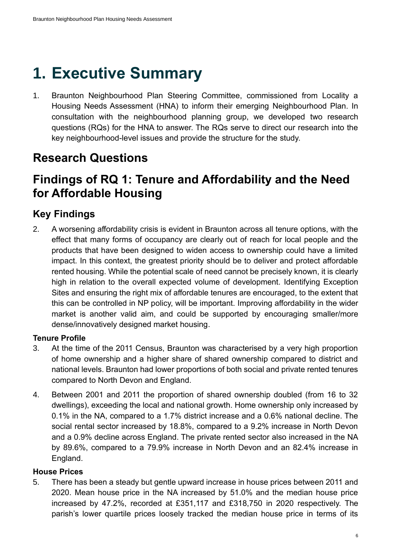# **1. Executive Summary**

1. Braunton Neighbourhood Plan Steering Committee, commissioned from Locality a Housing Needs Assessment (HNA) to inform their emerging Neighbourhood Plan. In consultation with the neighbourhood planning group, we developed two research questions (RQs) for the HNA to answer. The RQs serve to direct our research into the key neighbourhood-level issues and provide the structure for the study.

# **Research Questions**

# **Findings of RQ 1: Tenure and Affordability and the Need for Affordable Housing**

### **Key Findings**

2. A worsening affordability crisis is evident in Braunton across all tenure options, with the effect that many forms of occupancy are clearly out of reach for local people and the products that have been designed to widen access to ownership could have a limited impact. In this context, the greatest priority should be to deliver and protect affordable rented housing. While the potential scale of need cannot be precisely known, it is clearly high in relation to the overall expected volume of development. Identifying Exception Sites and ensuring the right mix of affordable tenures are encouraged, to the extent that this can be controlled in NP policy, will be important. Improving affordability in the wider market is another valid aim, and could be supported by encouraging smaller/more dense/innovatively designed market housing.

### **Tenure Profile**

- 3. At the time of the 2011 Census, Braunton was characterised by a very high proportion of home ownership and a higher share of shared ownership compared to district and national levels. Braunton had lower proportions of both social and private rented tenures compared to North Devon and England.
- 4. Between 2001 and 2011 the proportion of shared ownership doubled (from 16 to 32 dwellings), exceeding the local and national growth. Home ownership only increased by 0.1% in the NA, compared to a 1.7% district increase and a 0.6% national decline. The social rental sector increased by 18.8%, compared to a 9.2% increase in North Devon and a 0.9% decline across England. The private rented sector also increased in the NA by 89.6%, compared to a 79.9% increase in North Devon and an 82.4% increase in England.

### **House Prices**

5. There has been a steady but gentle upward increase in house prices between 2011 and 2020. Mean house price in the NA increased by 51.0% and the median house price increased by 47.2%, recorded at £351,117 and £318,750 in 2020 respectively. The parish's lower quartile prices loosely tracked the median house price in terms of its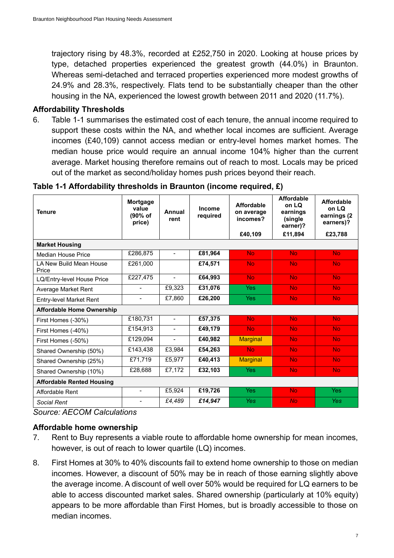trajectory rising by 48.3%, recorded at £252,750 in 2020. Looking at house prices by type, detached properties experienced the greatest growth (44.0%) in Braunton. Whereas semi-detached and terraced properties experienced more modest growths of 24.9% and 28.3%, respectively. Flats tend to be substantially cheaper than the other housing in the NA, experienced the lowest growth between 2011 and 2020 (11.7%).

#### **Affordability Thresholds**

6. [Table 1-1](#page-19-0) summarises the estimated cost of each tenure, the annual income required to support these costs within the NA, and whether local incomes are sufficient. Average incomes (£40,109) cannot access median or entry-level homes market homes. The median house price would require an annual income 104% higher than the current average. Market housing therefore remains out of reach to most. Locals may be priced out of the market as second/holiday homes push prices beyond their reach.

| Mortgage<br>Income<br>value<br>Annual<br>(90% of<br>required<br>rent<br>price) |                                 | <b>Affordable</b><br>on average<br>incomes? | <b>Affordable</b><br>on LQ<br>earnings<br>(single)<br>earner)? | <b>Affordable</b><br>on LQ<br>earnings (2)<br>earners)? |            |
|--------------------------------------------------------------------------------|---------------------------------|---------------------------------------------|----------------------------------------------------------------|---------------------------------------------------------|------------|
|                                                                                |                                 |                                             | £40,109                                                        | £11,894                                                 | £23,788    |
|                                                                                |                                 |                                             |                                                                |                                                         |            |
| £286,875                                                                       | $\overline{\phantom{a}}$        | £81,964<br><b>No</b>                        |                                                                | <b>No</b>                                               | <b>No</b>  |
| £261,000                                                                       |                                 | £74,571                                     | <b>No</b>                                                      | <b>No</b>                                               | <b>No</b>  |
| £227,475                                                                       | $\blacksquare$                  | £64,993                                     | <b>No</b>                                                      | <b>No</b>                                               | <b>No</b>  |
| $\blacksquare$                                                                 | £9,323                          | £31,076                                     | <b>Yes</b>                                                     | <b>No</b>                                               | <b>No</b>  |
| $\blacksquare$                                                                 | £7,860<br>£26,200<br><b>Yes</b> |                                             | <b>No</b>                                                      | <b>No</b>                                               |            |
|                                                                                |                                 |                                             |                                                                |                                                         |            |
| £180,731                                                                       | $\blacksquare$                  | £57,375                                     | <b>No</b>                                                      |                                                         | No.        |
| £154,913                                                                       | $\overline{\phantom{a}}$        | £49,179                                     | <b>No</b>                                                      | <b>No</b>                                               | <b>No</b>  |
| £129,094                                                                       | $\blacksquare$                  | £40,982                                     | <b>Marginal</b>                                                | <b>No</b>                                               | <b>No</b>  |
| E143,438                                                                       | £3,984                          | £54,263                                     | <b>No</b>                                                      | <b>No</b>                                               | <b>No</b>  |
| £71,719                                                                        | £5,977                          | £40,413                                     | <b>Marginal</b>                                                | <b>No</b>                                               | <b>No</b>  |
| £28,688                                                                        | £7,172                          | £32,103                                     | <b>Yes</b>                                                     | <b>No</b>                                               | <b>No</b>  |
|                                                                                |                                 |                                             |                                                                |                                                         |            |
| $\blacksquare$                                                                 | £5,924                          | £19,726                                     | <b>Yes</b>                                                     | <b>No</b>                                               | <b>Yes</b> |
| $\overline{\phantom{a}}$                                                       | £4,489                          | £14,947                                     | <b>Yes</b>                                                     | <b>No</b>                                               | Yes        |
|                                                                                | .                               |                                             |                                                                |                                                         | <b>No</b>  |

### <span id="page-19-0"></span>**Table 1-1 Affordability thresholds in Braunton (income required, £)**

*Source: AECOM Calculations*

### **Affordable home ownership**

- 7. Rent to Buy represents a viable route to affordable home ownership for mean incomes, however, is out of reach to lower quartile (LQ) incomes.
- 8. First Homes at 30% to 40% discounts fail to extend home ownership to those on median incomes. However, a discount of 50% may be in reach of those earning slightly above the average income. A discount of well over 50% would be required for LQ earners to be able to access discounted market sales. Shared ownership (particularly at 10% equity) appears to be more affordable than First Homes, but is broadly accessible to those on median incomes.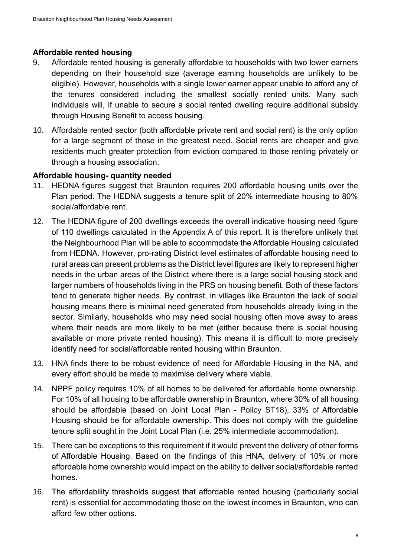### **Affordable rented housing**

- 9. Affordable rented housing is generally affordable to households with two lower earners depending on their household size (average earning households are unlikely to be eligible). However, households with a single lower earner appear unable to afford any of the tenures considered including the smallest socially rented units. Many such individuals will, if unable to secure a social rented dwelling require additional subsidy through Housing Benefit to access housing.
- 10. Affordable rented sector (both affordable private rent and social rent) is the only option for a large segment of those in the greatest need. Social rents are cheaper and give residents much greater protection from eviction compared to those renting privately or through a housing association.

### **Affordable housing- quantity needed**

- 11. HEDNA figures suggest that Braunton requires 200 affordable housing units over the Plan period. The HEDNA suggests a tenure split of 20% intermediate housing to 80% social/affordable rent.
- 12. The HEDNA figure of 200 dwellings exceeds the overall indicative housing need figure of 110 dwellings calculated in the Appendix A of this report. It is therefore unlikely that the Neighbourhood Plan will be able to accommodate the Affordable Housing calculated from HEDNA. However, pro-rating District level estimates of affordable housing need to rural areas can present problems as the District level figures are likely to represent higher needs in the urban areas of the District where there is a large social housing stock and larger numbers of households living in the PRS on housing benefit. Both of these factors tend to generate higher needs. By contrast, in villages like Braunton the lack of social housing means there is minimal need generated from households already living in the sector. Similarly, households who may need social housing often move away to areas where their needs are more likely to be met (either because there is social housing available or more private rented housing). This means it is difficult to more precisely identify need for social/affordable rented housing within Braunton.
- 13. HNA finds there to be robust evidence of need for Affordable Housing in the NA, and every effort should be made to maximise delivery where viable.
- 14. NPPF policy requires 10% of all homes to be delivered for affordable home ownership. For 10% of all housing to be affordable ownership in Braunton, where 30% of all housing should be affordable (based on Joint Local Plan - Policy ST18), 33% of Affordable Housing should be for affordable ownership. This does not comply with the guideline tenure split sought in the Joint Local Plan (i.e. 25% intermediate accommodation).
- 15. There can be exceptions to this requirement if it would prevent the delivery of other forms of Affordable Housing. Based on the findings of this HNA, delivery of 10% or more affordable home ownership would impact on the ability to deliver social/affordable rented homes.
- 16. The affordability thresholds suggest that affordable rented housing (particularly social rent) is essential for accommodating those on the lowest incomes in Braunton, who can afford few other options.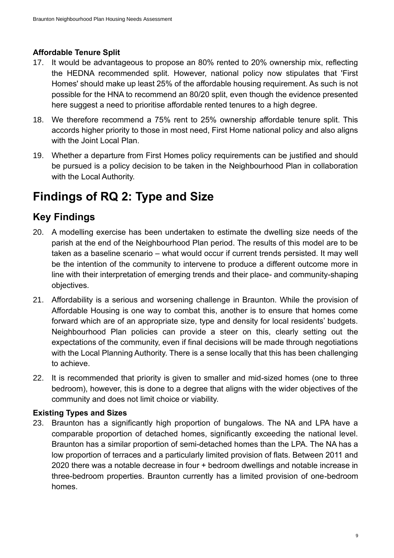### **Affordable Tenure Split**

- 17. It would be advantageous to propose an 80% rented to 20% ownership mix, reflecting the HEDNA recommended split. However, national policy now stipulates that 'First Homes' should make up least 25% of the affordable housing requirement. As such is not possible for the HNA to recommend an 80/20 split, even though the evidence presented here suggest a need to prioritise affordable rented tenures to a high degree.
- 18. We therefore recommend a 75% rent to 25% ownership affordable tenure split. This accords higher priority to those in most need, First Home national policy and also aligns with the Joint Local Plan.
- 19. Whether a departure from First Homes policy requirements can be justified and should be pursued is a policy decision to be taken in the Neighbourhood Plan in collaboration with the Local Authority.

# **Findings of RQ 2: Type and Size**

### **Key Findings**

- 20. A modelling exercise has been undertaken to estimate the dwelling size needs of the parish at the end of the Neighbourhood Plan period. The results of this model are to be taken as a baseline scenario – what would occur if current trends persisted. It may well be the intention of the community to intervene to produce a different outcome more in line with their interpretation of emerging trends and their place- and community-shaping objectives.
- 21. Affordability is a serious and worsening challenge in Braunton. While the provision of Affordable Housing is one way to combat this, another is to ensure that homes come forward which are of an appropriate size, type and density for local residents' budgets. Neighbourhood Plan policies can provide a steer on this, clearly setting out the expectations of the community, even if final decisions will be made through negotiations with the Local Planning Authority. There is a sense locally that this has been challenging to achieve.
- 22. It is recommended that priority is given to smaller and mid-sized homes (one to three bedroom), however, this is done to a degree that aligns with the wider objectives of the community and does not limit choice or viability.

### **Existing Types and Sizes**

23. Braunton has a significantly high proportion of bungalows. The NA and LPA have a comparable proportion of detached homes, significantly exceeding the national level. Braunton has a similar proportion of semi-detached homes than the LPA. The NA has a low proportion of terraces and a particularly limited provision of flats. Between 2011 and 2020 there was a notable decrease in four + bedroom dwellings and notable increase in three-bedroom properties. Braunton currently has a limited provision of one-bedroom homes.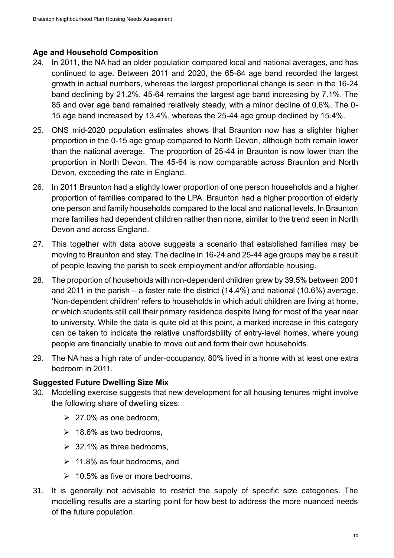### **Age and Household Composition**

- 24. In 2011, the NA had an older population compared local and national averages, and has continued to age. Between 2011 and 2020, the 65-84 age band recorded the largest growth in actual numbers, whereas the largest proportional change is seen in the 16-24 band declining by 21.2%. 45-64 remains the largest age band increasing by 7.1%. The 85 and over age band remained relatively steady, with a minor decline of 0.6%. The 0- 15 age band increased by 13.4%, whereas the 25-44 age group declined by 15.4%.
- 25. ONS mid-2020 population estimates shows that Braunton now has a slighter higher proportion in the 0-15 age group compared to North Devon, although both remain lower than the national average. The proportion of 25-44 in Braunton is now lower than the proportion in North Devon. The 45-64 is now comparable across Braunton and North Devon, exceeding the rate in England.
- 26. In 2011 Braunton had a slightly lower proportion of one person households and a higher proportion of families compared to the LPA. Braunton had a higher proportion of elderly one person and family households compared to the local and national levels. In Braunton more families had dependent children rather than none, similar to the trend seen in North Devon and across England.
- 27. This together with data above suggests a scenario that established families may be moving to Braunton and stay. The decline in 16-24 and 25-44 age groups may be a result of people leaving the parish to seek employment and/or affordable housing.
- 28. The proportion of households with non-dependent children grew by 39.5% between 2001 and 2011 in the parish – a faster rate the district (14.4%) and national (10.6%) average. 'Non-dependent children' refers to households in which adult children are living at home, or which students still call their primary residence despite living for most of the year near to university. While the data is quite old at this point, a marked increase in this category can be taken to indicate the relative unaffordability of entry-level homes, where young people are financially unable to move out and form their own households.
- 29. The NA has a high rate of under-occupancy, 80% lived in a home with at least one extra bedroom in 2011.

### **Suggested Future Dwelling Size Mix**

- 30. Modelling exercise suggests that new development for all housing tenures might involve the following share of dwelling sizes:
	- $\geq 27.0\%$  as one bedroom,
	- $\geq 18.6\%$  as two bedrooms,
	- $\geq$  32.1% as three bedrooms,
	- $\geq 11.8\%$  as four bedrooms, and
	- $\geq 10.5\%$  as five or more bedrooms.
- 31. It is generally not advisable to restrict the supply of specific size categories. The modelling results are a starting point for how best to address the more nuanced needs of the future population.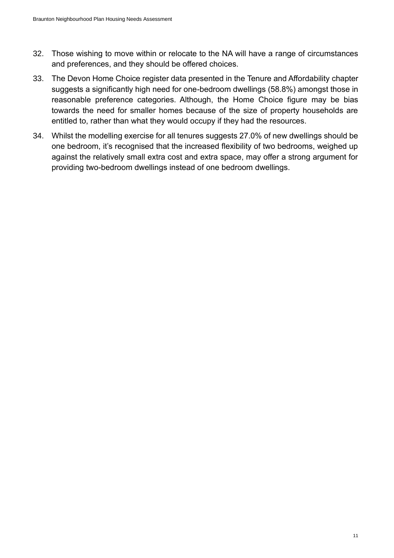- 32. Those wishing to move within or relocate to the NA will have a range of circumstances and preferences, and they should be offered choices.
- 33. The Devon Home Choice register data presented in the Tenure and Affordability chapter suggests a significantly high need for one-bedroom dwellings (58.8%) amongst those in reasonable preference categories. Although, the Home Choice figure may be bias towards the need for smaller homes because of the size of property households are entitled to, rather than what they would occupy if they had the resources.
- 34. Whilst the modelling exercise for all tenures suggests 27.0% of new dwellings should be one bedroom, it's recognised that the increased flexibility of two bedrooms, weighed up against the relatively small extra cost and extra space, may offer a strong argument for providing two-bedroom dwellings instead of one bedroom dwellings.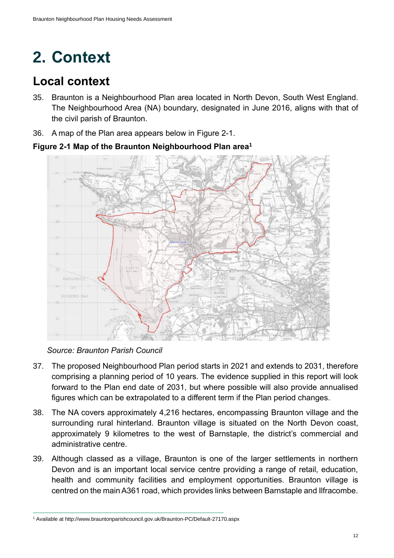# **2. Context**

# **Local context**

- 35. Braunton is a Neighbourhood Plan area located in North Devon, South West England. The Neighbourhood Area (NA) boundary, designated in June 2016, aligns with that of the civil parish of Braunton.
- 36. A map of the Plan area appears below in [Figure 2-1.](#page-24-0)

<span id="page-24-0"></span>**Figure 2-1 Map of the Braunton Neighbourhood Plan area<sup>1</sup>**



*Source: Braunton Parish Council*

- 37. The proposed Neighbourhood Plan period starts in 2021 and extends to 2031, therefore comprising a planning period of 10 years. The evidence supplied in this report will look forward to the Plan end date of 2031, but where possible will also provide annualised figures which can be extrapolated to a different term if the Plan period changes.
- 38. The NA covers approximately 4,216 hectares, encompassing Braunton village and the surrounding rural hinterland. Braunton village is situated on the North Devon coast, approximately 9 kilometres to the west of Barnstaple, the district's commercial and administrative centre.
- 39. Although classed as a village, Braunton is one of the larger settlements in northern Devon and is an important local service centre providing a range of retail, education, health and community facilities and employment opportunities. Braunton village is centred on the main A361 road, which provides links between Barnstaple and Ilfracombe.

<sup>1</sup> Available at http://www.brauntonparishcouncil.gov.uk/Braunton-PC/Default-27170.aspx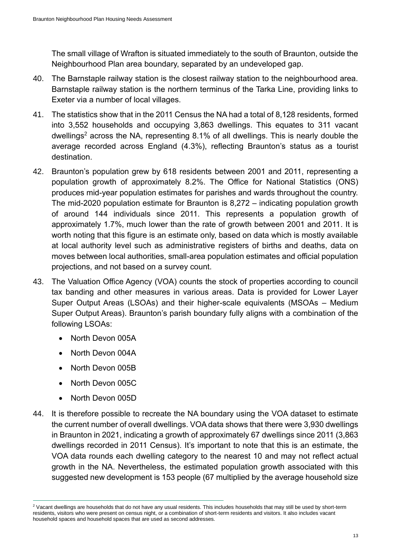The small village of Wrafton is situated immediately to the south of Braunton, outside the Neighbourhood Plan area boundary, separated by an undeveloped gap.

- 40. The Barnstaple railway station is the closest railway station to the neighbourhood area. Barnstaple railway station is the northern terminus of the Tarka Line, providing links to Exeter via a number of local villages.
- 41. The statistics show that in the 2011 Census the NA had a total of 8,128 residents, formed into 3,552 households and occupying 3,863 dwellings. This equates to 311 vacant dwellings <sup>2</sup> across the NA, representing 8.1% of all dwellings. This is nearly double the average recorded across England (4.3%), reflecting Braunton's status as a tourist destination.
- 42. Braunton's population grew by 618 residents between 2001 and 2011, representing a population growth of approximately 8.2%. The Office for National Statistics (ONS) produces mid-year population estimates for parishes and wards throughout the country. The mid-2020 population estimate for Braunton is 8,272 – indicating population growth of around 144 individuals since 2011. This represents a population growth of approximately 1.7%, much lower than the rate of growth between 2001 and 2011. It is worth noting that this figure is an estimate only, based on data which is mostly available at local authority level such as administrative registers of births and deaths, data on moves between local authorities, small-area population estimates and official population projections, and not based on a survey count.
- 43. The Valuation Office Agency (VOA) counts the stock of properties according to council tax banding and other measures in various areas. Data is provided for Lower Layer Super Output Areas (LSOAs) and their higher-scale equivalents (MSOAs – Medium Super Output Areas). Braunton's parish boundary fully aligns with a combination of the following LSOAs:
	- North Devon 005A
	- North Devon 004A
	- North Devon 005B
	- North Devon 005C
	- North Devon 005D
- 44. It is therefore possible to recreate the NA boundary using the VOA dataset to estimate the current number of overall dwellings. VOA data shows that there were 3,930 dwellings in Braunton in 2021, indicating a growth of approximately 67 dwellings since 2011 (3,863 dwellings recorded in 2011 Census). It's important to note that this is an estimate, the VOA data rounds each dwelling category to the nearest 10 and may not reflect actual growth in the NA. Nevertheless, the estimated population growth associated with this suggested new development is 153 people (67 multiplied by the average household size

<sup>&</sup>lt;sup>2</sup> Vacant dwellings are households that do not have any usual residents. This includes households that may still be used by short-term residents, visitors who were present on census night, or a combination of short-term residents and visitors. It also includes vacant household spaces and household spaces that are used as second addresses.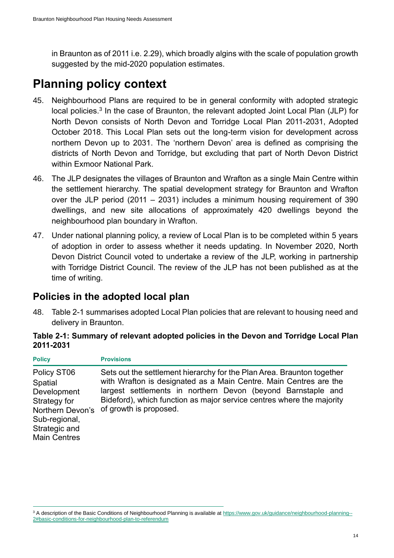in Braunton as of 2011 i.e. 2.29), which broadly algins with the scale of population growth suggested by the mid-2020 population estimates.

# **Planning policy context**

- 45. Neighbourhood Plans are required to be in general conformity with adopted strategic local policies.<sup>3</sup> In the case of Braunton, the relevant adopted Joint Local Plan (JLP) for North Devon consists of North Devon and Torridge Local Plan 2011-2031, Adopted October 2018. This Local Plan sets out the long-term vision for development across northern Devon up to 2031. The 'northern Devon' area is defined as comprising the districts of North Devon and Torridge, but excluding that part of North Devon District within Exmoor National Park.
- 46. The JLP designates the villages of Braunton and Wrafton as a single Main Centre within the settlement hierarchy. The spatial development strategy for Braunton and Wrafton over the JLP period (2011 – 2031) includes a minimum housing requirement of 390 dwellings, and new site allocations of approximately 420 dwellings beyond the neighbourhood plan boundary in Wrafton.
- 47. Under national planning policy, a review of Local Plan is to be completed within 5 years of adoption in order to assess whether it needs updating. In November 2020, North Devon District Council voted to undertake a review of the JLP, working in partnership with Torridge District Council. The review of the JLP has not been published as at the time of writing.

### **Policies in the adopted local plan**

48. Table 2-1 summarises adopted Local Plan policies that are relevant to housing need and delivery in Braunton.

### **Table 2-1: Summary of relevant adopted policies in the Devon and Torridge Local Plan 2011-2031**

| <b>Policy</b>                                                                                                                      | <b>Provisions</b>                                                                                                                                                                                                                                                                                              |
|------------------------------------------------------------------------------------------------------------------------------------|----------------------------------------------------------------------------------------------------------------------------------------------------------------------------------------------------------------------------------------------------------------------------------------------------------------|
| Policy ST06<br>Spatial<br>Development<br>Strategy for<br>Northern Devon's<br>Sub-regional,<br>Strategic and<br><b>Main Centres</b> | Sets out the settlement hierarchy for the Plan Area. Braunton together<br>with Wrafton is designated as a Main Centre. Main Centres are the<br>largest settlements in northern Devon (beyond Barnstaple and<br>Bideford), which function as major service centres where the majority<br>of growth is proposed. |

<sup>&</sup>lt;sup>3</sup> A description of the Basic Conditions of Neighbourhood Planning is available at [https://www.gov.uk/guidance/neighbourhood-planning--](https://www.gov.uk/guidance/neighbourhood-planning--2#basic-conditions-for-neighbourhood-plan-to-referendum) [2#basic-conditions-for-neighbourhood-plan-to-referendum](https://www.gov.uk/guidance/neighbourhood-planning--2#basic-conditions-for-neighbourhood-plan-to-referendum)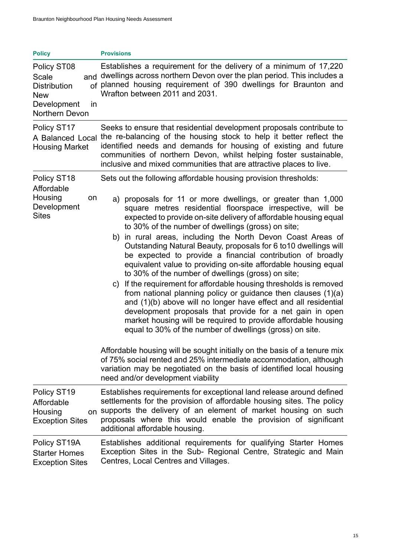| <b>Policy</b>                                                                                           | <b>Provisions</b>                                                                                                                                                                                                                                                                                                                                                                                                                                                                                                                                                                                                                                                                                                                                                                                                                                                                                                                                                                                                                                                                                                                                                                                                                                                                                                       |
|---------------------------------------------------------------------------------------------------------|-------------------------------------------------------------------------------------------------------------------------------------------------------------------------------------------------------------------------------------------------------------------------------------------------------------------------------------------------------------------------------------------------------------------------------------------------------------------------------------------------------------------------------------------------------------------------------------------------------------------------------------------------------------------------------------------------------------------------------------------------------------------------------------------------------------------------------------------------------------------------------------------------------------------------------------------------------------------------------------------------------------------------------------------------------------------------------------------------------------------------------------------------------------------------------------------------------------------------------------------------------------------------------------------------------------------------|
| Policy ST08<br>Scale<br><b>Distribution</b><br><b>New</b><br>Development<br>in<br><b>Northern Devon</b> | Establishes a requirement for the delivery of a minimum of 17,220<br>and dwellings across northern Devon over the plan period. This includes a<br>of planned housing requirement of 390 dwellings for Braunton and<br>Wrafton between 2011 and 2031.                                                                                                                                                                                                                                                                                                                                                                                                                                                                                                                                                                                                                                                                                                                                                                                                                                                                                                                                                                                                                                                                    |
| Policy ST17<br>A Balanced Local<br><b>Housing Market</b>                                                | Seeks to ensure that residential development proposals contribute to<br>the re-balancing of the housing stock to help it better reflect the<br>identified needs and demands for housing of existing and future<br>communities of northern Devon, whilst helping foster sustainable,<br>inclusive and mixed communities that are attractive places to live.                                                                                                                                                                                                                                                                                                                                                                                                                                                                                                                                                                                                                                                                                                                                                                                                                                                                                                                                                              |
| Policy ST18<br>Affordable<br>Housing<br>on<br>Development<br><b>Sites</b>                               | Sets out the following affordable housing provision thresholds:<br>a) proposals for 11 or more dwellings, or greater than 1,000<br>square metres residential floorspace irrespective, will be<br>expected to provide on-site delivery of affordable housing equal<br>to 30% of the number of dwellings (gross) on site;<br>b) in rural areas, including the North Devon Coast Areas of<br>Outstanding Natural Beauty, proposals for 6 to 10 dwellings will<br>be expected to provide a financial contribution of broadly<br>equivalent value to providing on-site affordable housing equal<br>to 30% of the number of dwellings (gross) on site;<br>If the requirement for affordable housing thresholds is removed<br>C)<br>from national planning policy or guidance then clauses $(1)(a)$<br>and (1)(b) above will no longer have effect and all residential<br>development proposals that provide for a net gain in open<br>market housing will be required to provide affordable housing<br>equal to 30% of the number of dwellings (gross) on site.<br>Affordable housing will be sought initially on the basis of a tenure mix<br>of 75% social rented and 25% intermediate accommodation, although<br>variation may be negotiated on the basis of identified local housing<br>need and/or development viability |
| Policy ST <sub>19</sub><br>Affordable<br>Housing<br><b>Exception Sites</b>                              | Establishes requirements for exceptional land release around defined<br>settlements for the provision of affordable housing sites. The policy<br>on supports the delivery of an element of market housing on such<br>proposals where this would enable the provision of significant<br>additional affordable housing.                                                                                                                                                                                                                                                                                                                                                                                                                                                                                                                                                                                                                                                                                                                                                                                                                                                                                                                                                                                                   |
| Policy ST19A<br><b>Starter Homes</b><br><b>Exception Sites</b>                                          | Establishes additional requirements for qualifying Starter Homes<br>Exception Sites in the Sub- Regional Centre, Strategic and Main<br>Centres, Local Centres and Villages.                                                                                                                                                                                                                                                                                                                                                                                                                                                                                                                                                                                                                                                                                                                                                                                                                                                                                                                                                                                                                                                                                                                                             |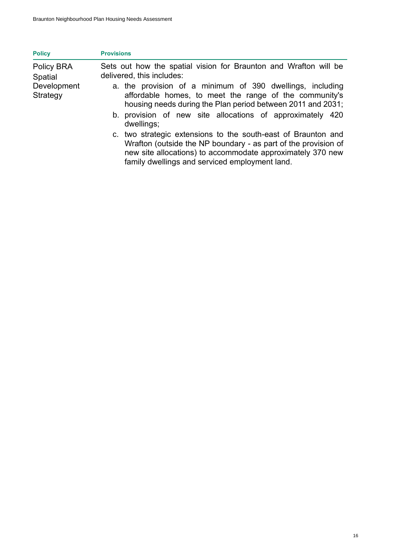| <b>Policy</b>                                    | <b>Provisions</b>                                                                                                                                                                                                                                                                   |
|--------------------------------------------------|-------------------------------------------------------------------------------------------------------------------------------------------------------------------------------------------------------------------------------------------------------------------------------------|
| Policy BRA<br>Spatial<br>Development<br>Strategy | Sets out how the spatial vision for Braunton and Wrafton will be<br>delivered, this includes:<br>a. the provision of a minimum of 390 dwellings, including<br>affordable homes, to meet the range of the community's<br>housing needs during the Plan period between 2011 and 2031; |
|                                                  | b. provision of new site allocations of approximately 420<br>dwellings;                                                                                                                                                                                                             |
|                                                  | c. two strategic extensions to the south-east of Braunton and<br>Wrafton (outside the NP boundary - as part of the provision of<br>new site allocations) to accommodate approximately 370 new<br>family dwellings and serviced employment land.                                     |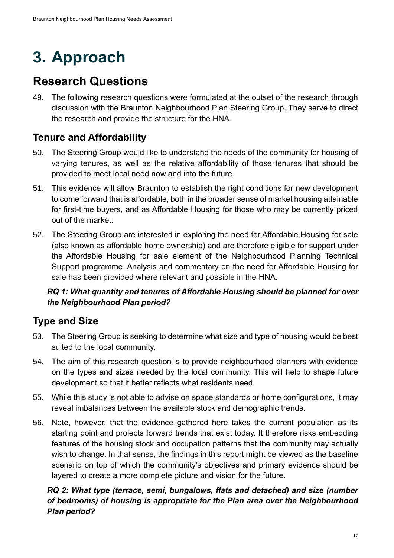# **3. Approach**

# **Research Questions**

49. The following research questions were formulated at the outset of the research through discussion with the Braunton Neighbourhood Plan Steering Group. They serve to direct the research and provide the structure for the HNA.

## **Tenure and Affordability**

- 50. The Steering Group would like to understand the needs of the community for housing of varying tenures, as well as the relative affordability of those tenures that should be provided to meet local need now and into the future.
- 51. This evidence will allow Braunton to establish the right conditions for new development to come forward that is affordable, both in the broader sense of market housing attainable for first-time buyers, and as Affordable Housing for those who may be currently priced out of the market.
- 52. The Steering Group are interested in exploring the need for Affordable Housing for sale (also known as affordable home ownership) and are therefore eligible for support under the Affordable Housing for sale element of the Neighbourhood Planning Technical Support programme. Analysis and commentary on the need for Affordable Housing for sale has been provided where relevant and possible in the HNA.

### *RQ 1: What quantity and tenures of Affordable Housing should be planned for over the Neighbourhood Plan period?*

### **Type and Size**

- 53. The Steering Group is seeking to determine what size and type of housing would be best suited to the local community.
- 54. The aim of this research question is to provide neighbourhood planners with evidence on the types and sizes needed by the local community. This will help to shape future development so that it better reflects what residents need.
- 55. While this study is not able to advise on space standards or home configurations, it may reveal imbalances between the available stock and demographic trends.
- 56. Note, however, that the evidence gathered here takes the current population as its starting point and projects forward trends that exist today. It therefore risks embedding features of the housing stock and occupation patterns that the community may actually wish to change. In that sense, the findings in this report might be viewed as the baseline scenario on top of which the community's objectives and primary evidence should be layered to create a more complete picture and vision for the future.

### *RQ 2: What type (terrace, semi, bungalows, flats and detached) and size (number of bedrooms) of housing is appropriate for the Plan area over the Neighbourhood Plan period?*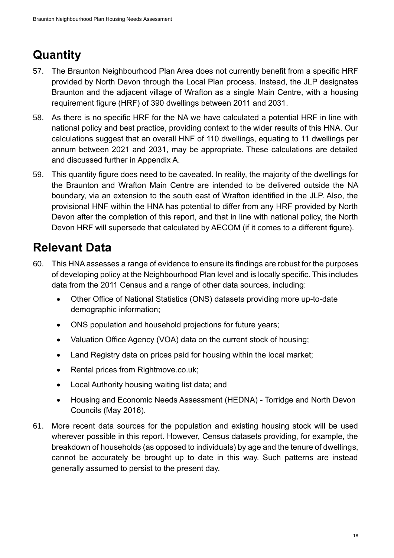# **Quantity**

- 57. The Braunton Neighbourhood Plan Area does not currently benefit from a specific HRF provided by North Devon through the Local Plan process. Instead, the JLP designates Braunton and the adjacent village of Wrafton as a single Main Centre, with a housing requirement figure (HRF) of 390 dwellings between 2011 and 2031.
- 58. As there is no specific HRF for the NA we have calculated a potential HRF in line with national policy and best practice, providing context to the wider results of this HNA. Our calculations suggest that an overall HNF of 110 dwellings, equating to 11 dwellings per annum between 2021 and 2031, may be appropriate. These calculations are detailed and discussed further in Appendix A.
- 59. This quantity figure does need to be caveated. In reality, the majority of the dwellings for the Braunton and Wrafton Main Centre are intended to be delivered outside the NA boundary, via an extension to the south east of Wrafton identified in the JLP. Also, the provisional HNF within the HNA has potential to differ from any HRF provided by North Devon after the completion of this report, and that in line with national policy, the North Devon HRF will supersede that calculated by AECOM (if it comes to a different figure).

# **Relevant Data**

- 60. This HNA assesses a range of evidence to ensure its findings are robust for the purposes of developing policy at the Neighbourhood Plan level and is locally specific. This includes data from the 2011 Census and a range of other data sources, including:
	- Other Office of National Statistics (ONS) datasets providing more up-to-date demographic information;
	- ONS population and household projections for future years;
	- Valuation Office Agency (VOA) data on the current stock of housing;
	- Land Registry data on prices paid for housing within the local market;
	- Rental prices from Rightmove.co.uk;
	- Local Authority housing waiting list data; and
	- Housing and Economic Needs Assessment (HEDNA) Torridge and North Devon Councils (May 2016).
- 61. More recent data sources for the population and existing housing stock will be used wherever possible in this report. However, Census datasets providing, for example, the breakdown of households (as opposed to individuals) by age and the tenure of dwellings, cannot be accurately be brought up to date in this way. Such patterns are instead generally assumed to persist to the present day.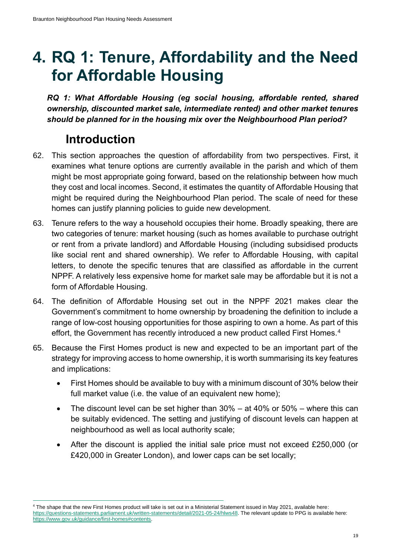# **4. RQ 1: Tenure, Affordability and the Need for Affordable Housing**

*RQ 1: What Affordable Housing (eg social housing, affordable rented, shared ownership, discounted market sale, intermediate rented) and other market tenures should be planned for in the housing mix over the Neighbourhood Plan period?*

# **Introduction**

- 62. This section approaches the question of affordability from two perspectives. First, it examines what tenure options are currently available in the parish and which of them might be most appropriate going forward, based on the relationship between how much they cost and local incomes. Second, it estimates the quantity of Affordable Housing that might be required during the Neighbourhood Plan period. The scale of need for these homes can justify planning policies to guide new development.
- 63. Tenure refers to the way a household occupies their home. Broadly speaking, there are two categories of tenure: market housing (such as homes available to purchase outright or rent from a private landlord) and Affordable Housing (including subsidised products like social rent and shared ownership). We refer to Affordable Housing, with capital letters, to denote the specific tenures that are classified as affordable in the current NPPF. A relatively less expensive home for market sale may be affordable but it is not a form of Affordable Housing.
- 64. The definition of Affordable Housing set out in the NPPF 2021 makes clear the Government's commitment to home ownership by broadening the definition to include a range of low-cost housing opportunities for those aspiring to own a home. As part of this effort, the Government has recently introduced a new product called First Homes.<sup>4</sup>
- 65. Because the First Homes product is new and expected to be an important part of the strategy for improving access to home ownership, it is worth summarising its key features and implications:
	- First Homes should be available to buy with a minimum discount of 30% below their full market value (i.e. the value of an equivalent new home);
	- The discount level can be set higher than  $30\%$  at 40% or  $50\%$  where this can be suitably evidenced. The setting and justifying of discount levels can happen at neighbourhood as well as local authority scale;
	- After the discount is applied the initial sale price must not exceed £250,000 (or £420,000 in Greater London), and lower caps can be set locally;

<sup>4</sup> The shape that the new First Homes product will take is set out in a Ministerial Statement issued in May 2021, available here: [https://questions-statements.parliament.uk/written-statements/detail/2021-05-24/hlws48.](https://questions-statements.parliament.uk/written-statements/detail/2021-05-24/hlws48) The relevant update to PPG is available here: [https://www.gov.uk/guidance/first-homes#contents.](https://www.gov.uk/guidance/first-homes#contents)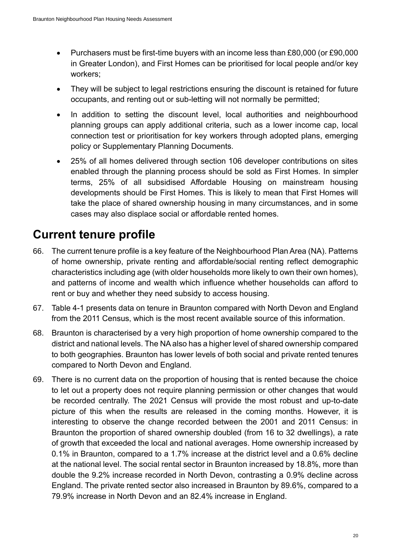- Purchasers must be first-time buyers with an income less than £80,000 (or £90,000 in Greater London), and First Homes can be prioritised for local people and/or key workers;
- They will be subject to legal restrictions ensuring the discount is retained for future occupants, and renting out or sub-letting will not normally be permitted;
- In addition to setting the discount level, local authorities and neighbourhood planning groups can apply additional criteria, such as a lower income cap, local connection test or prioritisation for key workers through adopted plans, emerging policy or Supplementary Planning Documents.
- 25% of all homes delivered through section 106 developer contributions on sites enabled through the planning process should be sold as First Homes. In simpler terms, 25% of all subsidised Affordable Housing on mainstream housing developments should be First Homes. This is likely to mean that First Homes will take the place of shared ownership housing in many circumstances, and in some cases may also displace social or affordable rented homes.

# **Current tenure profile**

- 66. The current tenure profile is a key feature of the Neighbourhood Plan Area (NA). Patterns of home ownership, private renting and affordable/social renting reflect demographic characteristics including age (with older households more likely to own their own homes), and patterns of income and wealth which influence whether households can afford to rent or buy and whether they need subsidy to access housing.
- 67. [Table 4-1](#page-33-0) presents data on tenure in Braunton compared with North Devon and England from the 2011 Census, which is the most recent available source of this information.
- 68. Braunton is characterised by a very high proportion of home ownership compared to the district and national levels. The NA also has a higher level of shared ownership compared to both geographies. Braunton has lower levels of both social and private rented tenures compared to North Devon and England.
- 69. There is no current data on the proportion of housing that is rented because the choice to let out a property does not require planning permission or other changes that would be recorded centrally. The 2021 Census will provide the most robust and up-to-date picture of this when the results are released in the coming months. However, it is interesting to observe the change recorded between the 2001 and 2011 Census: in Braunton the proportion of shared ownership doubled (from 16 to 32 dwellings), a rate of growth that exceeded the local and national averages. Home ownership increased by 0.1% in Braunton, compared to a 1.7% increase at the district level and a 0.6% decline at the national level. The social rental sector in Braunton increased by 18.8%, more than double the 9.2% increase recorded in North Devon, contrasting a 0.9% decline across England. The private rented sector also increased in Braunton by 89.6%, compared to a 79.9% increase in North Devon and an 82.4% increase in England.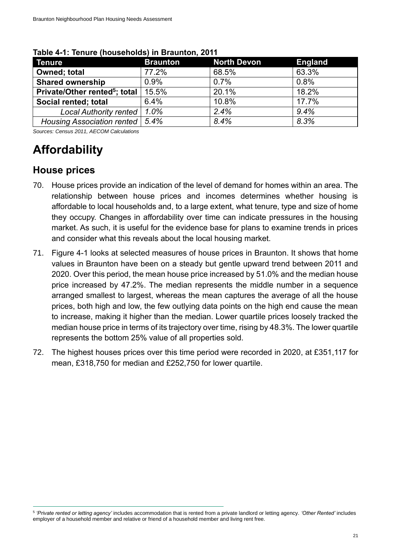| <b>Tenure</b>                             | <b>Braunton</b> | North Devon | <b>England</b> |
|-------------------------------------------|-----------------|-------------|----------------|
| <b>Owned</b> ; total                      | 77.2%           | 68.5%       | 63.3%          |
| <b>Shared ownership</b>                   | 0.9%            | 0.7%        | 0.8%           |
| Private/Other rented <sup>5</sup> ; total | 15.5%           | 20.1%       | 18.2%          |
| Social rented; total                      | 6.4%            | 10.8%       | 17.7%          |
| <b>Local Authority rented</b>             | 1.0%            | 2.4%        | 9.4%           |
| <b>Housing Association rented</b>         | 5.4%            | 8.4%        | 8.3%           |

#### <span id="page-33-0"></span>**Table 4-1: Tenure (households) in Braunton, 2011**

*Sources: Census 2011, AECOM Calculations*

# **Affordability**

### **House prices**

- 70. House prices provide an indication of the level of demand for homes within an area. The relationship between house prices and incomes determines whether housing is affordable to local households and, to a large extent, what tenure, type and size of home they occupy. Changes in affordability over time can indicate pressures in the housing market. As such, it is useful for the evidence base for plans to examine trends in prices and consider what this reveals about the local housing market.
- 71. [Figure 4-1](#page-34-0) looks at selected measures of house prices in Braunton. It shows that home values in Braunton have been on a steady but gentle upward trend between 2011 and 2020. Over this period, the mean house price increased by 51.0% and the median house price increased by 47.2%. The median represents the middle number in a sequence arranged smallest to largest, whereas the mean captures the average of all the house prices, both high and low, the few outlying data points on the high end cause the mean to increase, making it higher than the median. Lower quartile prices loosely tracked the median house price in terms of its trajectory over time, rising by 48.3%. The lower quartile represents the bottom 25% value of all properties sold.
- 72. The highest houses prices over this time period were recorded in 2020, at £351,117 for mean, £318,750 for median and £252,750 for lower quartile.

<sup>5</sup> *'Private rented or letting agency'* includes accommodation that is rented from a private landlord or letting agency. *'Other Rented'* includes employer of a household member and relative or friend of a household member and living rent free.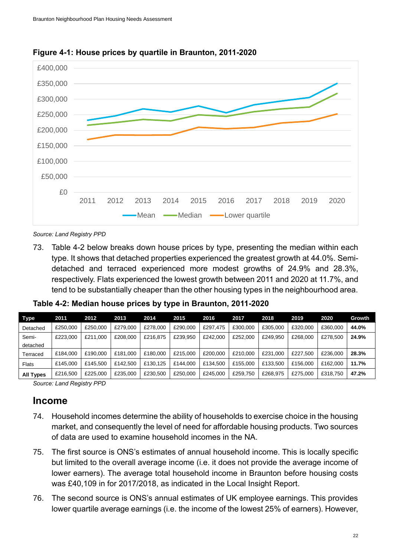

<span id="page-34-0"></span>**Figure 4-1: House prices by quartile in Braunton, 2011-2020**

*Source: Land Registry PPD*

73. [Table 4-2](#page-34-1) below breaks down house prices by type, presenting the median within each type. It shows that detached properties experienced the greatest growth at 44.0%. Semidetached and terraced experienced more modest growths of 24.9% and 28.3%, respectively. Flats experienced the lowest growth between 2011 and 2020 at 11.7%, and tend to be substantially cheaper than the other housing types in the neighbourhood area.

| Type              | 2011     | 2012     | 2013     | 2014     | 2015     | 2016     | 2017     | 2018     | 2019     | 2020     | Growth |
|-------------------|----------|----------|----------|----------|----------|----------|----------|----------|----------|----------|--------|
| Detached          | £250,000 | £250,000 | £279,000 | £278,000 | £290,000 | £297.475 | £300.000 | £305.000 | £320,000 | £360,000 | 44.0%  |
| Semi-<br>detached | £223,000 | £211.000 | £208,000 | £216.875 | £239.950 | £242,000 | £252,000 | £249.950 | £268,000 | £278,500 | 24.9%  |
| Terraced          | £184.000 | £190,000 | £181.000 | £180,000 | £215,000 | £200.000 | £210.000 | £231,000 | £227,500 | £236,000 | 28.3%  |
| Flats             | £145,000 | £145.500 | £142.500 | £130.125 | £144.000 | £134.500 | £155,000 | £133,500 | £156,000 | £162,000 | 11.7%  |
| <b>All Types</b>  | £216,500 | £225,000 | £235,000 | £230.500 | £250,000 | £245,000 | £259.750 | £268.975 | £275,000 | £318,750 | 47.2%  |

<span id="page-34-1"></span>**Table 4-2: Median house prices by type in Braunton, 2011-2020**

*Source: Land Registry PPD*

### **Income**

- 74. Household incomes determine the ability of households to exercise choice in the housing market, and consequently the level of need for affordable housing products. Two sources of data are used to examine household incomes in the NA.
- 75. The first source is ONS's estimates of annual household income. This is locally specific but limited to the overall average income (i.e. it does not provide the average income of lower earners). The average total household income in Braunton before housing costs was £40,109 in for 2017/2018, as indicated in the Local Insight Report.
- 76. The second source is ONS's annual estimates of UK employee earnings. This provides lower quartile average earnings (i.e. the income of the lowest 25% of earners). However,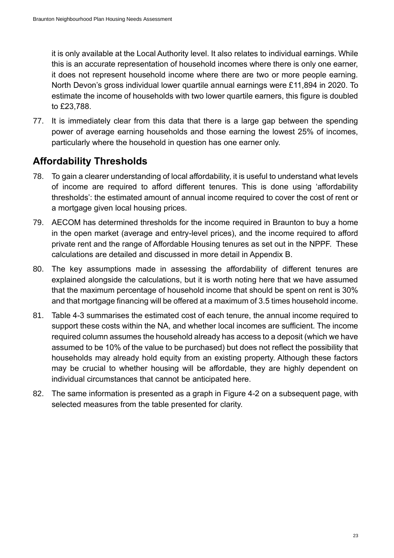it is only available at the Local Authority level. It also relates to individual earnings. While this is an accurate representation of household incomes where there is only one earner, it does not represent household income where there are two or more people earning. North Devon's gross individual lower quartile annual earnings were £11,894 in 2020. To estimate the income of households with two lower quartile earners, this figure is doubled to £23,788.

77. It is immediately clear from this data that there is a large gap between the spending power of average earning households and those earning the lowest 25% of incomes, particularly where the household in question has one earner only.

## **Affordability Thresholds**

- 78. To gain a clearer understanding of local affordability, it is useful to understand what levels of income are required to afford different tenures. This is done using 'affordability thresholds': the estimated amount of annual income required to cover the cost of rent or a mortgage given local housing prices.
- 79. AECOM has determined thresholds for the income required in Braunton to buy a home in the open market (average and entry-level prices), and the income required to afford private rent and the range of Affordable Housing tenures as set out in the NPPF. These calculations are detailed and discussed in more detail in Appendix B.
- 80. The key assumptions made in assessing the affordability of different tenures are explained alongside the calculations, but it is worth noting here that we have assumed that the maximum percentage of household income that should be spent on rent is 30% and that mortgage financing will be offered at a maximum of 3.5 times household income.
- 81. [Table 4-3](#page-36-0) summarises the estimated cost of each tenure, the annual income required to support these costs within the NA, and whether local incomes are sufficient. The income required column assumes the household already has access to a deposit (which we have assumed to be 10% of the value to be purchased) but does not reflect the possibility that households may already hold equity from an existing property. Although these factors may be crucial to whether housing will be affordable, they are highly dependent on individual circumstances that cannot be anticipated here.
- 82. The same information is presented as a graph in [Figure 4-2](#page-40-0) on a subsequent page, with selected measures from the table presented for clarity.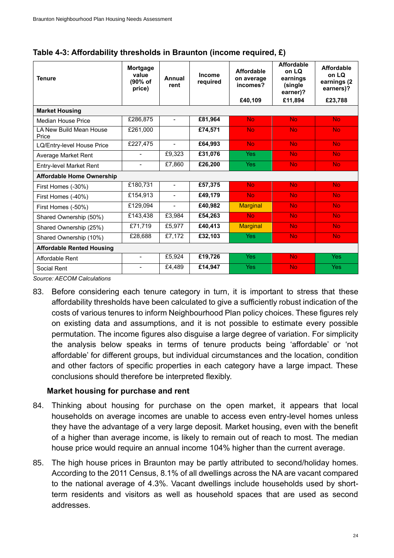| <b>Tenure</b>                    | <b>Mortgage</b><br>value<br>(90% of<br>price) | Annual<br>rent           | Income<br>required | <b>Affordable</b><br>on average<br>incomes? | <b>Affordable</b><br>on LO<br>earnings<br>(single)<br>earner)? | <b>Affordable</b><br>on LQ<br>earnings (2<br>earners)? |
|----------------------------------|-----------------------------------------------|--------------------------|--------------------|---------------------------------------------|----------------------------------------------------------------|--------------------------------------------------------|
|                                  |                                               |                          |                    | £40,109                                     | £11.894                                                        | £23,788                                                |
| <b>Market Housing</b>            |                                               |                          |                    |                                             |                                                                |                                                        |
| <b>Median House Price</b>        | £286,875                                      | $\overline{\phantom{a}}$ | £81,964            | <b>No</b>                                   | <b>No</b>                                                      | <b>No</b>                                              |
| LA New Build Mean House<br>Price | £261.000                                      |                          | £74,571            | <b>No</b>                                   | <b>No</b>                                                      | <b>No</b>                                              |
| LQ/Entry-level House Price       | £227,475                                      |                          | £64,993            | <b>No</b>                                   | <b>No</b>                                                      | <b>No</b>                                              |
| Average Market Rent              | $\overline{\phantom{0}}$                      | £9,323                   | £31,076            | <b>Yes</b>                                  | <b>No</b>                                                      | <b>No</b>                                              |
| <b>Entry-level Market Rent</b>   | $\blacksquare$                                | $\overline{E}$ 7,860     | £26,200            | <b>Yes</b>                                  | <b>No</b>                                                      | <b>No</b>                                              |
| <b>Affordable Home Ownership</b> |                                               |                          |                    |                                             |                                                                |                                                        |
| First Homes (-30%)               | £180,731                                      | $\overline{\phantom{a}}$ | £57,375            | <b>No</b>                                   | <b>No</b>                                                      | <b>No</b>                                              |
| First Homes (-40%)               | £154,913                                      | $\blacksquare$           | £49,179            | <b>No</b>                                   | <b>No</b>                                                      | <b>No</b>                                              |
| First Homes (-50%)               | £129,094                                      | $\blacksquare$           | £40,982            | <b>Marginal</b>                             | <b>No</b>                                                      | N <sub>o</sub>                                         |
| Shared Ownership (50%)           | £143,438                                      | £3,984                   | £54,263            | <b>No</b>                                   | No.                                                            | <b>No</b>                                              |
| Shared Ownership (25%)           | £71,719                                       | £5,977                   | £40,413            | <b>Marginal</b>                             | <b>No</b>                                                      | <b>No</b>                                              |
| Shared Ownership (10%)           | £28,688                                       | £7,172                   | £32,103            | <b>Yes</b>                                  | <b>No</b>                                                      | <b>No</b>                                              |
| <b>Affordable Rented Housing</b> |                                               |                          |                    |                                             |                                                                |                                                        |
| Affordable Rent                  | $\blacksquare$                                | £5,924                   | £19,726            | <b>Yes</b>                                  | <b>No</b>                                                      | <b>Yes</b>                                             |
| Social Rent                      | $\blacksquare$                                | £4,489                   | £14,947            | Yes                                         | <b>No</b>                                                      | <b>Yes</b>                                             |

| Table 4-3: Affordability thresholds in Braunton (income required, £) |  |  |  |  |
|----------------------------------------------------------------------|--|--|--|--|
|----------------------------------------------------------------------|--|--|--|--|

*Source: AECOM Calculations*

83. Before considering each tenure category in turn, it is important to stress that these affordability thresholds have been calculated to give a sufficiently robust indication of the costs of various tenures to inform Neighbourhood Plan policy choices. These figures rely on existing data and assumptions, and it is not possible to estimate every possible permutation. The income figures also disguise a large degree of variation. For simplicity the analysis below speaks in terms of tenure products being 'affordable' or 'not affordable' for different groups, but individual circumstances and the location, condition and other factors of specific properties in each category have a large impact. These conclusions should therefore be interpreted flexibly.

#### **Market housing for purchase and rent**

- 84. Thinking about housing for purchase on the open market, it appears that local households on average incomes are unable to access even entry-level homes unless they have the advantage of a very large deposit. Market housing, even with the benefit of a higher than average income, is likely to remain out of reach to most. The median house price would require an annual income 104% higher than the current average.
- 85. The high house prices in Braunton may be partly attributed to second/holiday homes. According to the 2011 Census, 8.1% of all dwellings across the NA are vacant compared to the national average of 4.3%. Vacant dwellings include households used by shortterm residents and visitors as well as household spaces that are used as second addresses.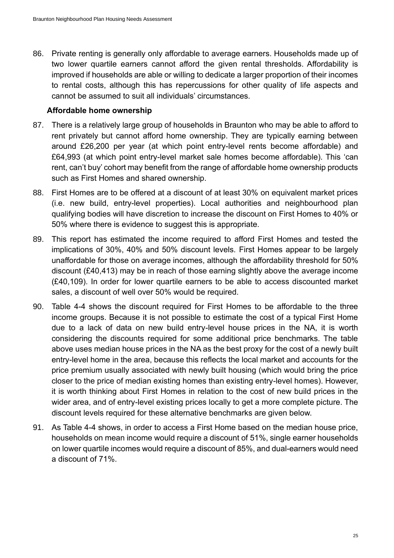86. Private renting is generally only affordable to average earners. Households made up of two lower quartile earners cannot afford the given rental thresholds. Affordability is improved if households are able or willing to dedicate a larger proportion of their incomes to rental costs, although this has repercussions for other quality of life aspects and cannot be assumed to suit all individuals' circumstances.

#### **Affordable home ownership**

- 87. There is a relatively large group of households in Braunton who may be able to afford to rent privately but cannot afford home ownership. They are typically earning between around £26,200 per year (at which point entry-level rents become affordable) and £64,993 (at which point entry-level market sale homes become affordable). This 'can rent, can't buy' cohort may benefit from the range of affordable home ownership products such as First Homes and shared ownership.
- 88. First Homes are to be offered at a discount of at least 30% on equivalent market prices (i.e. new build, entry-level properties). Local authorities and neighbourhood plan qualifying bodies will have discretion to increase the discount on First Homes to 40% or 50% where there is evidence to suggest this is appropriate.
- 89. This report has estimated the income required to afford First Homes and tested the implications of 30%, 40% and 50% discount levels. First Homes appear to be largely unaffordable for those on average incomes, although the affordability threshold for 50% discount (£40,413) may be in reach of those earning slightly above the average income (£40,109). In order for lower quartile earners to be able to access discounted market sales, a discount of well over 50% would be required.
- 90. [Table 4-4](#page-38-0) shows the discount required for First Homes to be affordable to the three income groups. Because it is not possible to estimate the cost of a typical First Home due to a lack of data on new build entry-level house prices in the NA, it is worth considering the discounts required for some additional price benchmarks. The table above uses median house prices in the NA as the best proxy for the cost of a newly built entry-level home in the area, because this reflects the local market and accounts for the price premium usually associated with newly built housing (which would bring the price closer to the price of median existing homes than existing entry-level homes). However, it is worth thinking about First Homes in relation to the cost of new build prices in the wider area, and of entry-level existing prices locally to get a more complete picture. The discount levels required for these alternative benchmarks are given below.
- 91. As [Table 4-4](#page-38-0) shows, in order to access a First Home based on the median house price, households on mean income would require a discount of 51%, single earner households on lower quartile incomes would require a discount of 85%, and dual-earners would need a discount of 71%.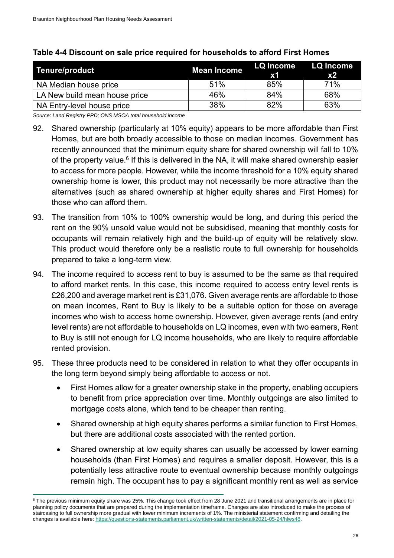| <b>Tenure/product</b>         | <b>Mean Income</b> | $\mathbf{x}$ 1 | LQ Income LQ Income<br>x2 |
|-------------------------------|--------------------|----------------|---------------------------|
| NA Median house price         | 51%                | 85%            | 71%                       |
| LA New build mean house price | 46%                | 84%            | 68%                       |
| NA Entry-level house price    | 38%                | 82%            | 63%                       |

#### <span id="page-38-0"></span>**Table 4-4 Discount on sale price required for households to afford First Homes**

*Source: Land Registry PPD; ONS MSOA total household income*

- 92. Shared ownership (particularly at 10% equity) appears to be more affordable than First Homes, but are both broadly accessible to those on median incomes. Government has recently announced that the minimum equity share for shared ownership will fall to 10% of the property value.<sup>6</sup> If this is delivered in the NA, it will make shared ownership easier to access for more people. However, while the income threshold for a 10% equity shared ownership home is lower, this product may not necessarily be more attractive than the alternatives (such as shared ownership at higher equity shares and First Homes) for those who can afford them.
- 93. The transition from 10% to 100% ownership would be long, and during this period the rent on the 90% unsold value would not be subsidised, meaning that monthly costs for occupants will remain relatively high and the build-up of equity will be relatively slow. This product would therefore only be a realistic route to full ownership for households prepared to take a long-term view.
- 94. The income required to access rent to buy is assumed to be the same as that required to afford market rents. In this case, this income required to access entry level rents is £26,200 and average market rent is £31,076. Given average rents are affordable to those on mean incomes, Rent to Buy is likely to be a suitable option for those on average incomes who wish to access home ownership. However, given average rents (and entry level rents) are not affordable to households on LQ incomes, even with two earners, Rent to Buy is still not enough for LQ income households, who are likely to require affordable rented provision.
- 95. These three products need to be considered in relation to what they offer occupants in the long term beyond simply being affordable to access or not.
	- First Homes allow for a greater ownership stake in the property, enabling occupiers to benefit from price appreciation over time. Monthly outgoings are also limited to mortgage costs alone, which tend to be cheaper than renting.
	- Shared ownership at high equity shares performs a similar function to First Homes, but there are additional costs associated with the rented portion.
	- Shared ownership at low equity shares can usually be accessed by lower earning households (than First Homes) and requires a smaller deposit. However, this is a potentially less attractive route to eventual ownership because monthly outgoings remain high. The occupant has to pay a significant monthly rent as well as service

<sup>&</sup>lt;sup>6</sup> The previous minimum equity share was 25%. This change took effect from 28 June 2021 and transitional arrangements are in place for planning policy documents that are prepared during the implementation timeframe. Changes are also introduced to make the process of staircasing to full ownership more gradual with lower minimum increments of 1%. The ministerial statement confirming and detailing the changes is available here[: https://questions-statements.parliament.uk/written-statements/detail/2021-05-24/hlws48.](https://questions-statements.parliament.uk/written-statements/detail/2021-05-24/hlws48)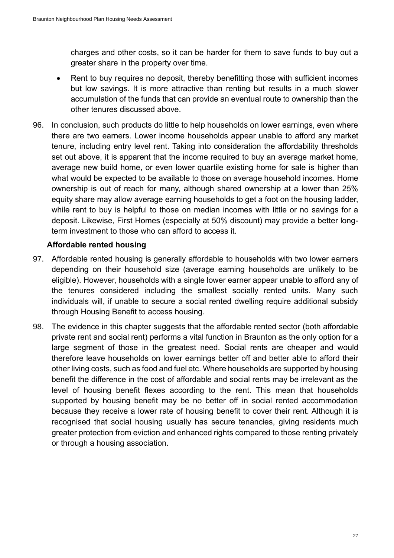charges and other costs, so it can be harder for them to save funds to buy out a greater share in the property over time.

- Rent to buy requires no deposit, thereby benefitting those with sufficient incomes but low savings. It is more attractive than renting but results in a much slower accumulation of the funds that can provide an eventual route to ownership than the other tenures discussed above.
- 96. In conclusion, such products do little to help households on lower earnings, even where there are two earners. Lower income households appear unable to afford any market tenure, including entry level rent. Taking into consideration the affordability thresholds set out above, it is apparent that the income required to buy an average market home, average new build home, or even lower quartile existing home for sale is higher than what would be expected to be available to those on average household incomes. Home ownership is out of reach for many, although shared ownership at a lower than 25% equity share may allow average earning households to get a foot on the housing ladder, while rent to buy is helpful to those on median incomes with little or no savings for a deposit. Likewise, First Homes (especially at 50% discount) may provide a better longterm investment to those who can afford to access it.

#### **Affordable rented housing**

- 97. Affordable rented housing is generally affordable to households with two lower earners depending on their household size (average earning households are unlikely to be eligible). However, households with a single lower earner appear unable to afford any of the tenures considered including the smallest socially rented units. Many such individuals will, if unable to secure a social rented dwelling require additional subsidy through Housing Benefit to access housing.
- 98. The evidence in this chapter suggests that the affordable rented sector (both affordable private rent and social rent) performs a vital function in Braunton as the only option for a large segment of those in the greatest need. Social rents are cheaper and would therefore leave households on lower earnings better off and better able to afford their other living costs, such as food and fuel etc. Where households are supported by housing benefit the difference in the cost of affordable and social rents may be irrelevant as the level of housing benefit flexes according to the rent. This mean that households supported by housing benefit may be no better off in social rented accommodation because they receive a lower rate of housing benefit to cover their rent. Although it is recognised that social housing usually has secure tenancies, giving residents much greater protection from eviction and enhanced rights compared to those renting privately or through a housing association.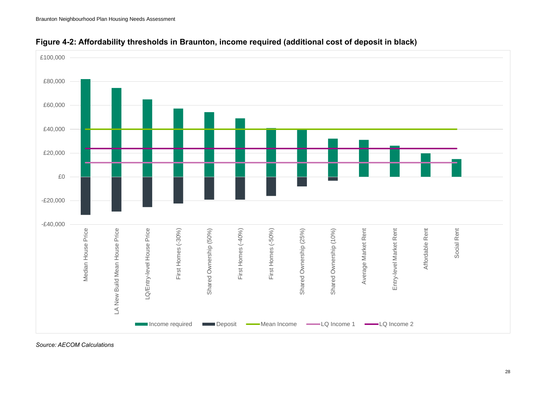



*Source: AECOM Calculations*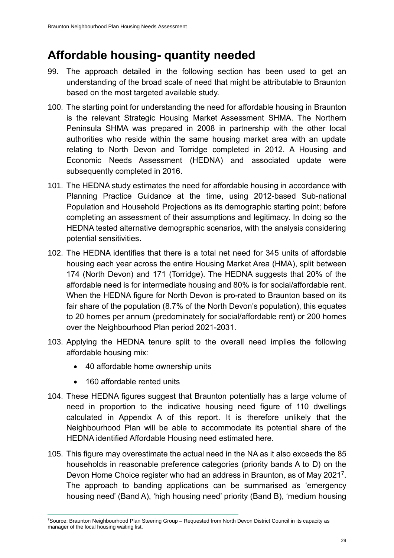## **Affordable housing- quantity needed**

- 99. The approach detailed in the following section has been used to get an understanding of the broad scale of need that might be attributable to Braunton based on the most targeted available study.
- 100. The starting point for understanding the need for affordable housing in Braunton is the relevant Strategic Housing Market Assessment SHMA. The Northern Peninsula SHMA was prepared in 2008 in partnership with the other local authorities who reside within the same housing market area with an update relating to North Devon and Torridge completed in 2012. A Housing and Economic Needs Assessment (HEDNA) and associated update were subsequently completed in 2016.
- 101. The HEDNA study estimates the need for affordable housing in accordance with Planning Practice Guidance at the time, using 2012-based Sub-national Population and Household Projections as its demographic starting point; before completing an assessment of their assumptions and legitimacy. In doing so the HEDNA tested alternative demographic scenarios, with the analysis considering potential sensitivities.
- 102. The HEDNA identifies that there is a total net need for 345 units of affordable housing each year across the entire Housing Market Area (HMA), split between 174 (North Devon) and 171 (Torridge). The HEDNA suggests that 20% of the affordable need is for intermediate housing and 80% is for social/affordable rent. When the HEDNA figure for North Devon is pro-rated to Braunton based on its fair share of the population (8.7% of the North Devon's population), this equates to 20 homes per annum (predominately for social/affordable rent) or 200 homes over the Neighbourhood Plan period 2021-2031.
- 103. Applying the HEDNA tenure split to the overall need implies the following affordable housing mix:
	- 40 affordable home ownership units
	- 160 affordable rented units
- 104. These HEDNA figures suggest that Braunton potentially has a large volume of need in proportion to the indicative housing need figure of 110 dwellings calculated in Appendix A of this report. It is therefore unlikely that the Neighbourhood Plan will be able to accommodate its potential share of the HEDNA identified Affordable Housing need estimated here.
- 105. This figure may overestimate the actual need in the NA as it also exceeds the 85 households in reasonable preference categories (priority bands A to D) on the Devon Home Choice register who had an address in Braunton, as of May 2021<sup>7</sup>. The approach to banding applications can be summarised as 'emergency housing need' (Band A), 'high housing need' priority (Band B), 'medium housing

<sup>7</sup>Source: Braunton Neighbourhood Plan Steering Group – Requested from North Devon District Council in its capacity as manager of the local housing waiting list.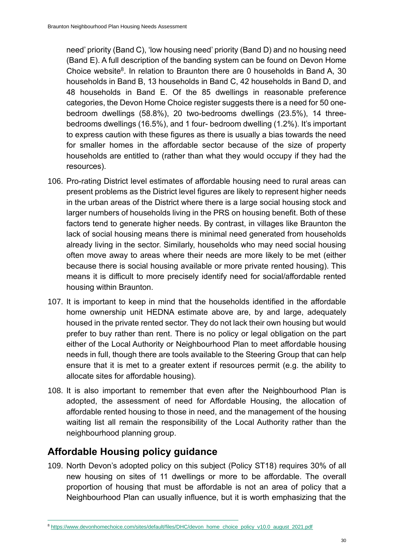need' priority (Band C), 'low housing need' priority (Band D) and no housing need (Band E). A full description of the banding system can be found on Devon Home Choice website<sup>8</sup>. In relation to Braunton there are 0 households in Band A, 30 households in Band B, 13 households in Band C, 42 households in Band D, and 48 households in Band E. Of the 85 dwellings in reasonable preference categories, the Devon Home Choice register suggests there is a need for 50 onebedroom dwellings (58.8%), 20 two-bedrooms dwellings (23.5%), 14 threebedrooms dwellings (16.5%), and 1 four- bedroom dwelling (1.2%). It's important to express caution with these figures as there is usually a bias towards the need for smaller homes in the affordable sector because of the size of property households are entitled to (rather than what they would occupy if they had the resources).

- 106. Pro-rating District level estimates of affordable housing need to rural areas can present problems as the District level figures are likely to represent higher needs in the urban areas of the District where there is a large social housing stock and larger numbers of households living in the PRS on housing benefit. Both of these factors tend to generate higher needs. By contrast, in villages like Braunton the lack of social housing means there is minimal need generated from households already living in the sector. Similarly, households who may need social housing often move away to areas where their needs are more likely to be met (either because there is social housing available or more private rented housing). This means it is difficult to more precisely identify need for social/affordable rented housing within Braunton.
- 107. It is important to keep in mind that the households identified in the affordable home ownership unit HEDNA estimate above are, by and large, adequately housed in the private rented sector. They do not lack their own housing but would prefer to buy rather than rent. There is no policy or legal obligation on the part either of the Local Authority or Neighbourhood Plan to meet affordable housing needs in full, though there are tools available to the Steering Group that can help ensure that it is met to a greater extent if resources permit (e.g. the ability to allocate sites for affordable housing).
- 108. It is also important to remember that even after the Neighbourhood Plan is adopted, the assessment of need for Affordable Housing, the allocation of affordable rented housing to those in need, and the management of the housing waiting list all remain the responsibility of the Local Authority rather than the neighbourhood planning group.

### **Affordable Housing policy guidance**

109. North Devon's adopted policy on this subject (Policy ST18) requires 30% of all new housing on sites of 11 dwellings or more to be affordable. The overall proportion of housing that must be affordable is not an area of policy that a Neighbourhood Plan can usually influence, but it is worth emphasizing that the

<sup>8</sup> [https://www.devonhomechoice.com/sites/default/files/DHC/devon\\_home\\_choice\\_policy\\_v10.0\\_august\\_2021.pdf](https://www.devonhomechoice.com/sites/default/files/DHC/devon_home_choice_policy_v10.0_august_2021.pdf)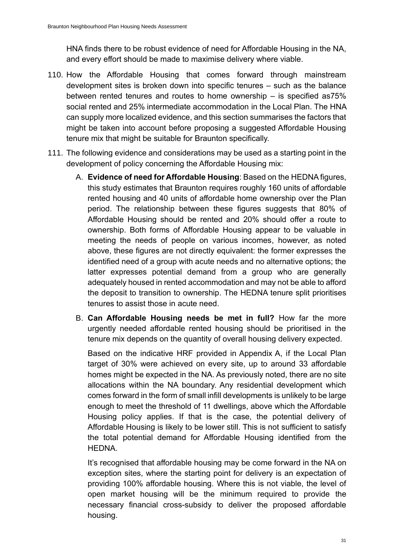HNA finds there to be robust evidence of need for Affordable Housing in the NA, and every effort should be made to maximise delivery where viable.

- 110. How the Affordable Housing that comes forward through mainstream development sites is broken down into specific tenures – such as the balance between rented tenures and routes to home ownership – is specified as75% social rented and 25% intermediate accommodation in the Local Plan. The HNA can supply more localized evidence, and this section summarises the factors that might be taken into account before proposing a suggested Affordable Housing tenure mix that might be suitable for Braunton specifically.
- 111. The following evidence and considerations may be used as a starting point in the development of policy concerning the Affordable Housing mix:
	- A. **Evidence of need for Affordable Housing**: Based on the HEDNA figures, this study estimates that Braunton requires roughly 160 units of affordable rented housing and 40 units of affordable home ownership over the Plan period. The relationship between these figures suggests that 80% of Affordable Housing should be rented and 20% should offer a route to ownership. Both forms of Affordable Housing appear to be valuable in meeting the needs of people on various incomes, however, as noted above, these figures are not directly equivalent: the former expresses the identified need of a group with acute needs and no alternative options; the latter expresses potential demand from a group who are generally adequately housed in rented accommodation and may not be able to afford the deposit to transition to ownership. The HEDNA tenure split prioritises tenures to assist those in acute need.
	- B. **Can Affordable Housing needs be met in full?** How far the more urgently needed affordable rented housing should be prioritised in the tenure mix depends on the quantity of overall housing delivery expected.

Based on the indicative HRF provided in Appendix A, if the Local Plan target of 30% were achieved on every site, up to around 33 affordable homes might be expected in the NA. As previously noted, there are no site allocations within the NA boundary. Any residential development which comes forward in the form of small infill developments is unlikely to be large enough to meet the threshold of 11 dwellings, above which the Affordable Housing policy applies. If that is the case, the potential delivery of Affordable Housing is likely to be lower still. This is not sufficient to satisfy the total potential demand for Affordable Housing identified from the HEDNA.

It's recognised that affordable housing may be come forward in the NA on exception sites, where the starting point for delivery is an expectation of providing 100% affordable housing. Where this is not viable, the level of open market housing will be the minimum required to provide the necessary financial cross-subsidy to deliver the proposed affordable housing.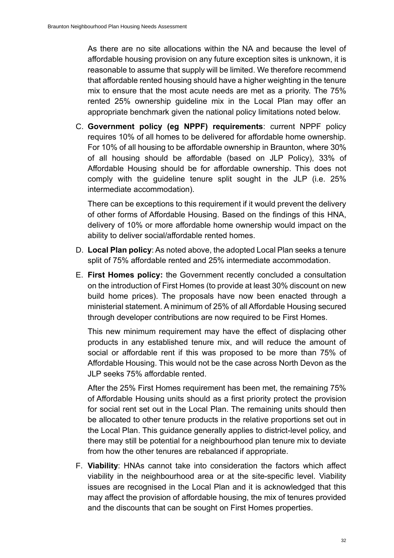As there are no site allocations within the NA and because the level of affordable housing provision on any future exception sites is unknown, it is reasonable to assume that supply will be limited. We therefore recommend that affordable rented housing should have a higher weighting in the tenure mix to ensure that the most acute needs are met as a priority. The 75% rented 25% ownership guideline mix in the Local Plan may offer an appropriate benchmark given the national policy limitations noted below.

C. **Government policy (eg NPPF) requirements**: current NPPF policy requires 10% of all homes to be delivered for affordable home ownership. For 10% of all housing to be affordable ownership in Braunton, where 30% of all housing should be affordable (based on JLP Policy), 33% of Affordable Housing should be for affordable ownership. This does not comply with the guideline tenure split sought in the JLP (i.e. 25% intermediate accommodation).

There can be exceptions to this requirement if it would prevent the delivery of other forms of Affordable Housing. Based on the findings of this HNA, delivery of 10% or more affordable home ownership would impact on the ability to deliver social/affordable rented homes.

- D. **Local Plan policy**: As noted above, the adopted Local Plan seeks a tenure split of 75% affordable rented and 25% intermediate accommodation.
- E. **First Homes policy:** the Government recently concluded a consultation on the introduction of First Homes (to provide at least 30% discount on new build home prices). The proposals have now been enacted through a ministerial statement. A minimum of 25% of all Affordable Housing secured through developer contributions are now required to be First Homes.

This new minimum requirement may have the effect of displacing other products in any established tenure mix, and will reduce the amount of social or affordable rent if this was proposed to be more than 75% of Affordable Housing. This would not be the case across North Devon as the JLP seeks 75% affordable rented.

After the 25% First Homes requirement has been met, the remaining 75% of Affordable Housing units should as a first priority protect the provision for social rent set out in the Local Plan. The remaining units should then be allocated to other tenure products in the relative proportions set out in the Local Plan. This guidance generally applies to district-level policy, and there may still be potential for a neighbourhood plan tenure mix to deviate from how the other tenures are rebalanced if appropriate.

F. **Viability**: HNAs cannot take into consideration the factors which affect viability in the neighbourhood area or at the site-specific level. Viability issues are recognised in the Local Plan and it is acknowledged that this may affect the provision of affordable housing, the mix of tenures provided and the discounts that can be sought on First Homes properties.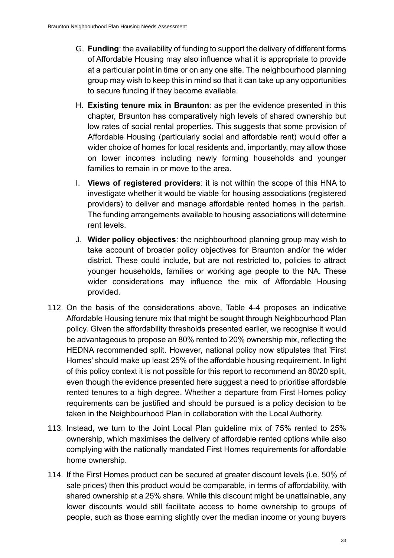- G. **Funding**: the availability of funding to support the delivery of different forms of Affordable Housing may also influence what it is appropriate to provide at a particular point in time or on any one site. The neighbourhood planning group may wish to keep this in mind so that it can take up any opportunities to secure funding if they become available.
- H. **Existing tenure mix in Braunton**: as per the evidence presented in this chapter, Braunton has comparatively high levels of shared ownership but low rates of social rental properties. This suggests that some provision of Affordable Housing (particularly social and affordable rent) would offer a wider choice of homes for local residents and, importantly, may allow those on lower incomes including newly forming households and younger families to remain in or move to the area.
- I. **Views of registered providers**: it is not within the scope of this HNA to investigate whether it would be viable for housing associations (registered providers) to deliver and manage affordable rented homes in the parish. The funding arrangements available to housing associations will determine rent levels.
- J. **Wider policy objectives**: the neighbourhood planning group may wish to take account of broader policy objectives for Braunton and/or the wider district. These could include, but are not restricted to, policies to attract younger households, families or working age people to the NA. These wider considerations may influence the mix of Affordable Housing provided.
- 112. On the basis of the considerations above, [Table 4-4](#page-38-0) proposes an indicative Affordable Housing tenure mix that might be sought through Neighbourhood Plan policy. Given the affordability thresholds presented earlier, we recognise it would be advantageous to propose an 80% rented to 20% ownership mix, reflecting the HEDNA recommended split. However, national policy now stipulates that 'First Homes' should make up least 25% of the affordable housing requirement. In light of this policy context it is not possible for this report to recommend an 80/20 split, even though the evidence presented here suggest a need to prioritise affordable rented tenures to a high degree. Whether a departure from First Homes policy requirements can be justified and should be pursued is a policy decision to be taken in the Neighbourhood Plan in collaboration with the Local Authority.
- 113. Instead, we turn to the Joint Local Plan guideline mix of 75% rented to 25% ownership, which maximises the delivery of affordable rented options while also complying with the nationally mandated First Homes requirements for affordable home ownership.
- 114. If the First Homes product can be secured at greater discount levels (i.e. 50% of sale prices) then this product would be comparable, in terms of affordability, with shared ownership at a 25% share. While this discount might be unattainable, any lower discounts would still facilitate access to home ownership to groups of people, such as those earning slightly over the median income or young buyers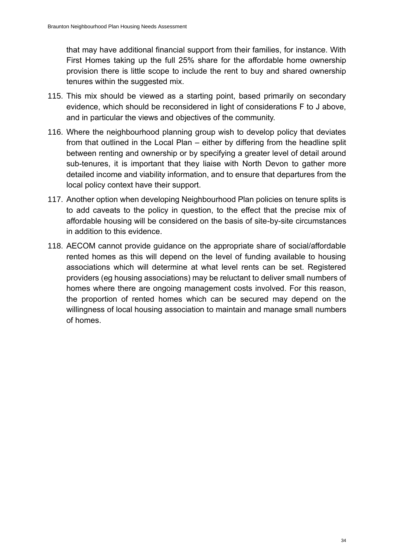that may have additional financial support from their families, for instance. With First Homes taking up the full 25% share for the affordable home ownership provision there is little scope to include the rent to buy and shared ownership tenures within the suggested mix.

- 115. This mix should be viewed as a starting point, based primarily on secondary evidence, which should be reconsidered in light of considerations F to J above, and in particular the views and objectives of the community.
- 116. Where the neighbourhood planning group wish to develop policy that deviates from that outlined in the Local Plan – either by differing from the headline split between renting and ownership or by specifying a greater level of detail around sub-tenures, it is important that they liaise with North Devon to gather more detailed income and viability information, and to ensure that departures from the local policy context have their support.
- 117. Another option when developing Neighbourhood Plan policies on tenure splits is to add caveats to the policy in question, to the effect that the precise mix of affordable housing will be considered on the basis of site-by-site circumstances in addition to this evidence.
- 118. AECOM cannot provide guidance on the appropriate share of social/affordable rented homes as this will depend on the level of funding available to housing associations which will determine at what level rents can be set. Registered providers (eg housing associations) may be reluctant to deliver small numbers of homes where there are ongoing management costs involved. For this reason, the proportion of rented homes which can be secured may depend on the willingness of local housing association to maintain and manage small numbers of homes.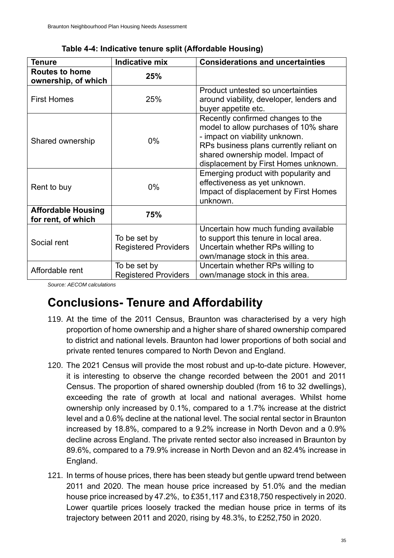| <b>Tenure</b>                                   | <b>Indicative mix</b>                       | <b>Considerations and uncertainties</b>                                                                                                                                                                                              |
|-------------------------------------------------|---------------------------------------------|--------------------------------------------------------------------------------------------------------------------------------------------------------------------------------------------------------------------------------------|
| <b>Routes to home</b><br>ownership, of which    | 25%                                         |                                                                                                                                                                                                                                      |
| <b>First Homes</b>                              | 25%                                         | Product untested so uncertainties<br>around viability, developer, lenders and<br>buyer appetite etc.                                                                                                                                 |
| Shared ownership                                | $0\%$                                       | Recently confirmed changes to the<br>model to allow purchases of 10% share<br>- impact on viability unknown.<br>RPs business plans currently reliant on<br>shared ownership model. Impact of<br>displacement by First Homes unknown. |
| Rent to buy                                     | $0\%$                                       | Emerging product with popularity and<br>effectiveness as yet unknown.<br>Impact of displacement by First Homes<br>unknown.                                                                                                           |
| <b>Affordable Housing</b><br>for rent, of which | 75%                                         |                                                                                                                                                                                                                                      |
| Social rent                                     | To be set by<br><b>Registered Providers</b> | Uncertain how much funding available<br>to support this tenure in local area.<br>Uncertain whether RPs willing to<br>own/manage stock in this area.                                                                                  |
| Affordable rent                                 | To be set by<br><b>Registered Providers</b> | Uncertain whether RPs willing to<br>own/manage stock in this area.                                                                                                                                                                   |

**Table 4-4: Indicative tenure split (Affordable Housing)** 

*Source: AECOM calculations*

### **Conclusions- Tenure and Affordability**

- 119. At the time of the 2011 Census, Braunton was characterised by a very high proportion of home ownership and a higher share of shared ownership compared to district and national levels. Braunton had lower proportions of both social and private rented tenures compared to North Devon and England.
- 120. The 2021 Census will provide the most robust and up-to-date picture. However, it is interesting to observe the change recorded between the 2001 and 2011 Census. The proportion of shared ownership doubled (from 16 to 32 dwellings), exceeding the rate of growth at local and national averages. Whilst home ownership only increased by 0.1%, compared to a 1.7% increase at the district level and a 0.6% decline at the national level. The social rental sector in Braunton increased by 18.8%, compared to a 9.2% increase in North Devon and a 0.9% decline across England. The private rented sector also increased in Braunton by 89.6%, compared to a 79.9% increase in North Devon and an 82.4% increase in England.
- 121. In terms of house prices, there has been steady but gentle upward trend between 2011 and 2020. The mean house price increased by 51.0% and the median house price increased by 47.2%, to £351,117 and £318,750 respectively in 2020. Lower quartile prices loosely tracked the median house price in terms of its trajectory between 2011 and 2020, rising by 48.3%, to £252,750 in 2020.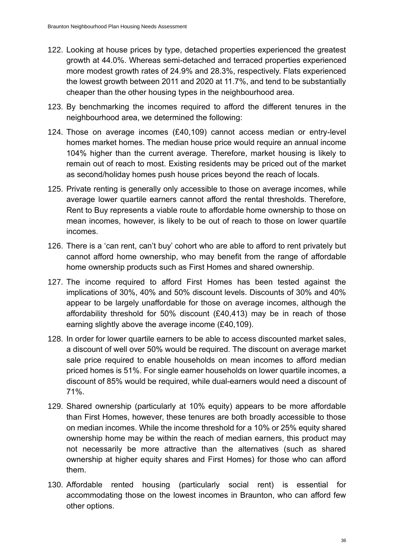- 122. Looking at house prices by type, detached properties experienced the greatest growth at 44.0%. Whereas semi-detached and terraced properties experienced more modest growth rates of 24.9% and 28.3%, respectively. Flats experienced the lowest growth between 2011 and 2020 at 11.7%, and tend to be substantially cheaper than the other housing types in the neighbourhood area.
- 123. By benchmarking the incomes required to afford the different tenures in the neighbourhood area, we determined the following:
- 124. Those on average incomes (£40,109) cannot access median or entry-level homes market homes. The median house price would require an annual income 104% higher than the current average. Therefore, market housing is likely to remain out of reach to most. Existing residents may be priced out of the market as second/holiday homes push house prices beyond the reach of locals.
- 125. Private renting is generally only accessible to those on average incomes, while average lower quartile earners cannot afford the rental thresholds. Therefore, Rent to Buy represents a viable route to affordable home ownership to those on mean incomes, however, is likely to be out of reach to those on lower quartile incomes.
- 126. There is a 'can rent, can't buy' cohort who are able to afford to rent privately but cannot afford home ownership, who may benefit from the range of affordable home ownership products such as First Homes and shared ownership.
- 127. The income required to afford First Homes has been tested against the implications of 30%, 40% and 50% discount levels. Discounts of 30% and 40% appear to be largely unaffordable for those on average incomes, although the affordability threshold for 50% discount (£40,413) may be in reach of those earning slightly above the average income (£40,109).
- 128. In order for lower quartile earners to be able to access discounted market sales, a discount of well over 50% would be required. The discount on average market sale price required to enable households on mean incomes to afford median priced homes is 51%. For single earner households on lower quartile incomes, a discount of 85% would be required, while dual-earners would need a discount of 71%.
- 129. Shared ownership (particularly at 10% equity) appears to be more affordable than First Homes, however, these tenures are both broadly accessible to those on median incomes. While the income threshold for a 10% or 25% equity shared ownership home may be within the reach of median earners, this product may not necessarily be more attractive than the alternatives (such as shared ownership at higher equity shares and First Homes) for those who can afford them.
- 130. Affordable rented housing (particularly social rent) is essential for accommodating those on the lowest incomes in Braunton, who can afford few other options.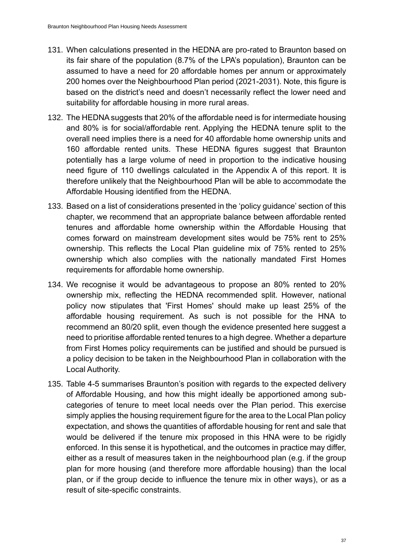- 131. When calculations presented in the HEDNA are pro-rated to Braunton based on its fair share of the population (8.7% of the LPA's population), Braunton can be assumed to have a need for 20 affordable homes per annum or approximately 200 homes over the Neighbourhood Plan period (2021-2031). Note, this figure is based on the district's need and doesn't necessarily reflect the lower need and suitability for affordable housing in more rural areas.
- 132. The HEDNA suggests that 20% of the affordable need is for intermediate housing and 80% is for social/affordable rent. Applying the HEDNA tenure split to the overall need implies there is a need for 40 affordable home ownership units and 160 affordable rented units. These HEDNA figures suggest that Braunton potentially has a large volume of need in proportion to the indicative housing need figure of 110 dwellings calculated in the Appendix A of this report. It is therefore unlikely that the Neighbourhood Plan will be able to accommodate the Affordable Housing identified from the HEDNA.
- 133. Based on a list of considerations presented in the 'policy guidance' section of this chapter, we recommend that an appropriate balance between affordable rented tenures and affordable home ownership within the Affordable Housing that comes forward on mainstream development sites would be 75% rent to 25% ownership. This reflects the Local Plan guideline mix of 75% rented to 25% ownership which also complies with the nationally mandated First Homes requirements for affordable home ownership.
- 134. We recognise it would be advantageous to propose an 80% rented to 20% ownership mix, reflecting the HEDNA recommended split. However, national policy now stipulates that 'First Homes' should make up least 25% of the affordable housing requirement. As such is not possible for the HNA to recommend an 80/20 split, even though the evidence presented here suggest a need to prioritise affordable rented tenures to a high degree. Whether a departure from First Homes policy requirements can be justified and should be pursued is a policy decision to be taken in the Neighbourhood Plan in collaboration with the Local Authority.
- 135. [Table 4-5](#page-50-0) summarises Braunton's position with regards to the expected delivery of Affordable Housing, and how this might ideally be apportioned among subcategories of tenure to meet local needs over the Plan period. This exercise simply applies the housing requirement figure for the area to the Local Plan policy expectation, and shows the quantities of affordable housing for rent and sale that would be delivered if the tenure mix proposed in this HNA were to be rigidly enforced. In this sense it is hypothetical, and the outcomes in practice may differ, either as a result of measures taken in the neighbourhood plan (e.g. if the group plan for more housing (and therefore more affordable housing) than the local plan, or if the group decide to influence the tenure mix in other ways), or as a result of site-specific constraints.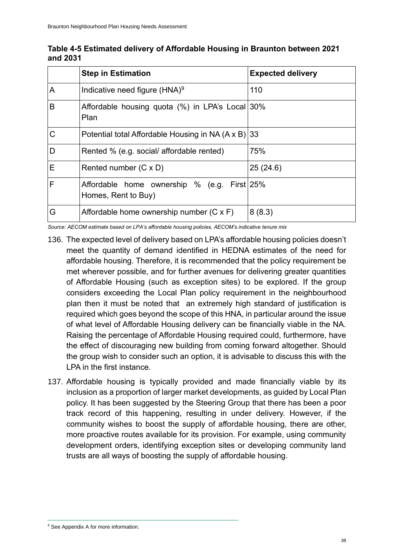|   | <b>Step in Estimation</b>                                          | <b>Expected delivery</b> |
|---|--------------------------------------------------------------------|--------------------------|
| A | Indicative need figure (HNA) <sup>9</sup>                          | 110                      |
| B | Affordable housing quota (%) in LPA's Local 30%<br>Plan            |                          |
| C | Potential total Affordable Housing in NA (A x B)                   | 33                       |
| D | Rented % (e.g. social/ affordable rented)                          | 75%                      |
| Е | Rented number (C x D)                                              | 25(24.6)                 |
| F | Affordable home ownership % (e.g. First 25%<br>Homes, Rent to Buy) |                          |
| G | Affordable home ownership number (C x F)                           | 8(8.3)                   |

<span id="page-50-0"></span>**Table 4-5 Estimated delivery of Affordable Housing in Braunton between 2021 and 2031**

*Source: AECOM estimate based on LPA's affordable housing policies, AECOM's indicative tenure mix*

- 136. The expected level of delivery based on LPA's affordable housing policies doesn't meet the quantity of demand identified in HEDNA estimates of the need for affordable housing. Therefore, it is recommended that the policy requirement be met wherever possible, and for further avenues for delivering greater quantities of Affordable Housing (such as exception sites) to be explored. If the group considers exceeding the Local Plan policy requirement in the neighbourhood plan then it must be noted that an extremely high standard of justification is required which goes beyond the scope of this HNA, in particular around the issue of what level of Affordable Housing delivery can be financially viable in the NA. Raising the percentage of Affordable Housing required could, furthermore, have the effect of discouraging new building from coming forward altogether. Should the group wish to consider such an option, it is advisable to discuss this with the LPA in the first instance.
- 137. Affordable housing is typically provided and made financially viable by its inclusion as a proportion of larger market developments, as guided by Local Plan policy. It has been suggested by the Steering Group that there has been a poor track record of this happening, resulting in under delivery. However, if the community wishes to boost the supply of affordable housing, there are other, more proactive routes available for its provision. For example, using community development orders, identifying exception sites or developing community land trusts are all ways of boosting the supply of affordable housing.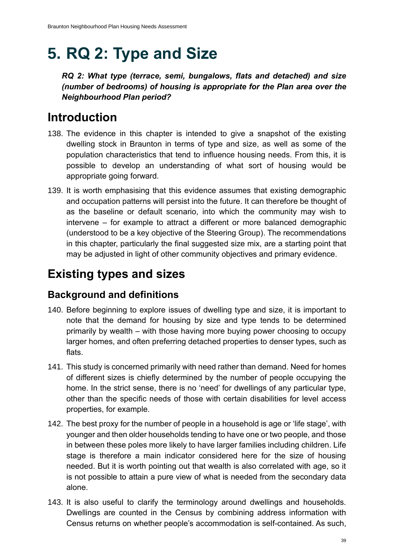# **5. RQ 2: Type and Size**

*RQ 2: What type (terrace, semi, bungalows, flats and detached) and size (number of bedrooms) of housing is appropriate for the Plan area over the Neighbourhood Plan period?*

# **Introduction**

- 138. The evidence in this chapter is intended to give a snapshot of the existing dwelling stock in Braunton in terms of type and size, as well as some of the population characteristics that tend to influence housing needs. From this, it is possible to develop an understanding of what sort of housing would be appropriate going forward.
- 139. It is worth emphasising that this evidence assumes that existing demographic and occupation patterns will persist into the future. It can therefore be thought of as the baseline or default scenario, into which the community may wish to intervene – for example to attract a different or more balanced demographic (understood to be a key objective of the Steering Group). The recommendations in this chapter, particularly the final suggested size mix, are a starting point that may be adjusted in light of other community objectives and primary evidence.

# **Existing types and sizes**

### **Background and definitions**

- 140. Before beginning to explore issues of dwelling type and size, it is important to note that the demand for housing by size and type tends to be determined primarily by wealth – with those having more buying power choosing to occupy larger homes, and often preferring detached properties to denser types, such as flats.
- 141. This study is concerned primarily with need rather than demand. Need for homes of different sizes is chiefly determined by the number of people occupying the home. In the strict sense, there is no 'need' for dwellings of any particular type, other than the specific needs of those with certain disabilities for level access properties, for example.
- 142. The best proxy for the number of people in a household is age or 'life stage', with younger and then older households tending to have one or two people, and those in between these poles more likely to have larger families including children. Life stage is therefore a main indicator considered here for the size of housing needed. But it is worth pointing out that wealth is also correlated with age, so it is not possible to attain a pure view of what is needed from the secondary data alone.
- 143. It is also useful to clarify the terminology around dwellings and households. Dwellings are counted in the Census by combining address information with Census returns on whether people's accommodation is self-contained. As such,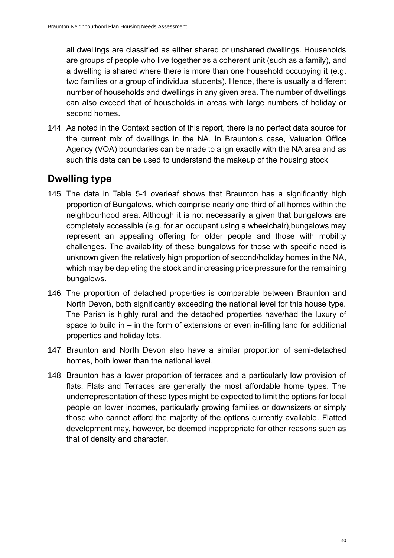all dwellings are classified as either shared or unshared dwellings. Households are groups of people who live together as a coherent unit (such as a family), and a dwelling is shared where there is more than one household occupying it (e.g. two families or a group of individual students). Hence, there is usually a different number of households and dwellings in any given area. The number of dwellings can also exceed that of households in areas with large numbers of holiday or second homes.

144. As noted in the Context section of this report, there is no perfect data source for the current mix of dwellings in the NA. In Braunton's case, Valuation Office Agency (VOA) boundaries can be made to align exactly with the NA area and as such this data can be used to understand the makeup of the housing stock

### **Dwelling type**

- 145. The data in [Table 5-1](#page-53-0) overleaf shows that Braunton has a significantly high proportion of Bungalows, which comprise nearly one third of all homes within the neighbourhood area. Although it is not necessarily a given that bungalows are completely accessible (e.g. for an occupant using a wheelchair),bungalows may represent an appealing offering for older people and those with mobility challenges. The availability of these bungalows for those with specific need is unknown given the relatively high proportion of second/holiday homes in the NA, which may be depleting the stock and increasing price pressure for the remaining bungalows.
- 146. The proportion of detached properties is comparable between Braunton and North Devon, both significantly exceeding the national level for this house type. The Parish is highly rural and the detached properties have/had the luxury of space to build in – in the form of extensions or even in-filling land for additional properties and holiday lets.
- 147. Braunton and North Devon also have a similar proportion of semi-detached homes, both lower than the national level.
- 148. Braunton has a lower proportion of terraces and a particularly low provision of flats. Flats and Terraces are generally the most affordable home types. The underrepresentation of these types might be expected to limit the options for local people on lower incomes, particularly growing families or downsizers or simply those who cannot afford the majority of the options currently available. Flatted development may, however, be deemed inappropriate for other reasons such as that of density and character.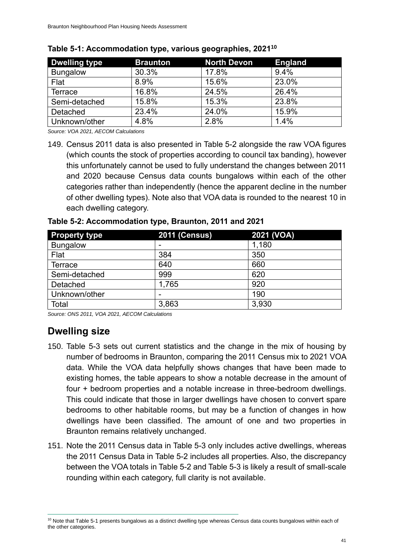| <b>Dwelling type</b> | <b>Braunton</b> | <b>North Devon</b> | <b>England</b> |
|----------------------|-----------------|--------------------|----------------|
| <b>Bungalow</b>      | 30.3%           | 17.8%              | 9.4%           |
| Flat                 | 8.9%            | 15.6%              | 23.0%          |
| <b>Terrace</b>       | 16.8%           | 24.5%              | 26.4%          |
| Semi-detached        | 15.8%           | 15.3%              | 23.8%          |
| Detached             | 23.4%           | 24.0%              | 15.9%          |
| Unknown/other        | 4.8%            | 2.8%               | 1.4%           |

<span id="page-53-0"></span>

*Source: VOA 2021, AECOM Calculations*

149. Census 2011 data is also presented in [Table 5-2](#page-53-1) alongside the raw VOA figures (which counts the stock of properties according to council tax banding), however this unfortunately cannot be used to fully understand the changes between 2011 and 2020 because Census data counts bungalows within each of the other categories rather than independently (hence the apparent decline in the number of other dwelling types). Note also that VOA data is rounded to the nearest 10 in each dwelling category.

| <b>Property type</b> | <b>2011 (Census)</b> | 2021 (VOA) |
|----------------------|----------------------|------------|
| <b>Bungalow</b>      | ٠                    | 1,180      |
| Flat                 | 384                  | 350        |
| <b>Terrace</b>       | 640                  | 660        |
| Semi-detached        | 999                  | 620        |
| Detached             | 1,765                | 920        |
| Unknown/other        | -                    | 190        |
| Total                | 3,863                | 3,930      |

<span id="page-53-1"></span>**Table 5-2: Accommodation type, Braunton, 2011 and 2021**

*Source: ONS 2011, VOA 2021, AECOM Calculations*

### **Dwelling size**

- 150. [Table 5-3](#page-54-0) sets out current statistics and the change in the mix of housing by number of bedrooms in Braunton, comparing the 2011 Census mix to 2021 VOA data. While the VOA data helpfully shows changes that have been made to existing homes, the table appears to show a notable decrease in the amount of four + bedroom properties and a notable increase in three-bedroom dwellings. This could indicate that those in larger dwellings have chosen to convert spare bedrooms to other habitable rooms, but may be a function of changes in how dwellings have been classified. The amount of one and two properties in Braunton remains relatively unchanged.
- 151. Note the 2011 Census data in [Table 5-3](#page-54-0) only includes active dwellings, whereas the 2011 Census Data in [Table 5-2](#page-53-1) includes all properties. Also, the discrepancy between the VOA totals in [Table 5-2](#page-53-1) and [Table 5-3](#page-54-0) is likely a result of small-scale rounding within each category, full clarity is not available.

 $10$  Note tha[t Table 5-1](#page-53-0) presents bungalows as a distinct dwelling type whereas Census data counts bungalows within each of the other categories.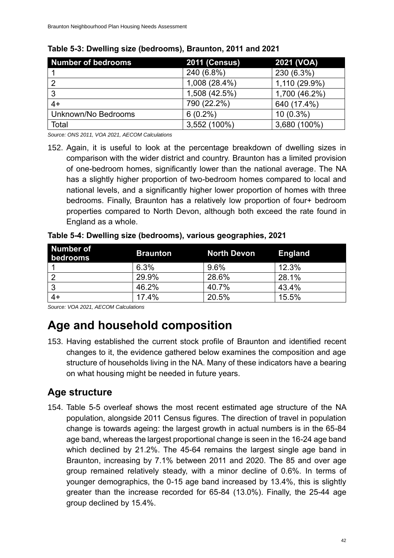| Number of bedrooms  | <b>2011 (Census)</b> | 2021 (VOA)    |
|---------------------|----------------------|---------------|
|                     | 240 (6.8%)           | 230 (6.3%)    |
|                     | 1,008 (28.4%)        | 1,110 (29.9%) |
| 3                   | 1,508 (42.5%)        | 1,700 (46.2%) |
| $4+$                | 790 (22.2%)          | 640 (17.4%)   |
| Unknown/No Bedrooms | $6(0.2\%)$           | $10(0.3\%)$   |
| Total               | 3,552 (100%)         | 3,680 (100%)  |

#### <span id="page-54-0"></span>**Table 5-3: Dwelling size (bedrooms), Braunton, 2011 and 2021**

*Source: ONS 2011, VOA 2021, AECOM Calculations*

152. Again, it is useful to look at the percentage breakdown of dwelling sizes in comparison with the wider district and country. Braunton has a limited provision of one-bedroom homes, significantly lower than the national average. The NA has a slightly higher proportion of two-bedroom homes compared to local and national levels, and a significantly higher lower proportion of homes with three bedrooms. Finally, Braunton has a relatively low proportion of four+ bedroom properties compared to North Devon, although both exceed the rate found in England as a whole.

| Table 5-4: Dwelling size (bedrooms), various geographies, 2021 |                 |                    |                |  |
|----------------------------------------------------------------|-----------------|--------------------|----------------|--|
| Number of<br>bedrooms                                          | <b>Braunton</b> | <b>North Devon</b> | <b>England</b> |  |

| Number of<br>bedrooms | <b>Braunton</b> | North Devon | England |
|-----------------------|-----------------|-------------|---------|
|                       | 6.3%            | 9.6%        | 12.3%   |
| റ                     | 29.9%           | 28.6%       | 28.1%   |
| 3                     | 46.2%           | 40.7%       | 43.4%   |
| $4+$                  | 17.4%           | 20.5%       | 15.5%   |

*Source: VOA 2021, AECOM Calculations*

# **Age and household composition**

153. Having established the current stock profile of Braunton and identified recent changes to it, the evidence gathered below examines the composition and age structure of households living in the NA. Many of these indicators have a bearing on what housing might be needed in future years.

### **Age structure**

154. [Table 5-5](#page-55-0) overleaf shows the most recent estimated age structure of the NA population, alongside 2011 Census figures. The direction of travel in population change is towards ageing: the largest growth in actual numbers is in the 65-84 age band, whereas the largest proportional change is seen in the 16-24 age band which declined by 21.2%. The 45-64 remains the largest single age band in Braunton, increasing by 7.1% between 2011 and 2020. The 85 and over age group remained relatively steady, with a minor decline of 0.6%. In terms of younger demographics, the 0-15 age band increased by 13.4%, this is slightly greater than the increase recorded for 65-84 (13.0%). Finally, the 25-44 age group declined by 15.4%.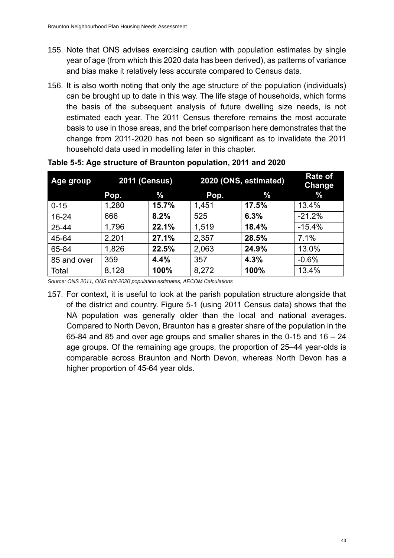- 155. Note that ONS advises exercising caution with population estimates by single year of age (from which this 2020 data has been derived), as patterns of variance and bias make it relatively less accurate compared to Census data.
- 156. It is also worth noting that only the age structure of the population (individuals) can be brought up to date in this way. The life stage of households, which forms the basis of the subsequent analysis of future dwelling size needs, is not estimated each year. The 2011 Census therefore remains the most accurate basis to use in those areas, and the brief comparison here demonstrates that the change from 2011-2020 has not been so significant as to invalidate the 2011 household data used in modelling later in this chapter.

| Age group   | <b>2011 (Census)</b> |       | 2020 (ONS, estimated) |       | <b>Rate of</b><br><b>Change</b> |
|-------------|----------------------|-------|-----------------------|-------|---------------------------------|
|             | Pop.                 | %     | Pop.                  | $\%$  | $\%$                            |
| $0 - 15$    | 1,280                | 15.7% | 1,451                 | 17.5% | 13.4%                           |
| $16 - 24$   | 666                  | 8.2%  | 525                   | 6.3%  | $-21.2%$                        |
| 25-44       | 1,796                | 22.1% | 1,519                 | 18.4% | $-15.4%$                        |
| 45-64       | 2,201                | 27.1% | 2,357                 | 28.5% | 7.1%                            |
| 65-84       | 1,826                | 22.5% | 2,063                 | 24.9% | 13.0%                           |
| 85 and over | 359                  | 4.4%  | 357                   | 4.3%  | $-0.6%$                         |
| Total       | 8,128                | 100%  | 8,272                 | 100%  | 13.4%                           |

#### <span id="page-55-0"></span>**Table 5-5: Age structure of Braunton population, 2011 and 2020**

*Source: ONS 2011, ONS mid-2020 population estimates, AECOM Calculations*

157. For context, it is useful to look at the parish population structure alongside that of the district and country. [Figure 5-1](#page-56-0) (using 2011 Census data) shows that the NA population was generally older than the local and national averages. Compared to North Devon, Braunton has a greater share of the population in the 65-84 and 85 and over age groups and smaller shares in the 0-15 and 16 – 24 age groups. Of the remaining age groups, the proportion of 25–44 year-olds is comparable across Braunton and North Devon, whereas North Devon has a higher proportion of 45-64 year olds.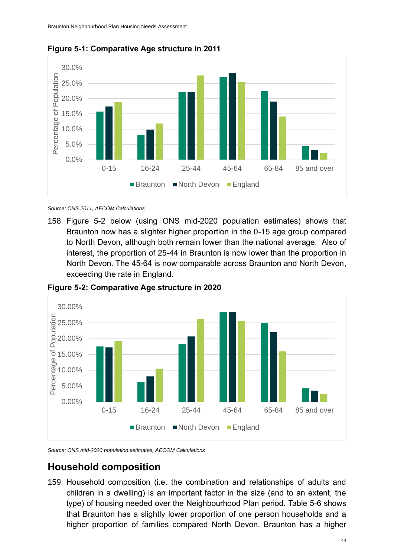

<span id="page-56-0"></span>**Figure 5-1: Comparative Age structure in 2011**

*Source: ONS 2011, AECOM Calculations*

158. [Figure 5-2](#page-56-1) below (using ONS mid-2020 population estimates) shows that Braunton now has a slighter higher proportion in the 0-15 age group compared to North Devon, although both remain lower than the national average. Also of interest, the proportion of 25-44 in Braunton is now lower than the proportion in North Devon. The 45-64 is now comparable across Braunton and North Devon, exceeding the rate in England.



<span id="page-56-1"></span>**Figure 5-2: Comparative Age structure in 2020**

*Source: ONS mid-2020 population estimates, AECOM Calculations*

### **Household composition**

159. Household composition (i.e. the combination and relationships of adults and children in a dwelling) is an important factor in the size (and to an extent, the type) of housing needed over the Neighbourhood Plan period. [Table 5-6](#page-57-0) shows that Braunton has a slightly lower proportion of one person households and a higher proportion of families compared North Devon. Braunton has a higher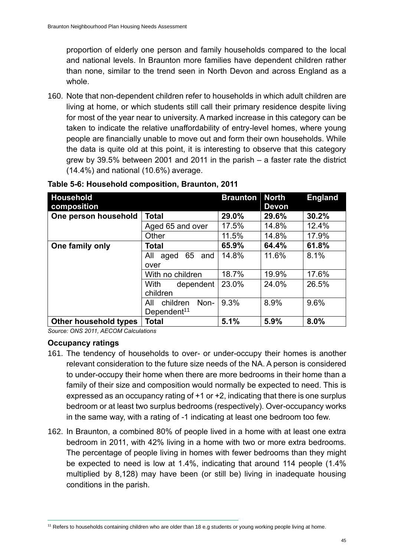proportion of elderly one person and family households compared to the local and national levels. In Braunton more families have dependent children rather than none, similar to the trend seen in North Devon and across England as a whole.

160. Note that non-dependent children refer to households in which adult children are living at home, or which students still call their primary residence despite living for most of the year near to university. A marked increase in this category can be taken to indicate the relative unaffordability of entry-level homes, where young people are financially unable to move out and form their own households. While the data is quite old at this point, it is interesting to observe that this category grew by 39.5% between 2001 and 2011 in the parish – a faster rate the district (14.4%) and national (10.6%) average.

| <b>Household</b><br>composition |                          | <b>Braunton</b> | <b>North</b><br><b>Devon</b> | <b>England</b> |
|---------------------------------|--------------------------|-----------------|------------------------------|----------------|
| One person household            | Total                    | 29.0%           | 29.6%                        | 30.2%          |
|                                 | Aged 65 and over         | 17.5%           | 14.8%                        | 12.4%          |
|                                 | Other                    | 11.5%           | 14.8%                        | 17.9%          |
| One family only                 | Total                    | 65.9%           | 64.4%                        | 61.8%          |
|                                 | 65<br>All<br>aged<br>and | 14.8%           | 11.6%                        | 8.1%           |
|                                 | over                     |                 |                              |                |
|                                 | With no children         | 18.7%           | 19.9%                        | 17.6%          |
|                                 | <b>With</b><br>dependent | 23.0%           | 24.0%                        | 26.5%          |
|                                 | children                 |                 |                              |                |
|                                 | Non-<br>children<br>All  | 9.3%            | 8.9%                         | 9.6%           |
|                                 | Dependent <sup>11</sup>  |                 |                              |                |
| Other household types           | Total                    | 5.1%            | 5.9%                         | 8.0%           |

<span id="page-57-0"></span>**Table 5-6: Household composition, Braunton, 2011**

*Source: ONS 2011, AECOM Calculations*

#### **Occupancy ratings**

- 161. The tendency of households to over- or under-occupy their homes is another relevant consideration to the future size needs of the NA. A person is considered to under-occupy their home when there are more bedrooms in their home than a family of their size and composition would normally be expected to need. This is expressed as an occupancy rating of +1 or +2, indicating that there is one surplus bedroom or at least two surplus bedrooms (respectively). Over-occupancy works in the same way, with a rating of -1 indicating at least one bedroom too few.
- 162. In Braunton, a combined 80% of people lived in a home with at least one extra bedroom in 2011, with 42% living in a home with two or more extra bedrooms. The percentage of people living in homes with fewer bedrooms than they might be expected to need is low at 1.4%, indicating that around 114 people (1.4% multiplied by 8,128) may have been (or still be) living in inadequate housing conditions in the parish.

<sup>&</sup>lt;sup>11</sup> Refers to households containing children who are older than 18 e.g students or young working people living at home.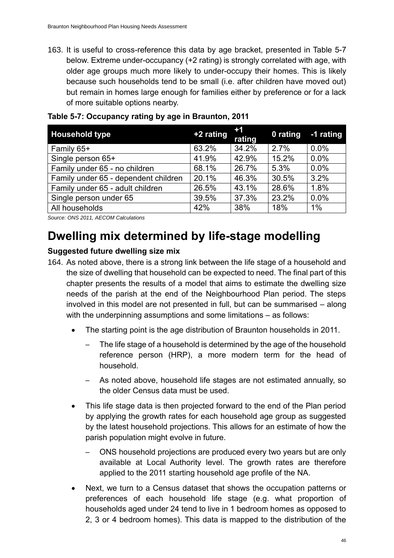163. It is useful to cross-reference this data by age bracket, presented in [Table 5-7](#page-58-0) below. Extreme under-occupancy (+2 rating) is strongly correlated with age, with older age groups much more likely to under-occupy their homes. This is likely because such households tend to be small (i.e. after children have moved out) but remain in homes large enough for families either by preference or for a lack of more suitable options nearby.

| <b>Household type</b>                | +2 rating | $+1$<br>rating | 0 rating -1 rating |      |
|--------------------------------------|-----------|----------------|--------------------|------|
| Family 65+                           | 63.2%     | 34.2%          | 2.7%               | 0.0% |
| Single person 65+                    | 41.9%     | 42.9%          | 15.2%              | 0.0% |
| Family under 65 - no children        | 68.1%     | 26.7%          | 5.3%               | 0.0% |
| Family under 65 - dependent children | 20.1%     | 46.3%          | 30.5%              | 3.2% |
| Family under 65 - adult children     | 26.5%     | 43.1%          | 28.6%              | 1.8% |
| Single person under 65               | 39.5%     | 37.3%          | 23.2%              | 0.0% |
| All households                       | 42%       | 38%            | 18%                | 1%   |

<span id="page-58-0"></span>**Table 5-7: Occupancy rating by age in Braunton, 2011**

*Source: ONS 2011, AECOM Calculations*

## **Dwelling mix determined by life-stage modelling**

#### **Suggested future dwelling size mix**

- 164. As noted above, there is a strong link between the life stage of a household and the size of dwelling that household can be expected to need. The final part of this chapter presents the results of a model that aims to estimate the dwelling size needs of the parish at the end of the Neighbourhood Plan period. The steps involved in this model are not presented in full, but can be summarised – along with the underpinning assumptions and some limitations – as follows:
	- The starting point is the age distribution of Braunton households in 2011.
		- The life stage of a household is determined by the age of the household reference person (HRP), a more modern term for the head of household.
		- As noted above, household life stages are not estimated annually, so the older Census data must be used.
	- This life stage data is then projected forward to the end of the Plan period by applying the growth rates for each household age group as suggested by the latest household projections. This allows for an estimate of how the parish population might evolve in future.
		- ONS household projections are produced every two years but are only available at Local Authority level. The growth rates are therefore applied to the 2011 starting household age profile of the NA.
	- Next, we turn to a Census dataset that shows the occupation patterns or preferences of each household life stage (e.g. what proportion of households aged under 24 tend to live in 1 bedroom homes as opposed to 2, 3 or 4 bedroom homes). This data is mapped to the distribution of the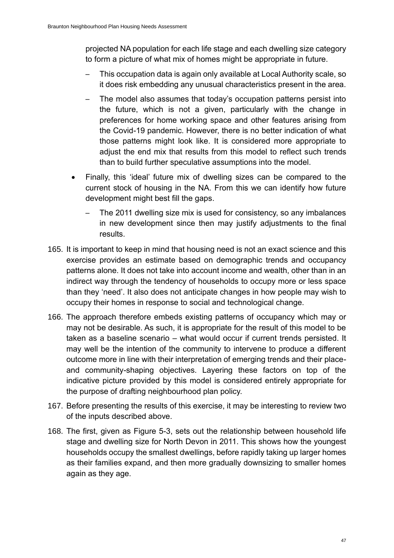projected NA population for each life stage and each dwelling size category to form a picture of what mix of homes might be appropriate in future.

- This occupation data is again only available at Local Authority scale, so it does risk embedding any unusual characteristics present in the area.
- The model also assumes that today's occupation patterns persist into the future, which is not a given, particularly with the change in preferences for home working space and other features arising from the Covid-19 pandemic. However, there is no better indication of what those patterns might look like. It is considered more appropriate to adjust the end mix that results from this model to reflect such trends than to build further speculative assumptions into the model.
- Finally, this 'ideal' future mix of dwelling sizes can be compared to the current stock of housing in the NA. From this we can identify how future development might best fill the gaps.
	- The 2011 dwelling size mix is used for consistency, so any imbalances in new development since then may justify adjustments to the final results.
- 165. It is important to keep in mind that housing need is not an exact science and this exercise provides an estimate based on demographic trends and occupancy patterns alone. It does not take into account income and wealth, other than in an indirect way through the tendency of households to occupy more or less space than they 'need'. It also does not anticipate changes in how people may wish to occupy their homes in response to social and technological change.
- 166. The approach therefore embeds existing patterns of occupancy which may or may not be desirable. As such, it is appropriate for the result of this model to be taken as a baseline scenario – what would occur if current trends persisted. It may well be the intention of the community to intervene to produce a different outcome more in line with their interpretation of emerging trends and their placeand community-shaping objectives. Layering these factors on top of the indicative picture provided by this model is considered entirely appropriate for the purpose of drafting neighbourhood plan policy.
- 167. Before presenting the results of this exercise, it may be interesting to review two of the inputs described above.
- 168. The first, given as [Figure 5-3,](#page-60-0) sets out the relationship between household life stage and dwelling size for North Devon in 2011. This shows how the youngest households occupy the smallest dwellings, before rapidly taking up larger homes as their families expand, and then more gradually downsizing to smaller homes again as they age.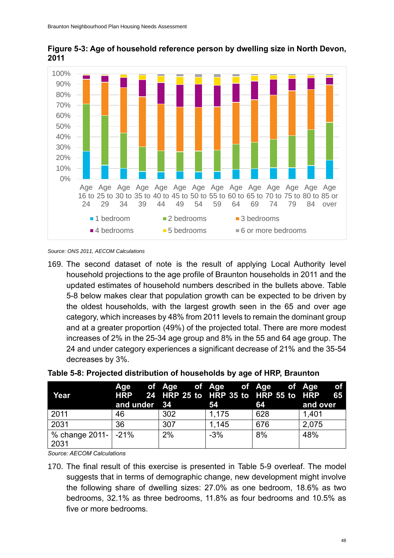

<span id="page-60-0"></span>

*Source: ONS 2011, AECOM Calculations*

169. The second dataset of note is the result of applying Local Authority level household projections to the age profile of Braunton households in 2011 and the updated estimates of household numbers described in the bullets above. [Table](#page-60-1)  [5-8](#page-60-1) below makes clear that population growth can be expected to be driven by the oldest households, with the largest growth seen in the 65 and over age category, which increases by 48% from 2011 levels to remain the dominant group and at a greater proportion (49%) of the projected total. There are more modest increases of 2% in the 25-34 age group and 8% in the 55 and 64 age group. The 24 and under category experiences a significant decrease of 21% and the 35-54 decreases by 3%.

| Year                       | and under 34 |     | Age of Age of Age of Age of Age<br>HRP 24 HRP 25 to HRP 35 to HRP 55 to HRP<br>54 | 64  | .of<br>- 65<br>and over |
|----------------------------|--------------|-----|-----------------------------------------------------------------------------------|-----|-------------------------|
| 2011                       | 46           | 302 | 1,175                                                                             | 628 | 1,401                   |
| 2031                       | 36           | 307 | 1,145                                                                             | 676 | 2,075                   |
| % change 2011- 21%<br>2031 |              | 2%  | $-3%$                                                                             | 8%  | 48%                     |

#### <span id="page-60-1"></span>**Table 5-8: Projected distribution of households by age of HRP, Braunton**

*Source: AECOM Calculations*

<sup>170.</sup> The final result of this exercise is presented in [Table 5-9](#page-61-0) overleaf. The model suggests that in terms of demographic change, new development might involve the following share of dwelling sizes: 27.0% as one bedroom, 18.6% as two bedrooms, 32.1% as three bedrooms, 11.8% as four bedrooms and 10.5% as five or more bedrooms.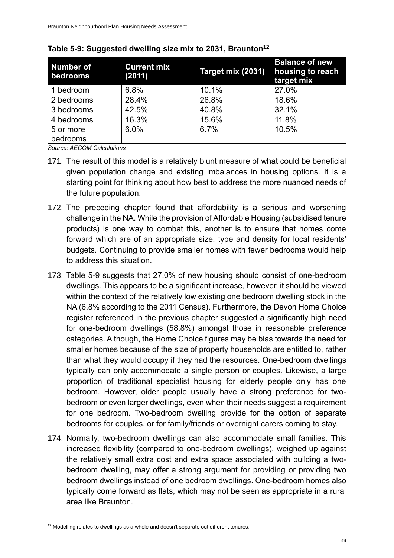| <b>Number of</b><br>bedrooms | <b>Current mix</b><br>(2011) | Target mix (2031) | <b>Balance of new</b><br>housing to reach<br>target mix |
|------------------------------|------------------------------|-------------------|---------------------------------------------------------|
| 1 bedroom                    | 6.8%                         | 10.1%             | 27.0%                                                   |
| 2 bedrooms                   | 28.4%                        | 26.8%             | 18.6%                                                   |
| 3 bedrooms                   | 42.5%                        | 40.8%             | 32.1%                                                   |
| 4 bedrooms                   | 16.3%                        | 15.6%             | 11.8%                                                   |
| 5 or more                    | 6.0%                         | 6.7%              | 10.5%                                                   |
| bedrooms                     |                              |                   |                                                         |

<span id="page-61-0"></span>

| Table 5-9: Suggested dwelling size mix to 2031, Braunton <sup>12</sup> |  |  |
|------------------------------------------------------------------------|--|--|
|------------------------------------------------------------------------|--|--|

*Source: AECOM Calculations*

- 171. The result of this model is a relatively blunt measure of what could be beneficial given population change and existing imbalances in housing options. It is a starting point for thinking about how best to address the more nuanced needs of the future population.
- 172. The preceding chapter found that affordability is a serious and worsening challenge in the NA. While the provision of Affordable Housing (subsidised tenure products) is one way to combat this, another is to ensure that homes come forward which are of an appropriate size, type and density for local residents' budgets. Continuing to provide smaller homes with fewer bedrooms would help to address this situation.
- 173. [Table 5-9](#page-61-0) suggests that 27.0% of new housing should consist of one-bedroom dwellings. This appears to be a significant increase, however, it should be viewed within the context of the relatively low existing one bedroom dwelling stock in the NA (6.8% according to the 2011 Census). Furthermore, the Devon Home Choice register referenced in the previous chapter suggested a significantly high need for one-bedroom dwellings (58.8%) amongst those in reasonable preference categories. Although, the Home Choice figures may be bias towards the need for smaller homes because of the size of property households are entitled to, rather than what they would occupy if they had the resources. One-bedroom dwellings typically can only accommodate a single person or couples. Likewise, a large proportion of traditional specialist housing for elderly people only has one bedroom. However, older people usually have a strong preference for twobedroom or even larger dwellings, even when their needs suggest a requirement for one bedroom. Two-bedroom dwelling provide for the option of separate bedrooms for couples, or for family/friends or overnight carers coming to stay.
- 174. Normally, two-bedroom dwellings can also accommodate small families. This increased flexibility (compared to one-bedroom dwellings), weighed up against the relatively small extra cost and extra space associated with building a twobedroom dwelling, may offer a strong argument for providing or providing two bedroom dwellings instead of one bedroom dwellings. One-bedroom homes also typically come forward as flats, which may not be seen as appropriate in a rural area like Braunton.

<sup>&</sup>lt;sup>12</sup> Modelling relates to dwellings as a whole and doesn't separate out different tenures.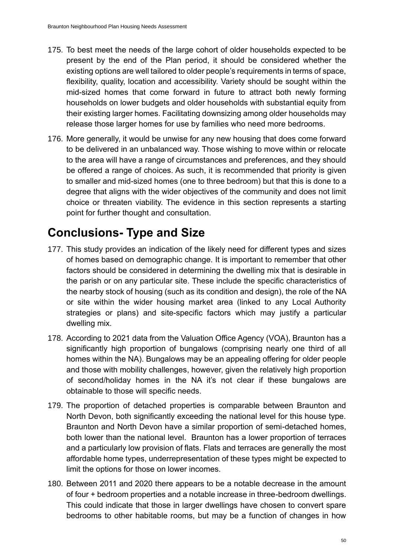- 175. To best meet the needs of the large cohort of older households expected to be present by the end of the Plan period, it should be considered whether the existing options are well tailored to older people's requirements in terms of space, flexibility, quality, location and accessibility. Variety should be sought within the mid-sized homes that come forward in future to attract both newly forming households on lower budgets and older households with substantial equity from their existing larger homes. Facilitating downsizing among older households may release those larger homes for use by families who need more bedrooms.
- 176. More generally, it would be unwise for any new housing that does come forward to be delivered in an unbalanced way. Those wishing to move within or relocate to the area will have a range of circumstances and preferences, and they should be offered a range of choices. As such, it is recommended that priority is given to smaller and mid-sized homes (one to three bedroom) but that this is done to a degree that aligns with the wider objectives of the community and does not limit choice or threaten viability. The evidence in this section represents a starting point for further thought and consultation.

# **Conclusions- Type and Size**

- 177. This study provides an indication of the likely need for different types and sizes of homes based on demographic change. It is important to remember that other factors should be considered in determining the dwelling mix that is desirable in the parish or on any particular site. These include the specific characteristics of the nearby stock of housing (such as its condition and design), the role of the NA or site within the wider housing market area (linked to any Local Authority strategies or plans) and site-specific factors which may justify a particular dwelling mix.
- 178. According to 2021 data from the Valuation Office Agency (VOA), Braunton has a significantly high proportion of bungalows (comprising nearly one third of all homes within the NA). Bungalows may be an appealing offering for older people and those with mobility challenges, however, given the relatively high proportion of second/holiday homes in the NA it's not clear if these bungalows are obtainable to those will specific needs.
- 179. The proportion of detached properties is comparable between Braunton and North Devon, both significantly exceeding the national level for this house type. Braunton and North Devon have a similar proportion of semi-detached homes, both lower than the national level. Braunton has a lower proportion of terraces and a particularly low provision of flats. Flats and terraces are generally the most affordable home types, underrepresentation of these types might be expected to limit the options for those on lower incomes.
- 180. Between 2011 and 2020 there appears to be a notable decrease in the amount of four + bedroom properties and a notable increase in three-bedroom dwellings. This could indicate that those in larger dwellings have chosen to convert spare bedrooms to other habitable rooms, but may be a function of changes in how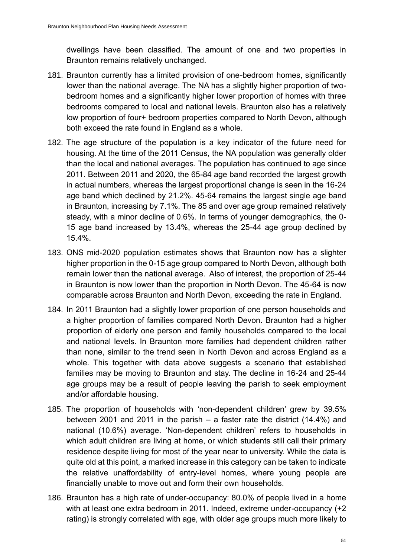dwellings have been classified. The amount of one and two properties in Braunton remains relatively unchanged.

- 181. Braunton currently has a limited provision of one-bedroom homes, significantly lower than the national average. The NA has a slightly higher proportion of twobedroom homes and a significantly higher lower proportion of homes with three bedrooms compared to local and national levels. Braunton also has a relatively low proportion of four+ bedroom properties compared to North Devon, although both exceed the rate found in England as a whole.
- 182. The age structure of the population is a key indicator of the future need for housing. At the time of the 2011 Census, the NA population was generally older than the local and national averages. The population has continued to age since 2011. Between 2011 and 2020, the 65-84 age band recorded the largest growth in actual numbers, whereas the largest proportional change is seen in the 16-24 age band which declined by 21.2%. 45-64 remains the largest single age band in Braunton, increasing by 7.1%. The 85 and over age group remained relatively steady, with a minor decline of 0.6%. In terms of younger demographics, the 0- 15 age band increased by 13.4%, whereas the 25-44 age group declined by 15.4%.
- 183. ONS mid-2020 population estimates shows that Braunton now has a slighter higher proportion in the 0-15 age group compared to North Devon, although both remain lower than the national average. Also of interest, the proportion of 25-44 in Braunton is now lower than the proportion in North Devon. The 45-64 is now comparable across Braunton and North Devon, exceeding the rate in England.
- 184. In 2011 Braunton had a slightly lower proportion of one person households and a higher proportion of families compared North Devon. Braunton had a higher proportion of elderly one person and family households compared to the local and national levels. In Braunton more families had dependent children rather than none, similar to the trend seen in North Devon and across England as a whole. This together with data above suggests a scenario that established families may be moving to Braunton and stay. The decline in 16-24 and 25-44 age groups may be a result of people leaving the parish to seek employment and/or affordable housing.
- 185. The proportion of households with 'non-dependent children' grew by 39.5% between 2001 and 2011 in the parish – a faster rate the district (14.4%) and national (10.6%) average. 'Non-dependent children' refers to households in which adult children are living at home, or which students still call their primary residence despite living for most of the year near to university. While the data is quite old at this point, a marked increase in this category can be taken to indicate the relative unaffordability of entry-level homes, where young people are financially unable to move out and form their own households.
- 186. Braunton has a high rate of under-occupancy: 80.0% of people lived in a home with at least one extra bedroom in 2011. Indeed, extreme under-occupancy (+2 rating) is strongly correlated with age, with older age groups much more likely to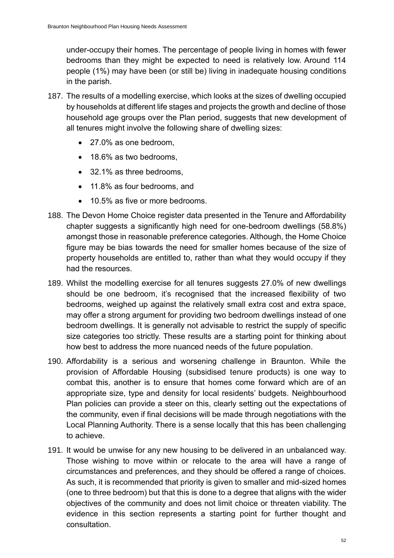under-occupy their homes. The percentage of people living in homes with fewer bedrooms than they might be expected to need is relatively low. Around 114 people (1%) may have been (or still be) living in inadequate housing conditions in the parish.

- 187. The results of a modelling exercise, which looks at the sizes of dwelling occupied by households at different life stages and projects the growth and decline of those household age groups over the Plan period, suggests that new development of all tenures might involve the following share of dwelling sizes:
	- 27.0% as one bedroom,
	- 18.6% as two bedrooms.
	- 32.1% as three bedrooms,
	- 11.8% as four bedrooms, and
	- 10.5% as five or more bedrooms.
- 188. The Devon Home Choice register data presented in the Tenure and Affordability chapter suggests a significantly high need for one-bedroom dwellings (58.8%) amongst those in reasonable preference categories. Although, the Home Choice figure may be bias towards the need for smaller homes because of the size of property households are entitled to, rather than what they would occupy if they had the resources.
- 189. Whilst the modelling exercise for all tenures suggests 27.0% of new dwellings should be one bedroom, it's recognised that the increased flexibility of two bedrooms, weighed up against the relatively small extra cost and extra space, may offer a strong argument for providing two bedroom dwellings instead of one bedroom dwellings. It is generally not advisable to restrict the supply of specific size categories too strictly. These results are a starting point for thinking about how best to address the more nuanced needs of the future population.
- 190. Affordability is a serious and worsening challenge in Braunton. While the provision of Affordable Housing (subsidised tenure products) is one way to combat this, another is to ensure that homes come forward which are of an appropriate size, type and density for local residents' budgets. Neighbourhood Plan policies can provide a steer on this, clearly setting out the expectations of the community, even if final decisions will be made through negotiations with the Local Planning Authority. There is a sense locally that this has been challenging to achieve.
- 191. It would be unwise for any new housing to be delivered in an unbalanced way. Those wishing to move within or relocate to the area will have a range of circumstances and preferences, and they should be offered a range of choices. As such, it is recommended that priority is given to smaller and mid-sized homes (one to three bedroom) but that this is done to a degree that aligns with the wider objectives of the community and does not limit choice or threaten viability. The evidence in this section represents a starting point for further thought and consultation.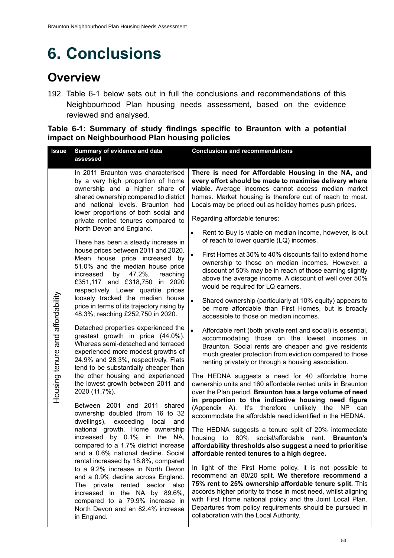# **6. Conclusions**

### **Overview**

192. [Table 6-1](#page-65-0) below sets out in full the conclusions and recommendations of this Neighbourhood Plan housing needs assessment, based on the evidence reviewed and analysed.

#### <span id="page-65-0"></span>**Table 6-1: Summary of study findings specific to Braunton with a potential impact on Neighbourhood Plan housing policies**

| <b>Issue</b>                     | Summary of evidence and data<br>assessed                                                                                                                                                                                                                                                                                                                                                                                                                                                                                                                                                                                                                                                                                                                                                                                                                                                                                                                                                                                                                                                                                                                                                                                                                                                                                                                                                                                                                                         | <b>Conclusions and recommendations</b>                                                                                                                                                                                                                                                                                                                                                                                                                                                                                                                                                                                                                                                                                                                                                                                                                                                                                                                                                                                                                                                                                                                                                                                                                                                                                                                                                                                                                                                                                                                                                                                                                                                                                                                                                                                                                                                                                                                                                                                                 |
|----------------------------------|----------------------------------------------------------------------------------------------------------------------------------------------------------------------------------------------------------------------------------------------------------------------------------------------------------------------------------------------------------------------------------------------------------------------------------------------------------------------------------------------------------------------------------------------------------------------------------------------------------------------------------------------------------------------------------------------------------------------------------------------------------------------------------------------------------------------------------------------------------------------------------------------------------------------------------------------------------------------------------------------------------------------------------------------------------------------------------------------------------------------------------------------------------------------------------------------------------------------------------------------------------------------------------------------------------------------------------------------------------------------------------------------------------------------------------------------------------------------------------|----------------------------------------------------------------------------------------------------------------------------------------------------------------------------------------------------------------------------------------------------------------------------------------------------------------------------------------------------------------------------------------------------------------------------------------------------------------------------------------------------------------------------------------------------------------------------------------------------------------------------------------------------------------------------------------------------------------------------------------------------------------------------------------------------------------------------------------------------------------------------------------------------------------------------------------------------------------------------------------------------------------------------------------------------------------------------------------------------------------------------------------------------------------------------------------------------------------------------------------------------------------------------------------------------------------------------------------------------------------------------------------------------------------------------------------------------------------------------------------------------------------------------------------------------------------------------------------------------------------------------------------------------------------------------------------------------------------------------------------------------------------------------------------------------------------------------------------------------------------------------------------------------------------------------------------------------------------------------------------------------------------------------------------|
| Housing tenure and affordability | In 2011 Braunton was characterised<br>by a very high proportion of home<br>ownership and a higher share of<br>shared ownership compared to district<br>and national levels. Braunton had<br>lower proportions of both social and<br>private rented tenures compared to<br>North Devon and England.<br>There has been a steady increase in<br>house prices between 2011 and 2020.<br>Mean house price increased by<br>51.0% and the median house price<br>by 47.2%,<br>reaching<br>increased<br>£351,117 and £318,750 in 2020<br>respectively. Lower quartile prices<br>loosely tracked the median house<br>price in terms of its trajectory rising by<br>48.3%, reaching £252,750 in 2020.<br>Detached properties experienced the<br>greatest growth in price (44.0%).<br>Whereas semi-detached and terraced<br>experienced more modest growths of<br>24.9% and 28.3%, respectively. Flats<br>tend to be substantially cheaper than<br>the other housing and experienced<br>the lowest growth between 2011 and<br>2020 (11.7%).<br>Between 2001 and 2011 shared<br>ownership doubled (from 16 to 32<br>dwellings), exceeding local<br>and<br>national growth. Home ownership<br>increased by 0.1% in the NA,<br>compared to a 1.7% district increase<br>and a 0.6% national decline. Social<br>rental increased by 18.8%, compared<br>to a 9.2% increase in North Devon<br>and a 0.9% decline across England.<br>The private rented sector also<br>increased in the NA by 89.6%, | There is need for Affordable Housing in the NA, and<br>every effort should be made to maximise delivery where<br>viable. Average incomes cannot access median market<br>homes. Market housing is therefore out of reach to most.<br>Locals may be priced out as holiday homes push prices.<br>Regarding affordable tenures:<br>Rent to Buy is viable on median income, however, is out<br>of reach to lower quartile (LQ) incomes.<br>First Homes at 30% to 40% discounts fail to extend home<br>$\bullet$<br>ownership to those on median incomes. However, a<br>discount of 50% may be in reach of those earning slightly<br>above the average income. A discount of well over 50%<br>would be required for LQ earners.<br>Shared ownership (particularly at 10% equity) appears to<br>be more affordable than First Homes, but is broadly<br>accessible to those on median incomes.<br>$\bullet$<br>Affordable rent (both private rent and social) is essential,<br>accommodating those on the lowest incomes in<br>Braunton. Social rents are cheaper and give residents<br>much greater protection from eviction compared to those<br>renting privately or through a housing association.<br>The HEDNA suggests a need for 40 affordable home<br>ownership units and 160 affordable rented units in Braunton<br>over the Plan period. Braunton has a large volume of need<br>in proportion to the indicative housing need figure<br>(Appendix A). It's therefore unlikely the NP can<br>accommodate the affordable need identified in the HEDNA.<br>The HEDNA suggests a tenure split of 20% intermediate<br>housing to 80% social/affordable rent. <b>Braunton's</b><br>affordability thresholds also suggest a need to prioritise<br>affordable rented tenures to a high degree.<br>In light of the First Home policy, it is not possible to<br>recommend an 80/20 split. We therefore recommend a<br>75% rent to 25% ownership affordable tenure split. This<br>accords higher priority to those in most need, whilst aligning |
|                                  | compared to a 79.9% increase in<br>North Devon and an 82.4% increase<br>in England.                                                                                                                                                                                                                                                                                                                                                                                                                                                                                                                                                                                                                                                                                                                                                                                                                                                                                                                                                                                                                                                                                                                                                                                                                                                                                                                                                                                              | with First Home national policy and the Joint Local Plan.<br>Departures from policy requirements should be pursued in<br>collaboration with the Local Authority.                                                                                                                                                                                                                                                                                                                                                                                                                                                                                                                                                                                                                                                                                                                                                                                                                                                                                                                                                                                                                                                                                                                                                                                                                                                                                                                                                                                                                                                                                                                                                                                                                                                                                                                                                                                                                                                                       |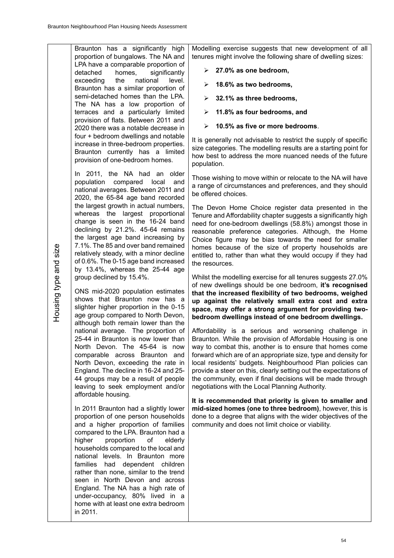Braunton has a significantly high proportion of bungalows. The NA and LPA have a comparable proportion of detached homes, significantly exceeding the national level. Braunton has a similar proportion of semi-detached homes than the LPA. The NA has a low proportion of terraces and a particularly limited provision of flats. Between 2011 and 2020 there was a notable decrease in four + bedroom dwellings and notable increase in three-bedroom properties. Braunton currently has a limited provision of one-bedroom homes.

In 2011, the NA had an older population compared local and national averages. Between 2011 and 2020, the 65-84 age band recorded the largest growth in actual numbers, whereas the largest proportional change is seen in the 16-24 band declining by 21.2%. 45-64 remains the largest age band increasing by 7.1%. The 85 and over band remained relatively steady, with a minor decline of 0.6%. The 0-15 age band increased by 13.4%, whereas the 25-44 age group declined by 15.4%.

ONS mid-2020 population estimates shows that Braunton now has a slighter higher proportion in the 0-15 age group compared to North Devon, although both remain lower than the national average. The proportion of 25-44 in Braunton is now lower than North Devon. The 45-64 is now comparable across Braunton and North Devon, exceeding the rate in England. The decline in 16-24 and 25- 44 groups may be a result of people leaving to seek employment and/or affordable housing.

In 2011 Braunton had a slightly lower proportion of one person households and a higher proportion of families compared to the LPA. Braunton had a higher proportion of elderly households compared to the local and national levels. In Braunton more families had dependent children rather than none, similar to the trend seen in North Devon and across England. The NA has a high rate of under-occupancy, 80% lived in a home with at least one extra bedroom in 2011.

Modelling exercise suggests that new development of all tenures might involve the following share of dwelling sizes:

- ➢ **27.0% as one bedroom,**
- ➢ **18.6% as two bedrooms,**
- ➢ **32.1% as three bedrooms,**
- ➢ **11.8% as four bedrooms, and**
- ➢ **10.5% as five or more bedrooms**.

It is generally not advisable to restrict the supply of specific size categories. The modelling results are a starting point for how best to address the more nuanced needs of the future population.

Those wishing to move within or relocate to the NA will have a range of circumstances and preferences, and they should be offered choices.

The Devon Home Choice register data presented in the Tenure and Affordability chapter suggests a significantly high need for one-bedroom dwellings (58.8%) amongst those in reasonable preference categories. Although, the Home Choice figure may be bias towards the need for smaller homes because of the size of property households are entitled to, rather than what they would occupy if they had the resources.

Whilst the modelling exercise for all tenures suggests 27.0% of new dwellings should be one bedroom, **it's recognised that the increased flexibility of two bedrooms, weighed up against the relatively small extra cost and extra space, may offer a strong argument for providing twobedroom dwellings instead of one bedroom dwellings.**

Affordability is a serious and worsening challenge in Braunton. While the provision of Affordable Housing is one way to combat this, another is to ensure that homes come forward which are of an appropriate size, type and density for local residents' budgets. Neighbourhood Plan policies can provide a steer on this, clearly setting out the expectations of the community, even if final decisions will be made through negotiations with the Local Planning Authority.

**It is recommended that priority is given to smaller and mid-sized homes (one to three bedroom)**, however, this is done to a degree that aligns with the wider objectives of the community and does not limit choice or viability.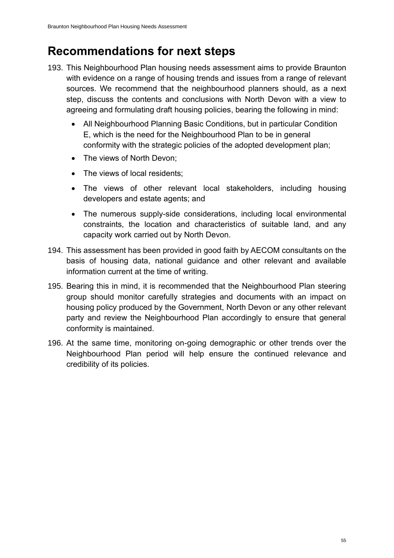### **Recommendations for next steps**

- 193. This Neighbourhood Plan housing needs assessment aims to provide Braunton with evidence on a range of housing trends and issues from a range of relevant sources. We recommend that the neighbourhood planners should, as a next step, discuss the contents and conclusions with North Devon with a view to agreeing and formulating draft housing policies, bearing the following in mind:
	- All Neighbourhood Planning Basic Conditions, but in particular Condition E, which is the need for the Neighbourhood Plan to be in general conformity with the strategic policies of the adopted development plan;
	- The views of North Devon:
	- The views of local residents:
	- The views of other relevant local stakeholders, including housing developers and estate agents; and
	- The numerous supply-side considerations, including local environmental constraints, the location and characteristics of suitable land, and any capacity work carried out by North Devon.
- 194. This assessment has been provided in good faith by AECOM consultants on the basis of housing data, national guidance and other relevant and available information current at the time of writing.
- 195. Bearing this in mind, it is recommended that the Neighbourhood Plan steering group should monitor carefully strategies and documents with an impact on housing policy produced by the Government, North Devon or any other relevant party and review the Neighbourhood Plan accordingly to ensure that general conformity is maintained.
- 196. At the same time, monitoring on-going demographic or other trends over the Neighbourhood Plan period will help ensure the continued relevance and credibility of its policies.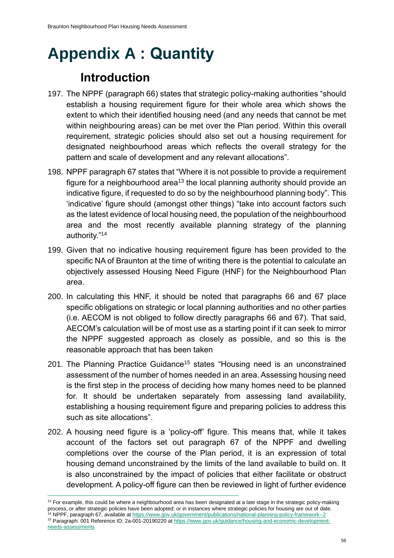# **Appendix A : Quantity**

## **Introduction**

- 197. The NPPF (paragraph 66) states that strategic policy-making authorities "should establish a housing requirement figure for their whole area which shows the extent to which their identified housing need (and any needs that cannot be met within neighbouring areas) can be met over the Plan period. Within this overall requirement, strategic policies should also set out a housing requirement for designated neighbourhood areas which reflects the overall strategy for the pattern and scale of development and any relevant allocations".
- 198. NPPF paragraph 67 states that "Where it is not possible to provide a requirement figure for a neighbourhood area<sup>13</sup> the local planning authority should provide an indicative figure, if requested to do so by the neighbourhood planning body". This 'indicative' figure should (amongst other things) "take into account factors such as the latest evidence of local housing need, the population of the neighbourhood area and the most recently available planning strategy of the planning authority."<sup>14</sup>
- 199. Given that no indicative housing requirement figure has been provided to the specific NA of Braunton at the time of writing there is the potential to calculate an objectively assessed Housing Need Figure (HNF) for the Neighbourhood Plan area.
- 200. In calculating this HNF, it should be noted that paragraphs 66 and 67 place specific obligations on strategic or local planning authorities and no other parties (i.e. AECOM is not obliged to follow directly paragraphs 66 and 67). That said, AECOM's calculation will be of most use as a starting point if it can seek to mirror the NPPF suggested approach as closely as possible, and so this is the reasonable approach that has been taken
- 201. The Planning Practice Guidance<sup>15</sup> states "Housing need is an unconstrained assessment of the number of homes needed in an area. Assessing housing need is the first step in the process of deciding how many homes need to be planned for. It should be undertaken separately from assessing land availability, establishing a housing requirement figure and preparing policies to address this such as site allocations".
- 202. A housing need figure is a 'policy-off' figure. This means that, while it takes account of the factors set out paragraph 67 of the NPPF and dwelling completions over the course of the Plan period, it is an expression of total housing demand unconstrained by the limits of the land available to build on. It is also unconstrained by the impact of policies that either facilitate or obstruct development. A policy-off figure can then be reviewed in light of further evidence

<sup>&</sup>lt;sup>13</sup> For example, this could be where a neighbourhood area has been designated at a late stage in the strategic policy-making process, or after strategic policies have been adopted; or in instances where strategic policies for housing are out of date. <sup>14</sup> NPPF, paragraph 67, available a[t https://www.gov.uk/government/publications/national-planning-policy-framework--2](https://www.gov.uk/government/publications/national-planning-policy-framework--2) <sup>15</sup> Paragraph: 001 Reference ID: 2a-001-20190220 at [https://www.gov.uk/guidance/housing-and-economic-development](https://www.gov.uk/guidance/housing-and-economic-development-needs-assessments)[needs-assessments](https://www.gov.uk/guidance/housing-and-economic-development-needs-assessments)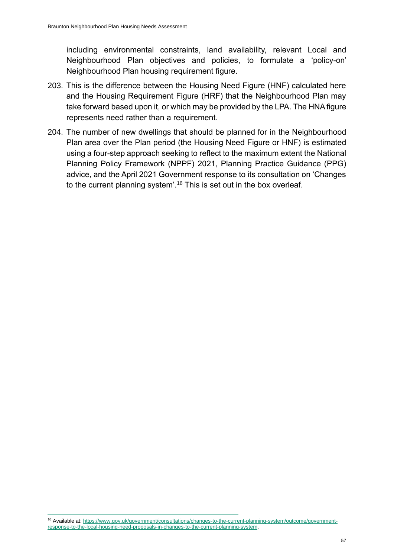including environmental constraints, land availability, relevant Local and Neighbourhood Plan objectives and policies, to formulate a 'policy-on' Neighbourhood Plan housing requirement figure.

- 203. This is the difference between the Housing Need Figure (HNF) calculated here and the Housing Requirement Figure (HRF) that the Neighbourhood Plan may take forward based upon it, or which may be provided by the LPA. The HNA figure represents need rather than a requirement.
- 204. The number of new dwellings that should be planned for in the Neighbourhood Plan area over the Plan period (the Housing Need Figure or HNF) is estimated using a four-step approach seeking to reflect to the maximum extent the National Planning Policy Framework (NPPF) 2021, Planning Practice Guidance (PPG) advice, and the April 2021 Government response to its consultation on 'Changes to the current planning system'. <sup>16</sup> This is set out in the box overleaf.

<sup>16</sup> Available at[: https://www.gov.uk/government/consultations/changes-to-the-current-planning-system/outcome/government](https://www.gov.uk/government/consultations/changes-to-the-current-planning-system/outcome/government-response-to-the-local-housing-need-proposals-in-changes-to-the-current-planning-system)[response-to-the-local-housing-need-proposals-in-changes-to-the-current-planning-system.](https://www.gov.uk/government/consultations/changes-to-the-current-planning-system/outcome/government-response-to-the-local-housing-need-proposals-in-changes-to-the-current-planning-system)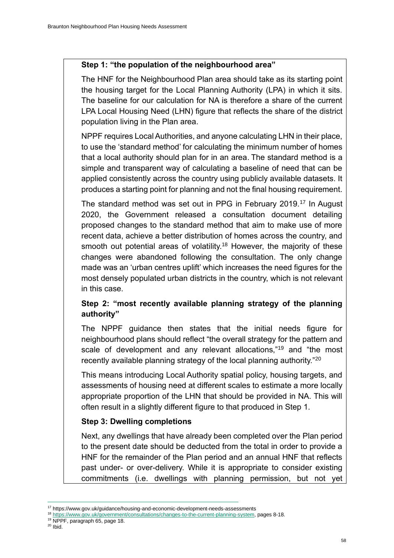#### **Step 1: "the population of the neighbourhood area"**

The HNF for the Neighbourhood Plan area should take as its starting point the housing target for the Local Planning Authority (LPA) in which it sits. The baseline for our calculation for NA is therefore a share of the current LPA Local Housing Need (LHN) figure that reflects the share of the district population living in the Plan area.

NPPF requires Local Authorities, and anyone calculating LHN in their place, to use the 'standard method' for calculating the minimum number of homes that a local authority should plan for in an area. The standard method is a simple and transparent way of calculating a baseline of need that can be applied consistently across the country using publicly available datasets. It produces a starting point for planning and not the final housing requirement.

The standard method was set out in PPG in February 2019.<sup>17</sup> In August 2020, the Government released a consultation document detailing proposed changes to the standard method that aim to make use of more recent data, achieve a better distribution of homes across the country, and smooth out potential areas of volatility.<sup>18</sup> However, the majority of these changes were abandoned following the consultation. The only change made was an 'urban centres uplift' which increases the need figures for the most densely populated urban districts in the country, which is not relevant in this case.

#### **Step 2: "most recently available planning strategy of the planning authority"**

The NPPF guidance then states that the initial needs figure for neighbourhood plans should reflect "the overall strategy for the pattern and scale of development and any relevant allocations,"<sup>19</sup> and "the most recently available planning strategy of the local planning authority."<sup>20</sup>

This means introducing Local Authority spatial policy, housing targets, and assessments of housing need at different scales to estimate a more locally appropriate proportion of the LHN that should be provided in NA. This will often result in a slightly different figure to that produced in Step 1.

#### **Step 3: Dwelling completions**

Next, any dwellings that have already been completed over the Plan period to the present date should be deducted from the total in order to provide a HNF for the remainder of the Plan period and an annual HNF that reflects past under- or over-delivery. While it is appropriate to consider existing commitments (i.e. dwellings with planning permission, but not yet

- <sup>18</sup> [https://www.gov.uk/government/consultations/changes-to-the-current-planning-system,](https://www.gov.uk/government/consultations/changes-to-the-current-planning-system) pages 8-18.
- <sup>19</sup> NPPF, paragraph 65, page 18.

<sup>&</sup>lt;sup>17</sup> https://www.gov.uk/guidance/housing-and-economic-development-needs-assessments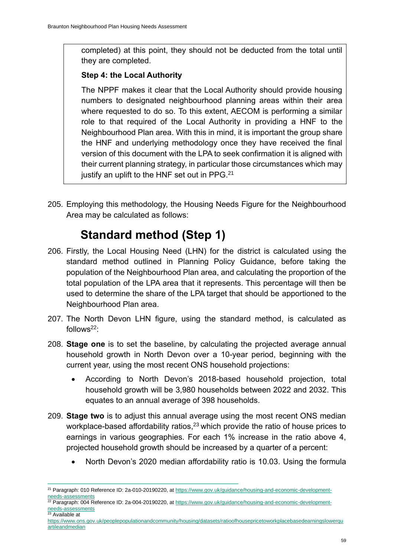completed) at this point, they should not be deducted from the total until they are completed.

#### **Step 4: the Local Authority**

The NPPF makes it clear that the Local Authority should provide housing numbers to designated neighbourhood planning areas within their area where requested to do so. To this extent, AECOM is performing a similar role to that required of the Local Authority in providing a HNF to the Neighbourhood Plan area. With this in mind, it is important the group share the HNF and underlying methodology once they have received the final version of this document with the LPA to seek confirmation it is aligned with their current planning strategy, in particular those circumstances which may justify an uplift to the HNF set out in PPG.<sup>21</sup>

205. Employing this methodology, the Housing Needs Figure for the Neighbourhood Area may be calculated as follows:

## **Standard method (Step 1)**

- 206. Firstly, the Local Housing Need (LHN) for the district is calculated using the standard method outlined in Planning Policy Guidance, before taking the population of the Neighbourhood Plan area, and calculating the proportion of the total population of the LPA area that it represents. This percentage will then be used to determine the share of the LPA target that should be apportioned to the Neighbourhood Plan area.
- 207. The North Devon LHN figure, using the standard method, is calculated as follows $22$ :
- 208. **Stage one** is to set the baseline, by calculating the projected average annual household growth in North Devon over a 10-year period, beginning with the current year, using the most recent ONS household projections:
	- According to North Devon's 2018-based household projection, total household growth will be 3,980 households between 2022 and 2032. This equates to an annual average of 398 households.
- 209. **Stage two** is to adjust this annual average using the most recent ONS median workplace-based affordability ratios,<sup>23</sup> which provide the ratio of house prices to earnings in various geographies. For each 1% increase in the ratio above 4, projected household growth should be increased by a quarter of a percent:
	- North Devon's 2020 median affordability ratio is 10.03. Using the formula

<sup>&</sup>lt;sup>21</sup> Paragraph: 010 Reference ID: 2a-010-20190220, a[t https://www.gov.uk/guidance/housing-and-economic-development](https://www.gov.uk/guidance/housing-and-economic-development-needs-assessments)[needs-assessments](https://www.gov.uk/guidance/housing-and-economic-development-needs-assessments)

<sup>&</sup>lt;sup>22</sup> Paragraph: 004 Reference ID: 2a-004-20190220, a[t https://www.gov.uk/guidance/housing-and-economic-development](https://www.gov.uk/guidance/housing-and-economic-development-needs-assessments)[needs-assessments](https://www.gov.uk/guidance/housing-and-economic-development-needs-assessments) <sup>23</sup> Available at

[https://www.ons.gov.uk/peoplepopulationandcommunity/housing/datasets/ratioofhousepricetoworkplacebasedearningslowerqu](https://www.ons.gov.uk/peoplepopulationandcommunity/housing/datasets/ratioofhousepricetoworkplacebasedearningslowerquartileandmedian) [artileandmedian](https://www.ons.gov.uk/peoplepopulationandcommunity/housing/datasets/ratioofhousepricetoworkplacebasedearningslowerquartileandmedian)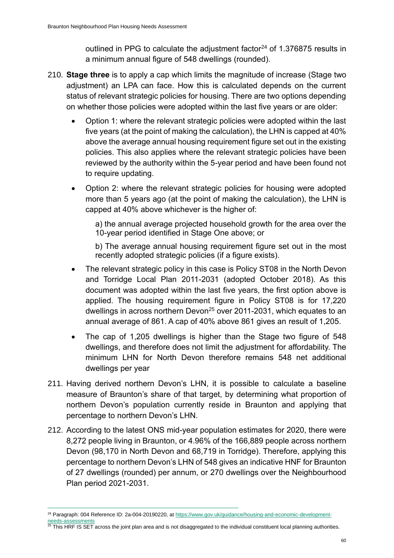outlined in PPG to calculate the adjustment factor<sup>24</sup> of 1.376875 results in a minimum annual figure of 548 dwellings (rounded).

- 210. **Stage three** is to apply a cap which limits the magnitude of increase (Stage two adjustment) an LPA can face. How this is calculated depends on the current status of relevant strategic policies for housing. There are two options depending on whether those policies were adopted within the last five years or are older:
	- Option 1: where the relevant strategic policies were adopted within the last five years (at the point of making the calculation), the LHN is capped at 40% above the average annual housing requirement figure set out in the existing policies. This also applies where the relevant strategic policies have been reviewed by the authority within the 5-year period and have been found not to require updating.
	- Option 2: where the relevant strategic policies for housing were adopted more than 5 years ago (at the point of making the calculation), the LHN is capped at 40% above whichever is the higher of:

a) the annual average projected household growth for the area over the 10-year period identified in Stage One above; or

b) The average annual housing requirement figure set out in the most recently adopted strategic policies (if a figure exists).

- The relevant strategic policy in this case is Policy ST08 in the North Devon and Torridge Local Plan 2011-2031 (adopted October 2018). As this document was adopted within the last five years, the first option above is applied. The housing requirement figure in Policy ST08 is for 17,220 dwellings in across northern Devon<sup>25</sup> over 2011-2031, which equates to an annual average of 861. A cap of 40% above 861 gives an result of 1,205.
- The cap of 1,205 dwellings is higher than the Stage two figure of 548 dwellings, and therefore does not limit the adjustment for affordability. The minimum LHN for North Devon therefore remains 548 net additional dwellings per year
- 211. Having derived northern Devon's LHN, it is possible to calculate a baseline measure of Braunton's share of that target, by determining what proportion of northern Devon's population currently reside in Braunton and applying that percentage to northern Devon's LHN.
- 212. According to the latest ONS mid-year population estimates for 2020, there were 8,272 people living in Braunton, or 4.96% of the 166,889 people across northern Devon (98,170 in North Devon and 68,719 in Torridge). Therefore, applying this percentage to northern Devon's LHN of 548 gives an indicative HNF for Braunton of 27 dwellings (rounded) per annum, or 270 dwellings over the Neighbourhood Plan period 2021-2031.

<sup>&</sup>lt;sup>24</sup> Paragraph: 004 Reference ID: 2a-004-20190220, a[t https://www.gov.uk/guidance/housing-and-economic-development](https://www.gov.uk/guidance/housing-and-economic-development-needs-assessments)[needs-assessments](https://www.gov.uk/guidance/housing-and-economic-development-needs-assessments)

 $^{25}$  This HRF IS SET across the joint plan area and is not disaggregated to the individual constituent local planning authorities.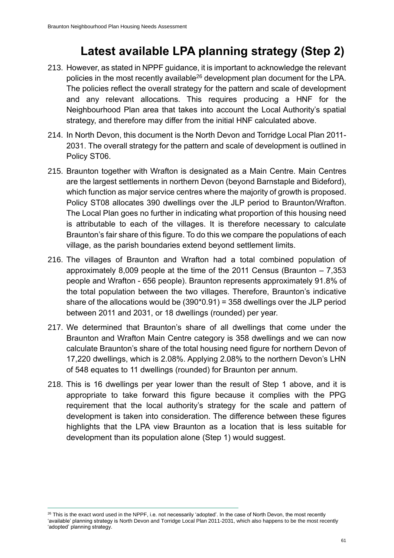### **Latest available LPA planning strategy (Step 2)**

- 213. However, as stated in NPPF guidance, it is important to acknowledge the relevant policies in the most recently available<sup>26</sup> development plan document for the LPA. The policies reflect the overall strategy for the pattern and scale of development and any relevant allocations. This requires producing a HNF for the Neighbourhood Plan area that takes into account the Local Authority's spatial strategy, and therefore may differ from the initial HNF calculated above.
- 214. In North Devon, this document is the North Devon and Torridge Local Plan 2011- 2031. The overall strategy for the pattern and scale of development is outlined in Policy ST06.
- 215. Braunton together with Wrafton is designated as a Main Centre. Main Centres are the largest settlements in northern Devon (beyond Barnstaple and Bideford), which function as major service centres where the majority of growth is proposed. Policy ST08 allocates 390 dwellings over the JLP period to Braunton/Wrafton. The Local Plan goes no further in indicating what proportion of this housing need is attributable to each of the villages. It is therefore necessary to calculate Braunton's fair share of this figure. To do this we compare the populations of each village, as the parish boundaries extend beyond settlement limits.
- 216. The villages of Braunton and Wrafton had a total combined population of approximately 8,009 people at the time of the 2011 Census (Braunton – 7,353 people and Wrafton - 656 people). Braunton represents approximately 91.8% of the total population between the two villages. Therefore, Braunton's indicative share of the allocations would be (390\*0.91) = 358 dwellings over the JLP period between 2011 and 2031, or 18 dwellings (rounded) per year.
- 217. We determined that Braunton's share of all dwellings that come under the Braunton and Wrafton Main Centre category is 358 dwellings and we can now calculate Braunton's share of the total housing need figure for northern Devon of 17,220 dwellings, which is 2.08%. Applying 2.08% to the northern Devon's LHN of 548 equates to 11 dwellings (rounded) for Braunton per annum.
- 218. This is 16 dwellings per year lower than the result of Step 1 above, and it is appropriate to take forward this figure because it complies with the PPG requirement that the local authority's strategy for the scale and pattern of development is taken into consideration. The difference between these figures highlights that the LPA view Braunton as a location that is less suitable for development than its population alone (Step 1) would suggest.

<sup>&</sup>lt;sup>26</sup> This is the exact word used in the NPPF, i.e. not necessarily 'adopted'. In the case of North Devon, the most recently 'available' planning strategy is North Devon and Torridge Local Plan 2011-2031, which also happens to be the most recently 'adopted' planning strategy.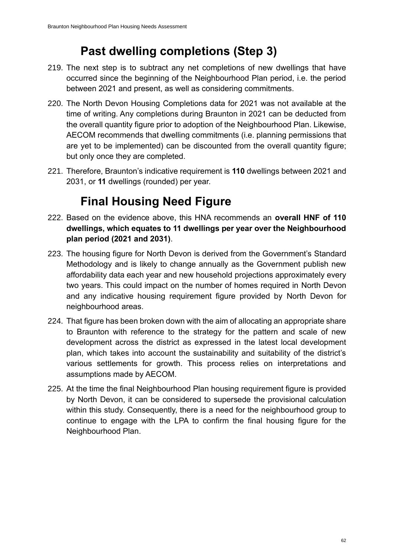## **Past dwelling completions (Step 3)**

- 219. The next step is to subtract any net completions of new dwellings that have occurred since the beginning of the Neighbourhood Plan period, i.e. the period between 2021 and present, as well as considering commitments.
- 220. The North Devon Housing Completions data for 2021 was not available at the time of writing. Any completions during Braunton in 2021 can be deducted from the overall quantity figure prior to adoption of the Neighbourhood Plan. Likewise, AECOM recommends that dwelling commitments (i.e. planning permissions that are yet to be implemented) can be discounted from the overall quantity figure; but only once they are completed.
- 221. Therefore, Braunton's indicative requirement is **110** dwellings between 2021 and 2031, or **11** dwellings (rounded) per year.

# **Final Housing Need Figure**

- 222. Based on the evidence above, this HNA recommends an **overall HNF of 110 dwellings, which equates to 11 dwellings per year over the Neighbourhood plan period (2021 and 2031)**.
- 223. The housing figure for North Devon is derived from the Government's Standard Methodology and is likely to change annually as the Government publish new affordability data each year and new household projections approximately every two years. This could impact on the number of homes required in North Devon and any indicative housing requirement figure provided by North Devon for neighbourhood areas.
- 224. That figure has been broken down with the aim of allocating an appropriate share to Braunton with reference to the strategy for the pattern and scale of new development across the district as expressed in the latest local development plan, which takes into account the sustainability and suitability of the district's various settlements for growth. This process relies on interpretations and assumptions made by AECOM.
- 225. At the time the final Neighbourhood Plan housing requirement figure is provided by North Devon, it can be considered to supersede the provisional calculation within this study. Consequently, there is a need for the neighbourhood group to continue to engage with the LPA to confirm the final housing figure for the Neighbourhood Plan.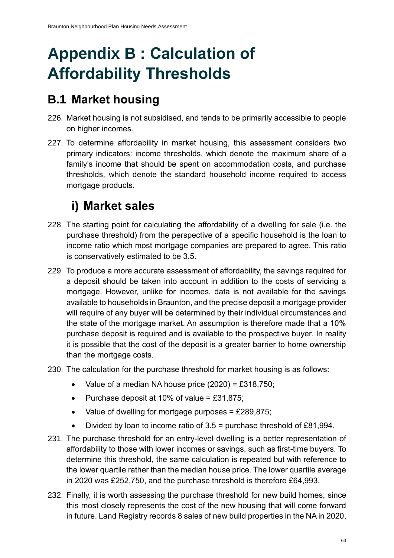# **Appendix B : Calculation of Affordability Thresholds**

### **B.1 Market housing**

- 226. Market housing is not subsidised, and tends to be primarily accessible to people on higher incomes.
- 227. To determine affordability in market housing, this assessment considers two primary indicators: income thresholds, which denote the maximum share of a family's income that should be spent on accommodation costs, and purchase thresholds, which denote the standard household income required to access mortgage products.

# **i) Market sales**

- 228. The starting point for calculating the affordability of a dwelling for sale (i.e. the purchase threshold) from the perspective of a specific household is the loan to income ratio which most mortgage companies are prepared to agree. This ratio is conservatively estimated to be 3.5.
- 229. To produce a more accurate assessment of affordability, the savings required for a deposit should be taken into account in addition to the costs of servicing a mortgage. However, unlike for incomes, data is not available for the savings available to households in Braunton, and the precise deposit a mortgage provider will require of any buyer will be determined by their individual circumstances and the state of the mortgage market. An assumption is therefore made that a 10% purchase deposit is required and is available to the prospective buyer. In reality it is possible that the cost of the deposit is a greater barrier to home ownership than the mortgage costs.
- 230. The calculation for the purchase threshold for market housing is as follows:
	- Value of a median NA house price (2020) = £318,750;
	- Purchase deposit at 10% of value =  $£31,875;$
	- Value of dwelling for mortgage purposes  $=$  £289,875;
	- Divided by loan to income ratio of 3.5 = purchase threshold of £81,994.
- 231. The purchase threshold for an entry-level dwelling is a better representation of affordability to those with lower incomes or savings, such as first-time buyers. To determine this threshold, the same calculation is repeated but with reference to the lower quartile rather than the median house price. The lower quartile average in 2020 was £252,750, and the purchase threshold is therefore £64,993.
- 232. Finally, it is worth assessing the purchase threshold for new build homes, since this most closely represents the cost of the new housing that will come forward in future. Land Registry records 8 sales of new build properties in the NA in 2020,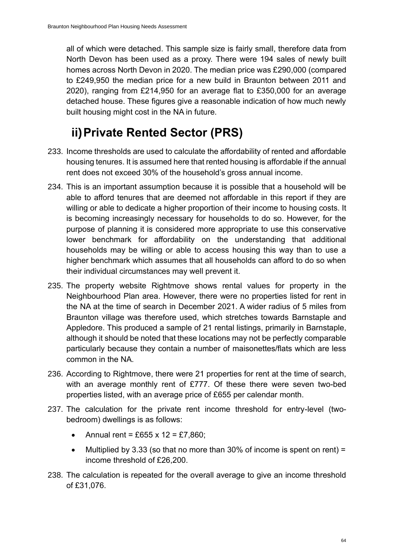all of which were detached. This sample size is fairly small, therefore data from North Devon has been used as a proxy. There were 194 sales of newly built homes across North Devon in 2020. The median price was £290,000 (compared to £249,950 the median price for a new build in Braunton between 2011 and 2020), ranging from £214,950 for an average flat to £350,000 for an average detached house. These figures give a reasonable indication of how much newly built housing might cost in the NA in future.

### **ii)Private Rented Sector (PRS)**

- 233. Income thresholds are used to calculate the affordability of rented and affordable housing tenures. It is assumed here that rented housing is affordable if the annual rent does not exceed 30% of the household's gross annual income.
- 234. This is an important assumption because it is possible that a household will be able to afford tenures that are deemed not affordable in this report if they are willing or able to dedicate a higher proportion of their income to housing costs. It is becoming increasingly necessary for households to do so. However, for the purpose of planning it is considered more appropriate to use this conservative lower benchmark for affordability on the understanding that additional households may be willing or able to access housing this way than to use a higher benchmark which assumes that all households can afford to do so when their individual circumstances may well prevent it.
- 235. The property website Rightmove shows rental values for property in the Neighbourhood Plan area. However, there were no properties listed for rent in the NA at the time of search in December 2021. A wider radius of 5 miles from Braunton village was therefore used, which stretches towards Barnstaple and Appledore. This produced a sample of 21 rental listings, primarily in Barnstaple, although it should be noted that these locations may not be perfectly comparable particularly because they contain a number of maisonettes/flats which are less common in the NA.
- 236. According to Rightmove, there were 21 properties for rent at the time of search, with an average monthly rent of £777. Of these there were seven two-bed properties listed, with an average price of £655 per calendar month.
- 237. The calculation for the private rent income threshold for entry-level (twobedroom) dwellings is as follows:
	- Annual rent = £655 x 12 = £7,860;
	- Multiplied by 3.33 (so that no more than 30% of income is spent on rent) = income threshold of £26,200.
- 238. The calculation is repeated for the overall average to give an income threshold of £31,076.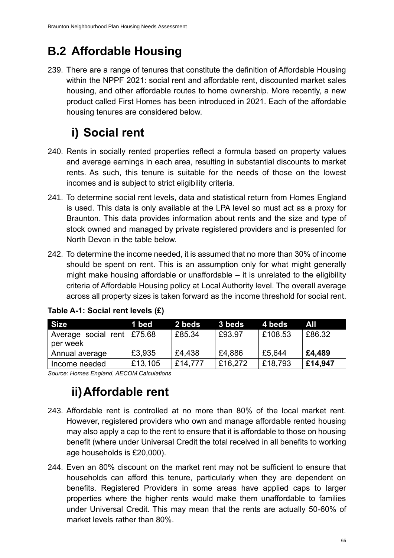# **B.2 Affordable Housing**

239. There are a range of tenures that constitute the definition of Affordable Housing within the NPPF 2021: social rent and affordable rent, discounted market sales housing, and other affordable routes to home ownership. More recently, a new product called First Homes has been introduced in 2021. Each of the affordable housing tenures are considered below.

# **i) Social rent**

- 240. Rents in socially rented properties reflect a formula based on property values and average earnings in each area, resulting in substantial discounts to market rents. As such, this tenure is suitable for the needs of those on the lowest incomes and is subject to strict eligibility criteria.
- 241. To determine social rent levels, data and statistical return from Homes England is used. This data is only available at the LPA level so must act as a proxy for Braunton. This data provides information about rents and the size and type of stock owned and managed by private registered providers and is presented for North Devon in the table below.
- 242. To determine the income needed, it is assumed that no more than 30% of income should be spent on rent. This is an assumption only for what might generally might make housing affordable or unaffordable – it is unrelated to the eligibility criteria of Affordable Housing policy at Local Authority level. The overall average across all property sizes is taken forward as the income threshold for social rent.

| <b>Size</b>                  | 1 bed   | 2 beds  | 3 beds  | 4 beds  | All     |
|------------------------------|---------|---------|---------|---------|---------|
| Average social rent   £75.68 |         | £85.34  | £93.97  | £108.53 | £86.32  |
| per week                     |         |         |         |         |         |
| Annual average               | £3,935  | £4,438  | £4,886  | £5,644  | £4,489  |
| Income needed                | £13,105 | £14,777 | £16,272 | £18,793 | E14,947 |

|  |  | Table A-1: Social rent levels (£) |  |
|--|--|-----------------------------------|--|
|--|--|-----------------------------------|--|

*Source: Homes England, AECOM Calculations*

### **ii)Affordable rent**

- 243. Affordable rent is controlled at no more than 80% of the local market rent. However, registered providers who own and manage affordable rented housing may also apply a cap to the rent to ensure that it is affordable to those on housing benefit (where under Universal Credit the total received in all benefits to working age households is £20,000).
- 244. Even an 80% discount on the market rent may not be sufficient to ensure that households can afford this tenure, particularly when they are dependent on benefits. Registered Providers in some areas have applied caps to larger properties where the higher rents would make them unaffordable to families under Universal Credit. This may mean that the rents are actually 50-60% of market levels rather than 80%.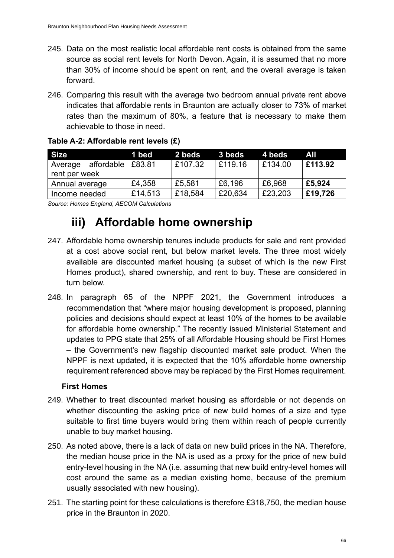- 245. Data on the most realistic local affordable rent costs is obtained from the same source as social rent levels for North Devon. Again, it is assumed that no more than 30% of income should be spent on rent, and the overall average is taken forward.
- 246. Comparing this result with the average two bedroom annual private rent above indicates that affordable rents in Braunton are actually closer to 73% of market rates than the maximum of 80%, a feature that is necessary to make them achievable to those in need.

| <b>Size</b>                              | 1 bed   | 2 beds  | 3 beds  | 4 beds  | All     |
|------------------------------------------|---------|---------|---------|---------|---------|
| affordable  <br>Average<br>rent per week | £83.81  | £107.32 | £119.16 | E134.00 | £113.92 |
| Annual average                           | £4,358  | £5,581  | £6,196  | £6,968  | £5,924  |
| Income needed                            | £14,513 | £18,584 | £20,634 | £23,203 | £19,726 |

#### **Table A-2: Affordable rent levels (£)**

*Source: Homes England, AECOM Calculations*

### **iii) Affordable home ownership**

- 247. Affordable home ownership tenures include products for sale and rent provided at a cost above social rent, but below market levels. The three most widely available are discounted market housing (a subset of which is the new First Homes product), shared ownership, and rent to buy. These are considered in turn below.
- 248. In paragraph 65 of the NPPF 2021, the Government introduces a recommendation that "where major housing development is proposed, planning policies and decisions should expect at least 10% of the homes to be available for affordable home ownership." The recently issued Ministerial Statement and updates to PPG state that 25% of all Affordable Housing should be First Homes – the Government's new flagship discounted market sale product. When the NPPF is next updated, it is expected that the 10% affordable home ownership requirement referenced above may be replaced by the First Homes requirement.

#### **First Homes**

- 249. Whether to treat discounted market housing as affordable or not depends on whether discounting the asking price of new build homes of a size and type suitable to first time buyers would bring them within reach of people currently unable to buy market housing.
- 250. As noted above, there is a lack of data on new build prices in the NA. Therefore, the median house price in the NA is used as a proxy for the price of new build entry-level housing in the NA (i.e. assuming that new build entry-level homes will cost around the same as a median existing home, because of the premium usually associated with new housing).
- 251. The starting point for these calculations is therefore £318,750, the median house price in the Braunton in 2020.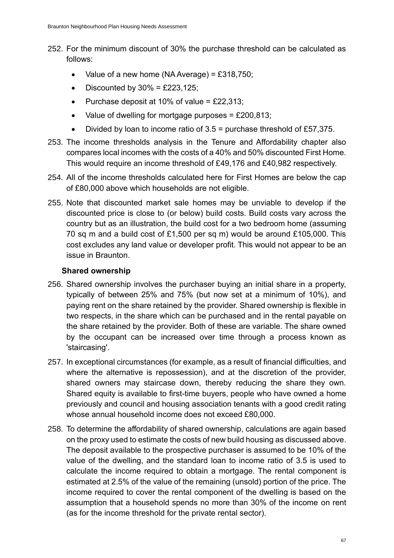- 252. For the minimum discount of 30% the purchase threshold can be calculated as follows:
	- Value of a new home (NA Average) = £318,750;
	- Discounted by  $30\% = \text{\pounds}223,125$ ;
	- Purchase deposit at 10% of value =  $£22,313$ ;
	- Value of dwelling for mortgage purposes = £200,813;
	- Divided by loan to income ratio of  $3.5$  = purchase threshold of £57,375.
- 253. The income thresholds analysis in the Tenure and Affordability chapter also compares local incomes with the costs of a 40% and 50% discounted First Home. This would require an income threshold of £49,176 and £40,982 respectively.
- 254. All of the income thresholds calculated here for First Homes are below the cap of £80,000 above which households are not eligible.
- 255. Note that discounted market sale homes may be unviable to develop if the discounted price is close to (or below) build costs. Build costs vary across the country but as an illustration, the build cost for a two bedroom home (assuming 70 sq m and a build cost of £1,500 per sq m) would be around £105,000. This cost excludes any land value or developer profit. This would not appear to be an issue in Braunton.

#### **Shared ownership**

- 256. Shared ownership involves the purchaser buying an initial share in a property, typically of between 25% and 75% (but now set at a minimum of 10%), and paying rent on the share retained by the provider. Shared ownership is flexible in two respects, in the share which can be purchased and in the rental payable on the share retained by the provider. Both of these are variable. The share owned by the occupant can be increased over time through a process known as 'staircasing'.
- 257. In exceptional circumstances (for example, as a result of financial difficulties, and where the alternative is repossession), and at the discretion of the provider, shared owners may staircase down, thereby reducing the share they own. Shared equity is available to first-time buyers, people who have owned a home previously and council and housing association tenants with a good credit rating whose annual household income does not exceed £80,000.
- 258. To determine the affordability of shared ownership, calculations are again based on the proxy used to estimate the costs of new build housing as discussed above. The deposit available to the prospective purchaser is assumed to be 10% of the value of the dwelling, and the standard loan to income ratio of 3.5 is used to calculate the income required to obtain a mortgage. The rental component is estimated at 2.5% of the value of the remaining (unsold) portion of the price. The income required to cover the rental component of the dwelling is based on the assumption that a household spends no more than 30% of the income on rent (as for the income threshold for the private rental sector).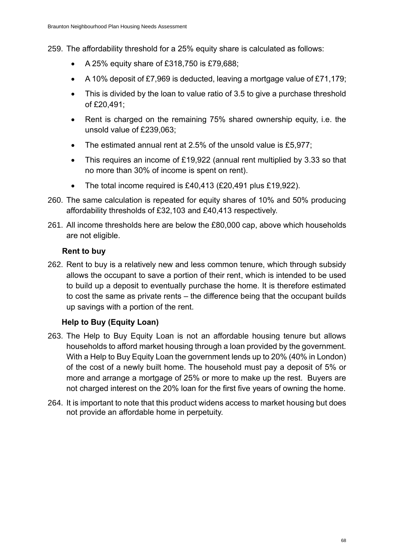259. The affordability threshold for a 25% equity share is calculated as follows:

- A 25% equity share of £318,750 is £79,688;
- A 10% deposit of £7,969 is deducted, leaving a mortgage value of £71,179;
- This is divided by the loan to value ratio of 3.5 to give a purchase threshold of £20,491;
- Rent is charged on the remaining 75% shared ownership equity, i.e. the unsold value of £239,063;
- The estimated annual rent at 2.5% of the unsold value is £5,977;
- This requires an income of £19,922 (annual rent multiplied by 3.33 so that no more than 30% of income is spent on rent).
- The total income required is £40,413 (£20,491 plus £19,922).
- 260. The same calculation is repeated for equity shares of 10% and 50% producing affordability thresholds of £32,103 and £40,413 respectively.
- 261. All income thresholds here are below the £80,000 cap, above which households are not eligible.

#### **Rent to buy**

262. Rent to buy is a relatively new and less common tenure, which through subsidy allows the occupant to save a portion of their rent, which is intended to be used to build up a deposit to eventually purchase the home. It is therefore estimated to cost the same as private rents – the difference being that the occupant builds up savings with a portion of the rent.

#### **Help to Buy (Equity Loan)**

- 263. The Help to Buy Equity Loan is not an affordable housing tenure but allows households to afford market housing through a loan provided by the government. With a Help to Buy Equity Loan the government lends up to 20% (40% in London) of the cost of a newly built home. The household must pay a deposit of 5% or more and arrange a mortgage of 25% or more to make up the rest. Buyers are not charged interest on the 20% loan for the first five years of owning the home.
- 264. It is important to note that this product widens access to market housing but does not provide an affordable home in perpetuity.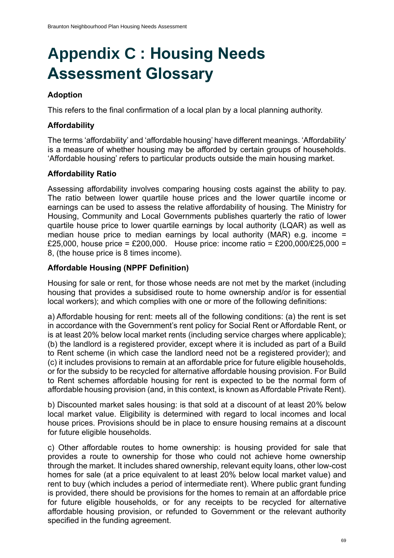# **Appendix C : Housing Needs Assessment Glossary**

#### **Adoption**

This refers to the final confirmation of a local plan by a local planning authority.

#### **Affordability**

The terms 'affordability' and 'affordable housing' have different meanings. 'Affordability' is a measure of whether housing may be afforded by certain groups of households. 'Affordable housing' refers to particular products outside the main housing market.

#### **Affordability Ratio**

Assessing affordability involves comparing housing costs against the ability to pay. The ratio between lower quartile house prices and the lower quartile income or earnings can be used to assess the relative affordability of housing. The Ministry for Housing, Community and Local Governments publishes quarterly the ratio of lower quartile house price to lower quartile earnings by local authority (LQAR) as well as median house price to median earnings by local authority (MAR) e.g. income = £25,000, house price = £200,000. House price: income ratio = £200,000/£25,000 = 8, (the house price is 8 times income).

#### **Affordable Housing (NPPF Definition)**

Housing for sale or rent, for those whose needs are not met by the market (including housing that provides a subsidised route to home ownership and/or is for essential local workers); and which complies with one or more of the following definitions:

a) Affordable housing for rent: meets all of the following conditions: (a) the rent is set in accordance with the Government's rent policy for Social Rent or Affordable Rent, or is at least 20% below local market rents (including service charges where applicable); (b) the landlord is a registered provider, except where it is included as part of a Build to Rent scheme (in which case the landlord need not be a registered provider); and (c) it includes provisions to remain at an affordable price for future eligible households, or for the subsidy to be recycled for alternative affordable housing provision. For Build to Rent schemes affordable housing for rent is expected to be the normal form of affordable housing provision (and, in this context, is known as Affordable Private Rent).

b) Discounted market sales housing: is that sold at a discount of at least 20% below local market value. Eligibility is determined with regard to local incomes and local house prices. Provisions should be in place to ensure housing remains at a discount for future eligible households.

c) Other affordable routes to home ownership: is housing provided for sale that provides a route to ownership for those who could not achieve home ownership through the market. It includes shared ownership, relevant equity loans, other low-cost homes for sale (at a price equivalent to at least 20% below local market value) and rent to buy (which includes a period of intermediate rent). Where public grant funding is provided, there should be provisions for the homes to remain at an affordable price for future eligible households, or for any receipts to be recycled for alternative affordable housing provision, or refunded to Government or the relevant authority specified in the funding agreement.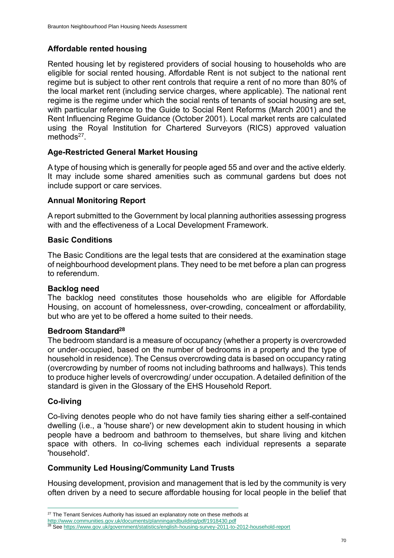#### **Affordable rented housing**

Rented housing let by registered providers of social housing to households who are eligible for social rented housing. Affordable Rent is not subject to the national rent regime but is subject to other rent controls that require a rent of no more than 80% of the local market rent (including service charges, where applicable). The national rent regime is the regime under which the social rents of tenants of social housing are set, with particular reference to the Guide to Social Rent Reforms (March 2001) and the Rent Influencing Regime Guidance (October 2001). Local market rents are calculated using the Royal Institution for Chartered Surveyors (RICS) approved valuation methods<sup>27</sup>.

#### **Age-Restricted General Market Housing**

Atype of housing which is generally for people aged 55 and over and the active elderly. It may include some shared amenities such as communal gardens but does not include support or care services.

#### **Annual Monitoring Report**

A report submitted to the Government by local planning authorities assessing progress with and the effectiveness of a Local Development Framework.

#### **Basic Conditions**

The Basic Conditions are the legal tests that are considered at the examination stage of neighbourhood development plans. They need to be met before a plan can progress to referendum.

#### **Backlog need**

The backlog need constitutes those households who are eligible for Affordable Housing, on account of homelessness, over-crowding, concealment or affordability, but who are yet to be offered a home suited to their needs.

#### **Bedroom Standard<sup>28</sup>**

The bedroom standard is a measure of occupancy (whether a property is overcrowded or under‐occupied, based on the number of bedrooms in a property and the type of household in residence). The Census overcrowding data is based on occupancy rating (overcrowding by number of rooms not including bathrooms and hallways). This tends to produce higher levels of overcrowding/ under occupation. A detailed definition of the standard is given in the Glossary of the EHS Household Report.

#### **Co-living**

Co-living denotes people who do not have family ties sharing either a self-contained dwelling (i.e., a 'house share') or new development akin to student housing in which people have a bedroom and bathroom to themselves, but share living and kitchen space with others. In co-living schemes each individual represents a separate 'household'.

#### **Community Led Housing/Community Land Trusts**

Housing development, provision and management that is led by the community is very often driven by a need to secure affordable housing for local people in the belief that

<sup>&</sup>lt;sup>27</sup> The Tenant Services Authority has issued an explanatory note on these methods at

<http://www.communities.gov.uk/documents/planningandbuilding/pdf/1918430.pdf>

<sup>&</sup>lt;sup>28</sup> Se[e https://www.gov.uk/government/statistics/english-housing-survey-2011-to-2012-household-report](https://www.gov.uk/government/statistics/english-housing-survey-2011-to-2012-household-report)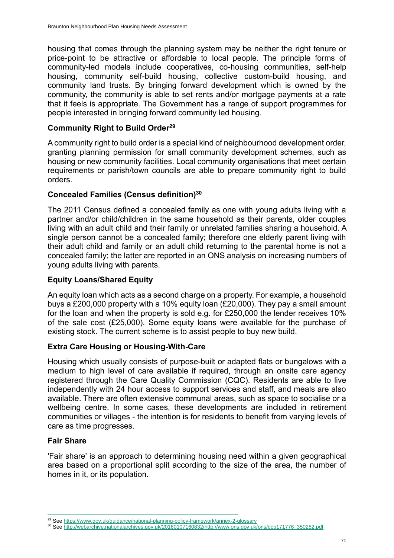housing that comes through the planning system may be neither the right tenure or price-point to be attractive or affordable to local people. The principle forms of community-led models include cooperatives, co-housing communities, self-help housing, community self-build housing, collective custom-build housing, and community land trusts. By bringing forward development which is owned by the community, the community is able to set rents and/or mortgage payments at a rate that it feels is appropriate. The Government has a range of support programmes for people interested in bringing forward community led housing.

#### **Community Right to Build Order<sup>29</sup>**

A community right to build order is a special kind of neighbourhood development order, granting planning permission for small community development schemes, such as housing or new community facilities. Local community organisations that meet certain requirements or parish/town councils are able to prepare community right to build orders.

#### **Concealed Families (Census definition)<sup>30</sup>**

The 2011 Census defined a concealed family as one with young adults living with a partner and/or child/children in the same household as their parents, older couples living with an adult child and their family or unrelated families sharing a household. A single person cannot be a concealed family; therefore one elderly parent living with their adult child and family or an adult child returning to the parental home is not a concealed family; the latter are reported in an ONS analysis on increasing numbers of young adults living with parents.

#### **Equity Loans/Shared Equity**

An equity loan which acts as a second charge on a property. For example, a household buys a £200,000 property with a 10% equity loan (£20,000). They pay a small amount for the loan and when the property is sold e.g. for £250,000 the lender receives 10% of the sale cost (£25,000). Some equity loans were available for the purchase of existing stock. The current scheme is to assist people to buy new build.

#### **Extra Care Housing or Housing-With-Care**

Housing which usually consists of purpose-built or adapted flats or bungalows with a medium to high level of care available if required, through an onsite care agency registered through the Care Quality Commission (CQC). Residents are able to live independently with 24 hour access to support services and staff, and meals are also available. There are often extensive communal areas, such as space to socialise or a wellbeing centre. In some cases, these developments are included in retirement communities or villages - the intention is for residents to benefit from varying levels of care as time progresses.

#### **Fair Share**

'Fair share' is an approach to determining housing need within a given geographical area based on a proportional split according to the size of the area, the number of homes in it, or its population.

<sup>&</sup>lt;sup>29</sup> Se[e https://www.gov.uk/guidance/national-planning-policy-framework/annex-2-glossary](https://www.gov.uk/guidance/national-planning-policy-framework/annex-2-glossary)

<sup>30</sup> Se[e http://webarchive.nationalarchives.gov.uk/20160107160832/http://www.ons.gov.uk/ons/dcp171776\\_350282.pdf](http://webarchive.nationalarchives.gov.uk/20160107160832/http:/www.ons.gov.uk/ons/dcp171776_350282.pdf)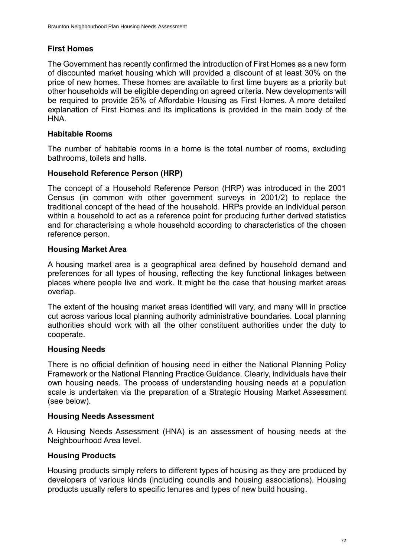#### **First Homes**

The Government has recently confirmed the introduction of First Homes as a new form of discounted market housing which will provided a discount of at least 30% on the price of new homes. These homes are available to first time buyers as a priority but other households will be eligible depending on agreed criteria. New developments will be required to provide 25% of Affordable Housing as First Homes. A more detailed explanation of First Homes and its implications is provided in the main body of the HNA.

#### **Habitable Rooms**

The number of habitable rooms in a home is the total number of rooms, excluding bathrooms, toilets and halls.

#### **Household Reference Person (HRP)**

The concept of a Household Reference Person (HRP) was introduced in the 2001 Census (in common with other government surveys in 2001/2) to replace the traditional concept of the head of the household. HRPs provide an individual person within a household to act as a reference point for producing further derived statistics and for characterising a whole household according to characteristics of the chosen reference person.

#### **Housing Market Area**

A housing market area is a geographical area defined by household demand and preferences for all types of housing, reflecting the key functional linkages between places where people live and work. It might be the case that housing market areas overlap.

The extent of the housing market areas identified will vary, and many will in practice cut across various local planning authority administrative boundaries. Local planning authorities should work with all the other constituent authorities under the duty to cooperate.

#### **Housing Needs**

There is no official definition of housing need in either the National Planning Policy Framework or the National Planning Practice Guidance. Clearly, individuals have their own housing needs. The process of understanding housing needs at a population scale is undertaken via the preparation of a Strategic Housing Market Assessment (see below).

#### **Housing Needs Assessment**

A Housing Needs Assessment (HNA) is an assessment of housing needs at the Neighbourhood Area level.

#### **Housing Products**

Housing products simply refers to different types of housing as they are produced by developers of various kinds (including councils and housing associations). Housing products usually refers to specific tenures and types of new build housing.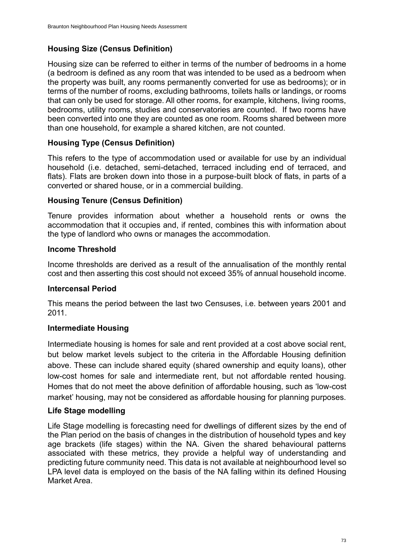#### **Housing Size (Census Definition)**

Housing size can be referred to either in terms of the number of bedrooms in a home (a bedroom is defined as any room that was intended to be used as a bedroom when the property was built, any rooms permanently converted for use as bedrooms); or in terms of the number of rooms, excluding bathrooms, toilets halls or landings, or rooms that can only be used for storage. All other rooms, for example, kitchens, living rooms, bedrooms, utility rooms, studies and conservatories are counted. If two rooms have been converted into one they are counted as one room. Rooms shared between more than one household, for example a shared kitchen, are not counted.

#### **Housing Type (Census Definition)**

This refers to the type of accommodation used or available for use by an individual household (i.e. detached, semi-detached, terraced including end of terraced, and flats). Flats are broken down into those in a purpose-built block of flats, in parts of a converted or shared house, or in a commercial building.

#### **Housing Tenure (Census Definition)**

Tenure provides information about whether a household rents or owns the accommodation that it occupies and, if rented, combines this with information about the type of landlord who owns or manages the accommodation.

#### **Income Threshold**

Income thresholds are derived as a result of the annualisation of the monthly rental cost and then asserting this cost should not exceed 35% of annual household income.

#### **Intercensal Period**

This means the period between the last two Censuses, i.e. between years 2001 and 2011.

#### **Intermediate Housing**

Intermediate housing is homes for sale and rent provided at a cost above social rent, but below market levels subject to the criteria in the Affordable Housing definition above. These can include shared equity (shared ownership and equity loans), other low-cost homes for sale and intermediate rent, but not affordable rented housing. Homes that do not meet the above definition of affordable housing, such as 'low-cost market' housing, may not be considered as affordable housing for planning purposes.

#### **Life Stage modelling**

Life Stage modelling is forecasting need for dwellings of different sizes by the end of the Plan period on the basis of changes in the distribution of household types and key age brackets (life stages) within the NA. Given the shared behavioural patterns associated with these metrics, they provide a helpful way of understanding and predicting future community need. This data is not available at neighbourhood level so LPA level data is employed on the basis of the NA falling within its defined Housing Market Area.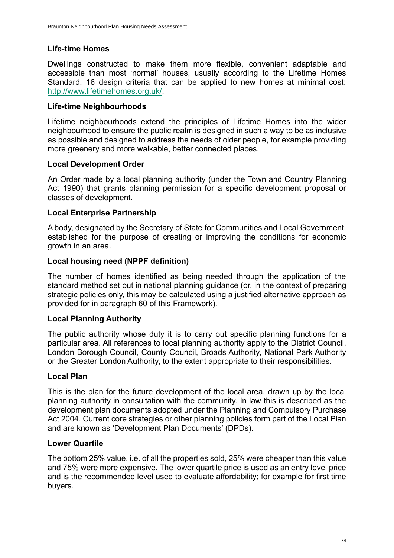#### **Life-time Homes**

Dwellings constructed to make them more flexible, convenient adaptable and accessible than most 'normal' houses, usually according to the Lifetime Homes Standard, 16 design criteria that can be applied to new homes at minimal cost: [http://www.lifetimehomes.org.uk/.](http://www.lifetimehomes.org.uk/)

#### **Life-time Neighbourhoods**

Lifetime neighbourhoods extend the principles of Lifetime Homes into the wider neighbourhood to ensure the public realm is designed in such a way to be as inclusive as possible and designed to address the needs of older people, for example providing more greenery and more walkable, better connected places.

#### **Local Development Order**

An Order made by a local planning authority (under the Town and Country Planning Act 1990) that grants planning permission for a specific development proposal or classes of development.

#### **Local Enterprise Partnership**

A body, designated by the Secretary of State for Communities and Local Government, established for the purpose of creating or improving the conditions for economic growth in an area.

#### **Local housing need (NPPF definition)**

The number of homes identified as being needed through the application of the standard method set out in national planning guidance (or, in the context of preparing strategic policies only, this may be calculated using a justified alternative approach as provided for in paragraph 60 of this Framework).

#### **Local Planning Authority**

The public authority whose duty it is to carry out specific planning functions for a particular area. All references to local planning authority apply to the District Council, London Borough Council, County Council, Broads Authority, National Park Authority or the Greater London Authority, to the extent appropriate to their responsibilities.

#### **Local Plan**

This is the plan for the future development of the local area, drawn up by the local planning authority in consultation with the community. In law this is described as the development plan documents adopted under the Planning and Compulsory Purchase Act 2004. Current core strategies or other planning policies form part of the Local Plan and are known as 'Development Plan Documents' (DPDs).

#### **Lower Quartile**

The bottom 25% value, i.e. of all the properties sold, 25% were cheaper than this value and 75% were more expensive. The lower quartile price is used as an entry level price and is the recommended level used to evaluate affordability; for example for first time buyers.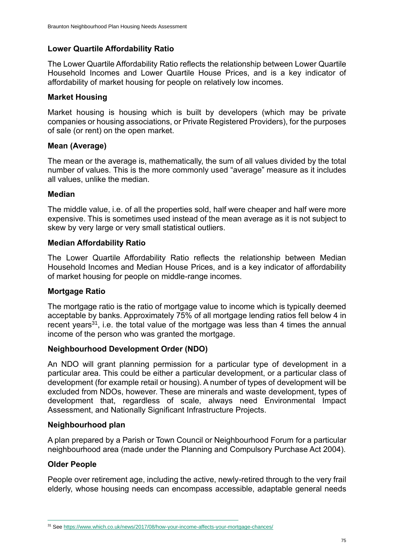#### **Lower Quartile Affordability Ratio**

The Lower Quartile Affordability Ratio reflects the relationship between Lower Quartile Household Incomes and Lower Quartile House Prices, and is a key indicator of affordability of market housing for people on relatively low incomes.

#### **Market Housing**

Market housing is housing which is built by developers (which may be private companies or housing associations, or Private Registered Providers), for the purposes of sale (or rent) on the open market.

#### **Mean (Average)**

The mean or the average is, mathematically, the sum of all values divided by the total number of values. This is the more commonly used "average" measure as it includes all values, unlike the median.

#### **Median**

The middle value, i.e. of all the properties sold, half were cheaper and half were more expensive. This is sometimes used instead of the mean average as it is not subject to skew by very large or very small statistical outliers.

#### **Median Affordability Ratio**

The Lower Quartile Affordability Ratio reflects the relationship between Median Household Incomes and Median House Prices, and is a key indicator of affordability of market housing for people on middle-range incomes.

#### **Mortgage Ratio**

The mortgage ratio is the ratio of mortgage value to income which is typically deemed acceptable by banks. Approximately 75% of all mortgage lending ratios fell below 4 in recent years<sup>31</sup>, i.e. the total value of the mortgage was less than 4 times the annual income of the person who was granted the mortgage.

#### **Neighbourhood Development Order (NDO)**

An NDO will grant planning permission for a particular type of development in a particular area. This could be either a particular development, or a particular class of development (for example retail or housing). A number of types of development will be excluded from NDOs, however. These are minerals and waste development, types of development that, regardless of scale, always need Environmental Impact Assessment, and Nationally Significant Infrastructure Projects.

#### **Neighbourhood plan**

A plan prepared by a Parish or Town Council or Neighbourhood Forum for a particular neighbourhood area (made under the Planning and Compulsory Purchase Act 2004).

#### **Older People**

People over retirement age, including the active, newly-retired through to the very frail elderly, whose housing needs can encompass accessible, adaptable general needs

<sup>31</sup> Se[e https://www.which.co.uk/news/2017/08/how-your-income-affects-your-mortgage-chances/](https://www.which.co.uk/news/2017/08/how-your-income-affects-your-mortgage-chances/)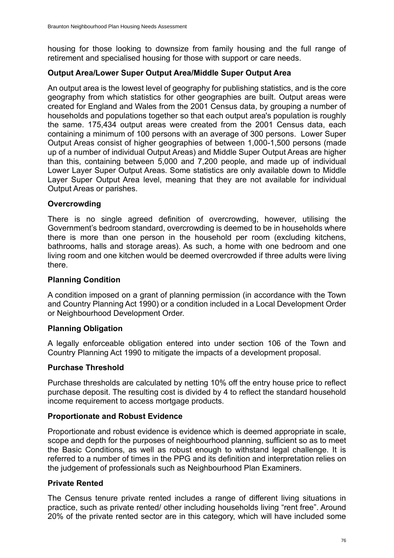housing for those looking to downsize from family housing and the full range of retirement and specialised housing for those with support or care needs.

#### **Output Area/Lower Super Output Area/Middle Super Output Area**

An output area is the lowest level of geography for publishing statistics, and is the core geography from which statistics for other geographies are built. Output areas were created for England and Wales from the 2001 Census data, by grouping a number of households and populations together so that each output area's population is roughly the same. 175,434 output areas were created from the 2001 Census data, each containing a minimum of 100 persons with an average of 300 persons. Lower Super Output Areas consist of higher geographies of between 1,000-1,500 persons (made up of a number of individual Output Areas) and Middle Super Output Areas are higher than this, containing between 5,000 and 7,200 people, and made up of individual Lower Layer Super Output Areas. Some statistics are only available down to Middle Layer Super Output Area level, meaning that they are not available for individual Output Areas or parishes.

#### **Overcrowding**

There is no single agreed definition of overcrowding, however, utilising the Government's bedroom standard, overcrowding is deemed to be in households where there is more than one person in the household per room (excluding kitchens, bathrooms, halls and storage areas). As such, a home with one bedroom and one living room and one kitchen would be deemed overcrowded if three adults were living there.

#### **Planning Condition**

A condition imposed on a grant of planning permission (in accordance with the Town and Country Planning Act 1990) or a condition included in a Local Development Order or Neighbourhood Development Order.

#### **Planning Obligation**

A legally enforceable obligation entered into under section 106 of the Town and Country Planning Act 1990 to mitigate the impacts of a development proposal.

#### **Purchase Threshold**

Purchase thresholds are calculated by netting 10% off the entry house price to reflect purchase deposit. The resulting cost is divided by 4 to reflect the standard household income requirement to access mortgage products.

#### **Proportionate and Robust Evidence**

Proportionate and robust evidence is evidence which is deemed appropriate in scale, scope and depth for the purposes of neighbourhood planning, sufficient so as to meet the Basic Conditions, as well as robust enough to withstand legal challenge. It is referred to a number of times in the PPG and its definition and interpretation relies on the judgement of professionals such as Neighbourhood Plan Examiners.

#### **Private Rented**

The Census tenure private rented includes a range of different living situations in practice, such as private rented/ other including households living "rent free". Around 20% of the private rented sector are in this category, which will have included some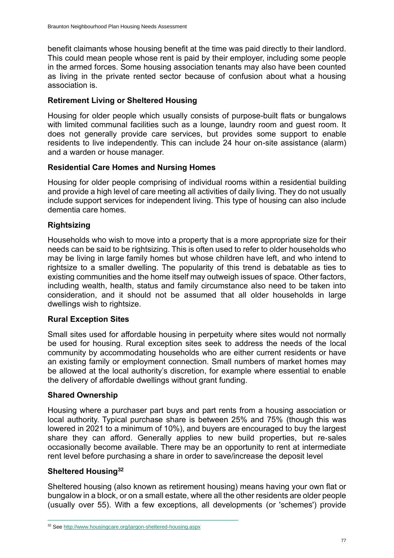benefit claimants whose housing benefit at the time was paid directly to their landlord. This could mean people whose rent is paid by their employer, including some people in the armed forces. Some housing association tenants may also have been counted as living in the private rented sector because of confusion about what a housing association is.

#### **Retirement Living or Sheltered Housing**

Housing for older people which usually consists of purpose-built flats or bungalows with limited communal facilities such as a lounge, laundry room and guest room. It does not generally provide care services, but provides some support to enable residents to live independently. This can include 24 hour on-site assistance (alarm) and a warden or house manager.

#### **Residential Care Homes and Nursing Homes**

Housing for older people comprising of individual rooms within a residential building and provide a high level of care meeting all activities of daily living. They do not usually include support services for independent living. This type of housing can also include dementia care homes.

#### **Rightsizing**

Households who wish to move into a property that is a more appropriate size for their needs can be said to be rightsizing. This is often used to refer to older households who may be living in large family homes but whose children have left, and who intend to rightsize to a smaller dwelling. The popularity of this trend is debatable as ties to existing communities and the home itself may outweigh issues of space. Other factors, including wealth, health, status and family circumstance also need to be taken into consideration, and it should not be assumed that all older households in large dwellings wish to rightsize.

#### **Rural Exception Sites**

Small sites used for affordable housing in perpetuity where sites would not normally be used for housing. Rural exception sites seek to address the needs of the local community by accommodating households who are either current residents or have an existing family or employment connection. Small numbers of market homes may be allowed at the local authority's discretion, for example where essential to enable the delivery of affordable dwellings without grant funding.

#### **Shared Ownership**

Housing where a purchaser part buys and part rents from a housing association or local authority. Typical purchase share is between 25% and 75% (though this was lowered in 2021 to a minimum of 10%), and buyers are encouraged to buy the largest share they can afford. Generally applies to new build properties, but re-sales occasionally become available. There may be an opportunity to rent at intermediate rent level before purchasing a share in order to save/increase the deposit level

#### **Sheltered Housing<sup>32</sup>**

Sheltered housing (also known as retirement housing) means having your own flat or bungalow in a block, or on a small estate, where all the other residents are older people (usually over 55). With a few exceptions, all developments (or 'schemes') provide

<sup>32</sup> Se[e http://www.housingcare.org/jargon-sheltered-housing.aspx](http://www.housingcare.org/jargon-sheltered-housing.aspx)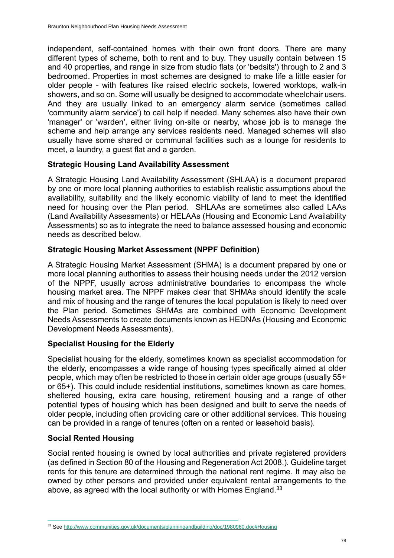independent, self-contained homes with their own front doors. There are many different types of scheme, both to rent and to buy. They usually contain between 15 and 40 properties, and range in size from studio flats (or 'bedsits') through to 2 and 3 bedroomed. Properties in most schemes are designed to make life a little easier for older people - with features like raised electric sockets, lowered worktops, walk-in showers, and so on. Some will usually be designed to accommodate wheelchair users. And they are usually linked to an emergency alarm service (sometimes called 'community alarm service') to call help if needed. Many schemes also have their own 'manager' or 'warden', either living on-site or nearby, whose job is to manage the scheme and help arrange any services residents need. Managed schemes will also usually have some shared or communal facilities such as a lounge for residents to meet, a laundry, a guest flat and a garden.

#### **Strategic Housing Land Availability Assessment**

A Strategic Housing Land Availability Assessment (SHLAA) is a document prepared by one or more local planning authorities to establish realistic assumptions about the availability, suitability and the likely economic viability of land to meet the identified need for housing over the Plan period. SHLAAs are sometimes also called LAAs (Land Availability Assessments) or HELAAs (Housing and Economic Land Availability Assessments) so as to integrate the need to balance assessed housing and economic needs as described below.

#### **Strategic Housing Market Assessment (NPPF Definition)**

A Strategic Housing Market Assessment (SHMA) is a document prepared by one or more local planning authorities to assess their housing needs under the 2012 version of the NPPF, usually across administrative boundaries to encompass the whole housing market area. The NPPF makes clear that SHMAs should identify the scale and mix of housing and the range of tenures the local population is likely to need over the Plan period. Sometimes SHMAs are combined with Economic Development Needs Assessments to create documents known as HEDNAs (Housing and Economic Development Needs Assessments).

#### **Specialist Housing for the Elderly**

Specialist housing for the elderly, sometimes known as specialist accommodation for the elderly, encompasses a wide range of housing types specifically aimed at older people, which may often be restricted to those in certain older age groups (usually 55+ or 65+). This could include residential institutions, sometimes known as care homes, sheltered housing, extra care housing, retirement housing and a range of other potential types of housing which has been designed and built to serve the needs of older people, including often providing care or other additional services. This housing can be provided in a range of tenures (often on a rented or leasehold basis).

#### **Social Rented Housing**

Social rented housing is owned by local authorities and private registered providers (as defined in Section 80 of the Housing and Regeneration Act 2008.). Guideline target rents for this tenure are determined through the national rent regime. It may also be owned by other persons and provided under equivalent rental arrangements to the above, as agreed with the local authority or with Homes England.<sup>33</sup>

<sup>33</sup> Se[e http://www.communities.gov.uk/documents/planningandbuilding/doc/1980960.doc#Housing](http://www.communities.gov.uk/documents/planningandbuilding/doc/1980960.doc#Housing)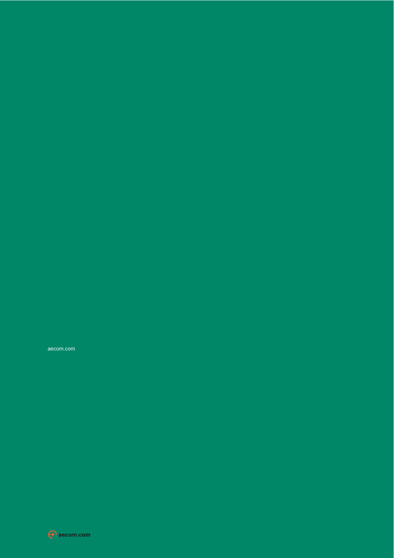aecom.com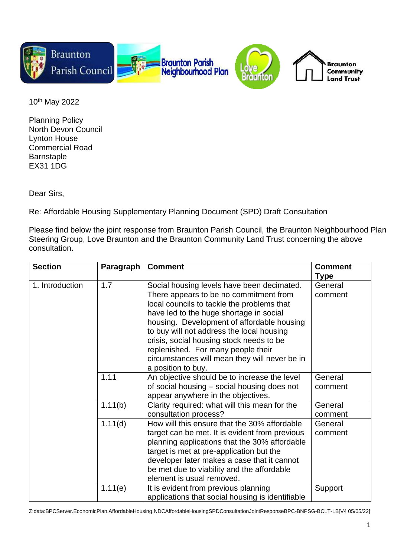

10th May 2022

Planning Policy North Devon Council Lynton House Commercial Road **Barnstaple** EX31 1DG

Dear Sirs,

Re: Affordable Housing Supplementary Planning Document (SPD) Draft Consultation

Please find below the joint response from Braunton Parish Council, the Braunton Neighbourhood Plan Steering Group, Love Braunton and the Braunton Community Land Trust concerning the above consultation.

| <b>Section</b>  | Paragraph | <b>Comment</b>                                   | <b>Comment</b> |
|-----------------|-----------|--------------------------------------------------|----------------|
|                 |           |                                                  | Type           |
| 1. Introduction | 1.7       | Social housing levels have been decimated.       | General        |
|                 |           | There appears to be no commitment from           | comment        |
|                 |           | local councils to tackle the problems that       |                |
|                 |           | have led to the huge shortage in social          |                |
|                 |           | housing. Development of affordable housing       |                |
|                 |           | to buy will not address the local housing        |                |
|                 |           | crisis, social housing stock needs to be         |                |
|                 |           | replenished. For many people their               |                |
|                 |           | circumstances will mean they will never be in    |                |
|                 |           | a position to buy.                               |                |
|                 | 1.11      | An objective should be to increase the level     | General        |
|                 |           | of social housing – social housing does not      | comment        |
|                 |           | appear anywhere in the objectives.               |                |
|                 | 1.11(b)   | Clarity required: what will this mean for the    | General        |
|                 |           | consultation process?                            | comment        |
|                 | 1.11(d)   | How will this ensure that the 30% affordable     | General        |
|                 |           | target can be met. It is evident from previous   | comment        |
|                 |           | planning applications that the 30% affordable    |                |
|                 |           | target is met at pre-application but the         |                |
|                 |           | developer later makes a case that it cannot      |                |
|                 |           | be met due to viability and the affordable       |                |
|                 |           | element is usual removed.                        |                |
|                 | 1.11(e)   | It is evident from previous planning             | Support        |
|                 |           | applications that social housing is identifiable |                |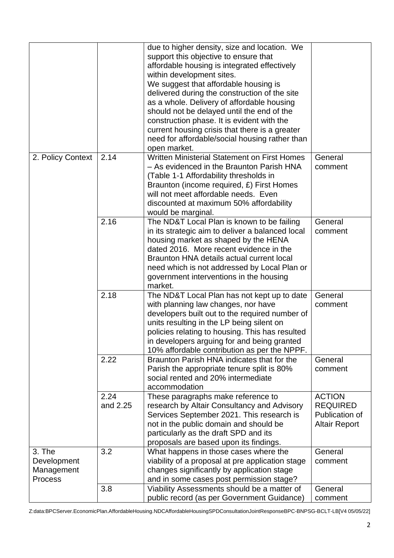|                                                       |                  | due to higher density, size and location. We<br>support this objective to ensure that<br>affordable housing is integrated effectively<br>within development sites.<br>We suggest that affordable housing is<br>delivered during the construction of the site<br>as a whole. Delivery of affordable housing<br>should not be delayed until the end of the<br>construction phase. It is evident with the<br>current housing crisis that there is a greater<br>need for affordable/social housing rather than<br>open market. |                                                                            |
|-------------------------------------------------------|------------------|----------------------------------------------------------------------------------------------------------------------------------------------------------------------------------------------------------------------------------------------------------------------------------------------------------------------------------------------------------------------------------------------------------------------------------------------------------------------------------------------------------------------------|----------------------------------------------------------------------------|
| 2. Policy Context                                     | 2.14             | Written Ministerial Statement on First Homes<br>- As evidenced in the Braunton Parish HNA<br>(Table 1-1 Affordability thresholds in<br>Braunton (income required, £) First Homes<br>will not meet affordable needs. Even<br>discounted at maximum 50% affordability<br>would be marginal.                                                                                                                                                                                                                                  | General<br>comment                                                         |
|                                                       | 2.16             | The ND&T Local Plan is known to be failing<br>in its strategic aim to deliver a balanced local<br>housing market as shaped by the HENA<br>dated 2016. More recent evidence in the<br>Braunton HNA details actual current local<br>need which is not addressed by Local Plan or<br>government interventions in the housing<br>market.                                                                                                                                                                                       | General<br>comment                                                         |
|                                                       | 2.18             | The ND&T Local Plan has not kept up to date<br>with planning law changes, nor have<br>developers built out to the required number of<br>units resulting in the LP being silent on<br>policies relating to housing. This has resulted<br>in developers arguing for and being granted<br>10% affordable contribution as per the NPPF.                                                                                                                                                                                        | General<br>comment                                                         |
|                                                       | 2.22             | Braunton Parish HNA indicates that for the<br>Parish the appropriate tenure split is 80%<br>social rented and 20% intermediate<br>accommodation                                                                                                                                                                                                                                                                                                                                                                            | General<br>comment                                                         |
|                                                       | 2.24<br>and 2.25 | These paragraphs make reference to<br>research by Altair Consultancy and Advisory<br>Services September 2021. This research is<br>not in the public domain and should be<br>particularly as the draft SPD and its<br>proposals are based upon its findings.                                                                                                                                                                                                                                                                | <b>ACTION</b><br><b>REQUIRED</b><br>Publication of<br><b>Altair Report</b> |
| 3. The<br>Development<br>Management<br><b>Process</b> | 3.2              | What happens in those cases where the<br>viability of a proposal at pre application stage<br>changes significantly by application stage<br>and in some cases post permission stage?                                                                                                                                                                                                                                                                                                                                        | General<br>comment                                                         |
|                                                       | 3.8              | Viability Assessments should be a matter of<br>public record (as per Government Guidance)                                                                                                                                                                                                                                                                                                                                                                                                                                  | General<br>comment                                                         |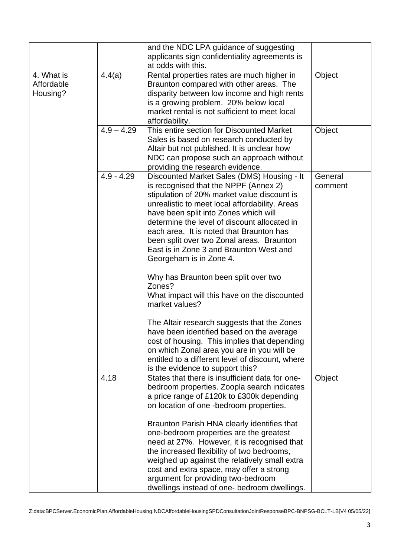|                                      |              | and the NDC LPA guidance of suggesting<br>applicants sign confidentiality agreements is<br>at odds with this.                                                                                                                                                                                                                                                                                                                                                                                                                                                    |                    |
|--------------------------------------|--------------|------------------------------------------------------------------------------------------------------------------------------------------------------------------------------------------------------------------------------------------------------------------------------------------------------------------------------------------------------------------------------------------------------------------------------------------------------------------------------------------------------------------------------------------------------------------|--------------------|
| 4. What is<br>Affordable<br>Housing? | 4.4(a)       | Rental properties rates are much higher in<br>Braunton compared with other areas. The<br>disparity between low income and high rents<br>is a growing problem. 20% below local<br>market rental is not sufficient to meet local<br>affordability.                                                                                                                                                                                                                                                                                                                 | Object             |
|                                      | $4.9 - 4.29$ | This entire section for Discounted Market<br>Sales is based on research conducted by<br>Altair but not published. It is unclear how<br>NDC can propose such an approach without<br>providing the research evidence.                                                                                                                                                                                                                                                                                                                                              | Object             |
|                                      | $4.9 - 4.29$ | Discounted Market Sales (DMS) Housing - It<br>is recognised that the NPPF (Annex 2)<br>stipulation of 20% market value discount is<br>unrealistic to meet local affordability. Areas<br>have been split into Zones which will<br>determine the level of discount allocated in<br>each area. It is noted that Braunton has<br>been split over two Zonal areas. Braunton<br>East is in Zone 3 and Braunton West and<br>Georgeham is in Zone 4.                                                                                                                     | General<br>comment |
|                                      |              | Why has Braunton been split over two<br>Zones?<br>What impact will this have on the discounted<br>market values?                                                                                                                                                                                                                                                                                                                                                                                                                                                 |                    |
|                                      |              | The Altair research suggests that the Zones<br>have been identified based on the average<br>cost of housing. This implies that depending<br>on which Zonal area you are in you will be<br>entitled to a different level of discount, where<br>is the evidence to support this?                                                                                                                                                                                                                                                                                   |                    |
|                                      | 4.18         | States that there is insufficient data for one-<br>bedroom properties. Zoopla search indicates<br>a price range of £120k to £300k depending<br>on location of one -bedroom properties.<br>Braunton Parish HNA clearly identifies that<br>one-bedroom properties are the greatest<br>need at 27%. However, it is recognised that<br>the increased flexibility of two bedrooms,<br>weighed up against the relatively small extra<br>cost and extra space, may offer a strong<br>argument for providing two-bedroom<br>dwellings instead of one- bedroom dwellings. | Object             |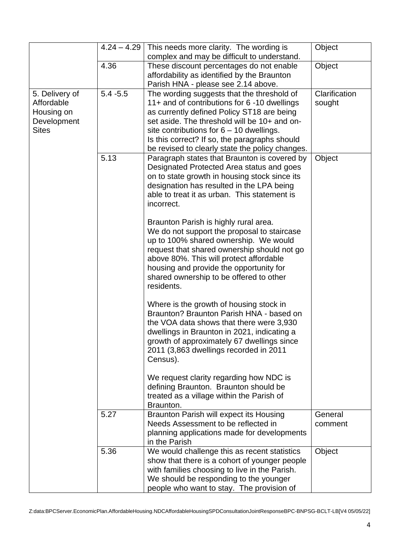|                             | $4.24 - 4.29$ | This needs more clarity. The wording is<br>complex and may be difficult to understand.      | Object        |
|-----------------------------|---------------|---------------------------------------------------------------------------------------------|---------------|
|                             | 4.36          | These discount percentages do not enable<br>affordability as identified by the Braunton     | Object        |
|                             |               | Parish HNA - please see 2.14 above.                                                         |               |
| 5. Delivery of              | $5.4 - 5.5$   | The wording suggests that the threshold of                                                  | Clarification |
| Affordable                  |               | 11+ and of contributions for 6 -10 dwellings                                                | sought        |
| Housing on                  |               | as currently defined Policy ST18 are being<br>set aside. The threshold will be 10+ and on-  |               |
| Development<br><b>Sites</b> |               |                                                                                             |               |
|                             |               | site contributions for $6 - 10$ dwellings.<br>Is this correct? If so, the paragraphs should |               |
|                             |               | be revised to clearly state the policy changes.                                             |               |
|                             | 5.13          | Paragraph states that Braunton is covered by                                                | Object        |
|                             |               | Designated Protected Area status and goes                                                   |               |
|                             |               | on to state growth in housing stock since its                                               |               |
|                             |               | designation has resulted in the LPA being                                                   |               |
|                             |               | able to treat it as urban. This statement is                                                |               |
|                             |               | incorrect.                                                                                  |               |
|                             |               |                                                                                             |               |
|                             |               | Braunton Parish is highly rural area.                                                       |               |
|                             |               | We do not support the proposal to staircase                                                 |               |
|                             |               | up to 100% shared ownership. We would                                                       |               |
|                             |               | request that shared ownership should not go                                                 |               |
|                             |               | above 80%. This will protect affordable                                                     |               |
|                             |               | housing and provide the opportunity for                                                     |               |
|                             |               | shared ownership to be offered to other                                                     |               |
|                             |               | residents.                                                                                  |               |
|                             |               |                                                                                             |               |
|                             |               | Where is the growth of housing stock in                                                     |               |
|                             |               | Braunton? Braunton Parish HNA - based on                                                    |               |
|                             |               | the VOA data shows that there were 3,930                                                    |               |
|                             |               | dwellings in Braunton in 2021, indicating a                                                 |               |
|                             |               | growth of approximately 67 dwellings since                                                  |               |
|                             |               | 2011 (3,863 dwellings recorded in 2011                                                      |               |
|                             |               | Census).                                                                                    |               |
|                             |               | We request clarity regarding how NDC is                                                     |               |
|                             |               | defining Braunton. Braunton should be                                                       |               |
|                             |               | treated as a village within the Parish of                                                   |               |
|                             |               | Braunton.                                                                                   |               |
|                             | 5.27          | Braunton Parish will expect its Housing                                                     | General       |
|                             |               | Needs Assessment to be reflected in                                                         | comment       |
|                             |               | planning applications made for developments                                                 |               |
|                             |               | in the Parish                                                                               |               |
|                             | 5.36          | We would challenge this as recent statistics                                                | Object        |
|                             |               | show that there is a cohort of younger people                                               |               |
|                             |               | with families choosing to live in the Parish.                                               |               |
|                             |               | We should be responding to the younger                                                      |               |
|                             |               | people who want to stay. The provision of                                                   |               |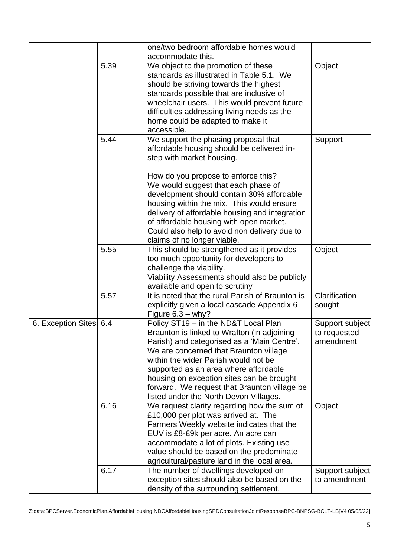|                        |      | one/two bedroom affordable homes would                                              |                                 |
|------------------------|------|-------------------------------------------------------------------------------------|---------------------------------|
|                        |      | accommodate this.                                                                   |                                 |
|                        | 5.39 | We object to the promotion of these<br>standards as illustrated in Table 5.1. We    | Object                          |
|                        |      | should be striving towards the highest                                              |                                 |
|                        |      | standards possible that are inclusive of                                            |                                 |
|                        |      | wheelchair users. This would prevent future                                         |                                 |
|                        |      | difficulties addressing living needs as the                                         |                                 |
|                        |      | home could be adapted to make it                                                    |                                 |
|                        |      | accessible.                                                                         |                                 |
|                        | 5.44 | We support the phasing proposal that                                                | Support                         |
|                        |      | affordable housing should be delivered in-                                          |                                 |
|                        |      | step with market housing.                                                           |                                 |
|                        |      | How do you propose to enforce this?                                                 |                                 |
|                        |      | We would suggest that each phase of                                                 |                                 |
|                        |      | development should contain 30% affordable                                           |                                 |
|                        |      | housing within the mix. This would ensure                                           |                                 |
|                        |      | delivery of affordable housing and integration                                      |                                 |
|                        |      | of affordable housing with open market.                                             |                                 |
|                        |      | Could also help to avoid non delivery due to                                        |                                 |
|                        |      | claims of no longer viable.                                                         |                                 |
|                        | 5.55 | This should be strengthened as it provides                                          | Object                          |
|                        |      | too much opportunity for developers to<br>challenge the viability.                  |                                 |
|                        |      | Viability Assessments should also be publicly                                       |                                 |
|                        |      | available and open to scrutiny                                                      |                                 |
|                        | 5.57 | It is noted that the rural Parish of Braunton is                                    | Clarification                   |
|                        |      | explicitly given a local cascade Appendix 6                                         | sought                          |
|                        |      | Figure $6.3 - why$ ?                                                                |                                 |
| 6. Exception Sites 6.4 |      | Policy ST19 - in the ND&T Local Plan                                                | Support subject                 |
|                        |      | Braunton is linked to Wrafton (in adjoining                                         | to requested                    |
|                        |      | Parish) and categorised as a 'Main Centre'.                                         | amendment                       |
|                        |      | We are concerned that Braunton village                                              |                                 |
|                        |      | within the wider Parish would not be<br>supported as an area where affordable       |                                 |
|                        |      | housing on exception sites can be brought                                           |                                 |
|                        |      | forward. We request that Braunton village be                                        |                                 |
|                        |      | listed under the North Devon Villages.                                              |                                 |
|                        | 6.16 | We request clarity regarding how the sum of                                         | Object                          |
|                        |      | £10,000 per plot was arrived at. The                                                |                                 |
|                        |      | Farmers Weekly website indicates that the                                           |                                 |
|                        |      | EUV is £8-£9k per acre. An acre can                                                 |                                 |
|                        |      | accommodate a lot of plots. Existing use                                            |                                 |
|                        |      | value should be based on the predominate                                            |                                 |
|                        |      | agricultural/pasture land in the local area.                                        |                                 |
|                        | 6.17 | The number of dwellings developed on<br>exception sites should also be based on the | Support subject<br>to amendment |
|                        |      | density of the surrounding settlement.                                              |                                 |
|                        |      |                                                                                     |                                 |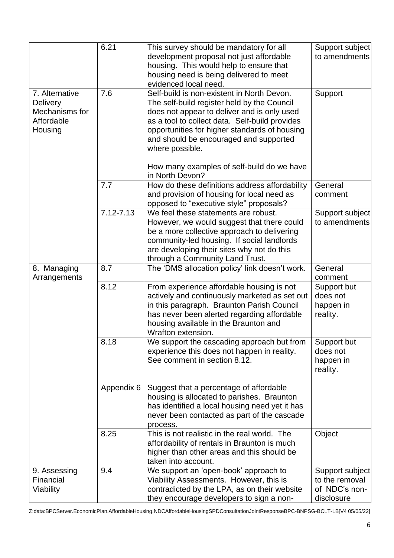|                                                                              | 6.21          | This survey should be mandatory for all<br>development proposal not just affordable                                                                                                                                                                              | Support subject<br>to amendments                 |
|------------------------------------------------------------------------------|---------------|------------------------------------------------------------------------------------------------------------------------------------------------------------------------------------------------------------------------------------------------------------------|--------------------------------------------------|
|                                                                              |               | housing. This would help to ensure that<br>housing need is being delivered to meet                                                                                                                                                                               |                                                  |
|                                                                              |               | evidenced local need.                                                                                                                                                                                                                                            |                                                  |
| 7. Alternative<br><b>Delivery</b><br>Mechanisms for<br>Affordable<br>Housing | 7.6           | Self-build is non-existent in North Devon.<br>The self-build register held by the Council<br>does not appear to deliver and is only used<br>as a tool to collect data. Self-build provides<br>opportunities for higher standards of housing                      | Support                                          |
|                                                                              |               | and should be encouraged and supported<br>where possible.<br>How many examples of self-build do we have                                                                                                                                                          |                                                  |
|                                                                              |               | in North Devon?                                                                                                                                                                                                                                                  |                                                  |
|                                                                              | 7.7           | How do these definitions address affordability<br>and provision of housing for local need as<br>opposed to "executive style" proposals?                                                                                                                          | General<br>comment                               |
|                                                                              | $7.12 - 7.13$ | We feel these statements are robust.<br>However, we would suggest that there could<br>be a more collective approach to delivering<br>community-led housing. If social landlords<br>are developing their sites why not do this<br>through a Community Land Trust. | Support subject<br>to amendments                 |
| 8. Managing<br>Arrangements                                                  | 8.7           | The 'DMS allocation policy' link doesn't work.                                                                                                                                                                                                                   | General<br>comment                               |
|                                                                              | 8.12          | From experience affordable housing is not<br>actively and continuously marketed as set out<br>in this paragraph. Braunton Parish Council<br>has never been alerted regarding affordable<br>housing available in the Braunton and<br>Wrafton extension.           | Support but<br>does not<br>happen in<br>reality. |
|                                                                              | 8.18          | We support the cascading approach but from<br>experience this does not happen in reality.<br>See comment in section 8.12.                                                                                                                                        | Support but<br>does not<br>happen in<br>reality. |
|                                                                              | Appendix 6    | Suggest that a percentage of affordable<br>housing is allocated to parishes. Braunton<br>has identified a local housing need yet it has<br>never been contacted as part of the cascade<br>process.                                                               |                                                  |
|                                                                              | 8.25          | This is not realistic in the real world. The<br>affordability of rentals in Braunton is much<br>higher than other areas and this should be<br>taken into account.                                                                                                | Object                                           |
| 9. Assessing                                                                 | 9.4           | We support an 'open-book' approach to                                                                                                                                                                                                                            | Support subject                                  |
| Financial                                                                    |               | Viability Assessments. However, this is                                                                                                                                                                                                                          | to the removal                                   |
| Viability                                                                    |               | contradicted by the LPA, as on their website<br>they encourage developers to sign a non-                                                                                                                                                                         | of NDC's non-<br>disclosure                      |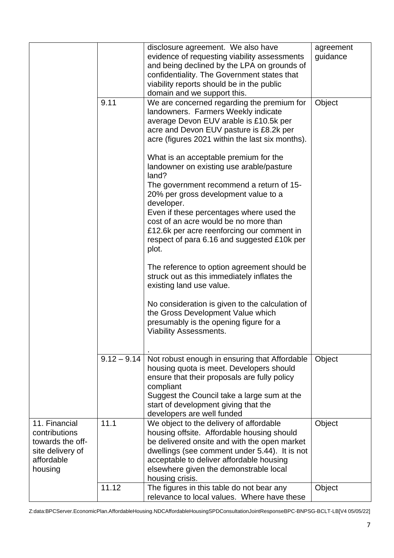|                                                                                                 |               | disclosure agreement. We also have<br>evidence of requesting viability assessments<br>and being declined by the LPA on grounds of<br>confidentiality. The Government states that<br>viability reports should be in the public<br>domain and we support this.                                                                                                                                                                                                                                                                                                                                                                                                                                                                                                                                                                           | agreement<br>guidance |
|-------------------------------------------------------------------------------------------------|---------------|----------------------------------------------------------------------------------------------------------------------------------------------------------------------------------------------------------------------------------------------------------------------------------------------------------------------------------------------------------------------------------------------------------------------------------------------------------------------------------------------------------------------------------------------------------------------------------------------------------------------------------------------------------------------------------------------------------------------------------------------------------------------------------------------------------------------------------------|-----------------------|
|                                                                                                 | 9.11          | We are concerned regarding the premium for<br>landowners. Farmers Weekly indicate<br>average Devon EUV arable is £10.5k per<br>acre and Devon EUV pasture is £8.2k per<br>acre (figures 2021 within the last six months).<br>What is an acceptable premium for the<br>landowner on existing use arable/pasture<br>land?<br>The government recommend a return of 15-<br>20% per gross development value to a<br>developer.<br>Even if these percentages where used the<br>cost of an acre would be no more than<br>£12.6k per acre reenforcing our comment in<br>respect of para 6.16 and suggested £10k per<br>plot.<br>The reference to option agreement should be<br>struck out as this immediately inflates the<br>existing land use value.<br>No consideration is given to the calculation of<br>the Gross Development Value which | Object                |
|                                                                                                 |               | presumably is the opening figure for a<br><b>Viability Assessments.</b>                                                                                                                                                                                                                                                                                                                                                                                                                                                                                                                                                                                                                                                                                                                                                                |                       |
|                                                                                                 | $9.12 - 9.14$ | Not robust enough in ensuring that Affordable<br>housing quota is meet. Developers should<br>ensure that their proposals are fully policy<br>compliant<br>Suggest the Council take a large sum at the<br>start of development giving that the<br>developers are well funded                                                                                                                                                                                                                                                                                                                                                                                                                                                                                                                                                            | Object                |
| 11. Financial<br>contributions<br>towards the off-<br>site delivery of<br>affordable<br>housing | 11.1          | We object to the delivery of affordable<br>housing offsite. Affordable housing should<br>be delivered onsite and with the open market<br>dwellings (see comment under 5.44). It is not<br>acceptable to deliver affordable housing<br>elsewhere given the demonstrable local<br>housing crisis.                                                                                                                                                                                                                                                                                                                                                                                                                                                                                                                                        | Object                |
|                                                                                                 | 11.12         | The figures in this table do not bear any<br>relevance to local values. Where have these                                                                                                                                                                                                                                                                                                                                                                                                                                                                                                                                                                                                                                                                                                                                               | Object                |